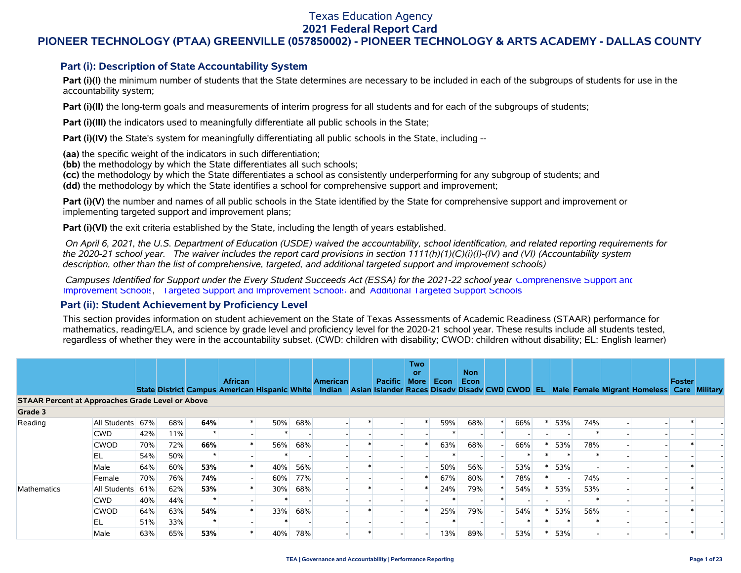### Texas Education Agency

#### **2021 Federal Report Card**

### **PIONEER TECHNOLOGY (PTAA) GREENVILLE (057850002) - PIONEER TECHNOLOGY & ARTS ACADEMY - DALLAS COUNTY**

### **Part (i): Description of State Accountability System**

Part (i)(I) the minimum number of students that the State determines are necessary to be included in each of the subgroups of students for use in the accountability system;

**Part (i)(II)** the long-term goals and measurements of interim progress for all students and for each of the subgroups of students;

**Part (i)(III)** the indicators used to meaningfully differentiate all public schools in the State;

**Part (i)(IV)** the State's system for meaningfully differentiating all public schools in the State, including --

**(aa)** the specific weight of the indicators in such differentiation;

**(bb)** the methodology by which the State differentiates all such schools;

**(cc)** the methodology by which the State differentiates a school as consistently underperforming for any subgroup of students; and

**(dd)** the methodology by which the State identifies a school for comprehensive support and improvement;

**Part (i)(V)** the number and names of all public schools in the State identified by the State for comprehensive support and improvement or implementing targeted support and improvement plans;

**Part (i)(VI)** the exit criteria established by the State, including the length of years established.

 *On April 6, 2021, the U.S. Department of Education (USDE) waived the accountability, school identification, and related reporting requirements for the 2020-21 school year. The waiver includes the report card provisions in section 1111(h)(1)(C)(i)(I)-(IV) and (VI) (Accountability system description, other than the list of comprehensive, targeted, and additional targeted support and improvement schools)* 

 *Campuses Identified for Support under the Every Student Succeeds Act (ESSA) for the 2021-22 school year:* [Comprehensive Support and](https://tea.texas.gov/sites/default/files/comprehensive_support_2021.xlsx) [Improvement Schools](https://tea.texas.gov/sites/default/files/comprehensive_support_2021.xlsx), [Targeted Support and Improvement Schools](https://tea.texas.gov/sites/default/files/targeted_support_2021.xlsx) and [Additional Targeted Support Schools.](https://tea.texas.gov/sites/default/files/additional_targeted_support_2021.xlsx)

#### **Part (ii): Student Achievement by Proficiency Level**

This section provides information on student achievement on the State of Texas Assessments of Academic Readiness (STAAR) performance for mathematics, reading/ELA, and science by grade level and proficiency level for the 2020-21 school year. These results include all students tested, regardless of whether they were in the accountability subset. (CWD: children with disability; CWOD: children without disability; EL: English learner)

|                                                         |              |     |     |     |                |        |     |                                                                                                                     |         | <b>Two</b><br><b>or</b> |      | <b>Non</b> |     |       |     |     |                                            |        |  |
|---------------------------------------------------------|--------------|-----|-----|-----|----------------|--------|-----|---------------------------------------------------------------------------------------------------------------------|---------|-------------------------|------|------------|-----|-------|-----|-----|--------------------------------------------|--------|--|
|                                                         |              |     |     |     | <b>African</b> |        |     | <b>American</b><br>State District Campus American Hispanic White Indian Asian Islander Races Disadv Disadv CWD CWOD | Pacific | <b>More</b>             | Econ | Econ       |     | -EL I |     |     | Male Female Migrant Homeless Care Military | Foster |  |
| <b>STAAR Percent at Approaches Grade Level or Above</b> |              |     |     |     |                |        |     |                                                                                                                     |         |                         |      |            |     |       |     |     |                                            |        |  |
| Grade 3                                                 |              |     |     |     |                |        |     |                                                                                                                     |         |                         |      |            |     |       |     |     |                                            |        |  |
| Reading                                                 | All Students | 67% | 68% | 64% |                | 50%    | 68% |                                                                                                                     |         |                         | 59%  | 68%        | 66% |       | 53% | 74% |                                            |        |  |
|                                                         | <b>CWD</b>   | 42% | 11% |     |                |        |     |                                                                                                                     |         |                         |      |            |     |       |     |     |                                            |        |  |
|                                                         | <b>CWOD</b>  | 70% | 72% | 66% |                | 56%    | 68% |                                                                                                                     |         |                         | 63%  | 68%        | 66% |       | 53% | 78% |                                            |        |  |
|                                                         | EL           | 54% | 50% |     |                |        |     |                                                                                                                     |         |                         |      |            |     |       |     |     |                                            |        |  |
|                                                         | Male         | 64% | 60% | 53% |                | 40%    | 56% |                                                                                                                     |         |                         | 50%  | 56%        | 53% |       | 53% |     |                                            |        |  |
|                                                         | Female       | 70% | 76% | 74% |                | 60%    | 77% |                                                                                                                     |         |                         | 67%  | 80%        | 78% |       |     | 74% |                                            |        |  |
| Mathematics                                             | All Students | 61% | 62% | 53% |                | $30\%$ | 68% |                                                                                                                     |         |                         | 24%  | 79%        | 54% |       | 53% | 53% |                                            |        |  |
|                                                         | <b>CWD</b>   | 40% | 44% |     |                |        |     |                                                                                                                     |         |                         |      |            |     |       |     |     |                                            |        |  |
|                                                         | <b>CWOD</b>  | 64% | 63% | 54% |                | 33%    | 68% |                                                                                                                     |         |                         | 25%  | 79%        | 54% |       | 53% | 56% |                                            |        |  |
|                                                         | EL           | 51% | 33% |     |                |        |     |                                                                                                                     |         |                         |      |            |     |       |     |     |                                            |        |  |
|                                                         | Male         | 63% | 65% | 53% |                | 40%    | 78% |                                                                                                                     |         |                         | 13%  | 89%        | 53% |       | 53% |     |                                            |        |  |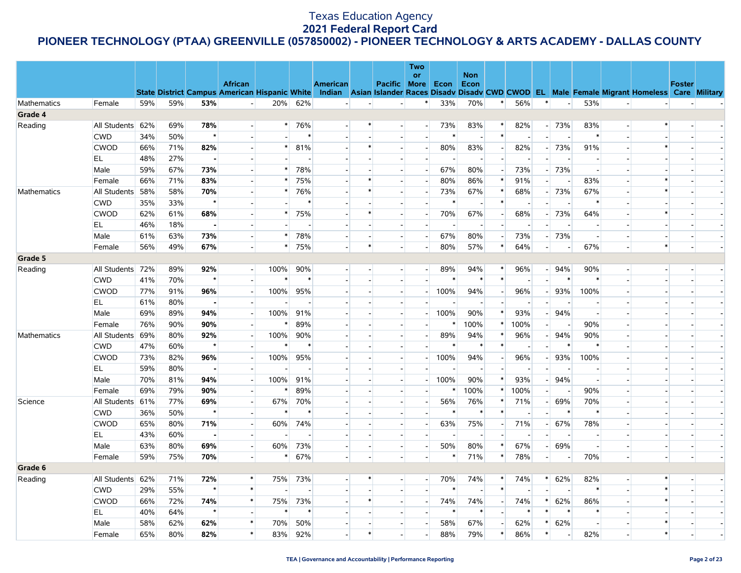|                    |                  |     |     |                |                                                                                                                                                |        |                          |                 |                          | Two                      |        |                          |                          |                          |                          |                          |        |                          |                |        |  |
|--------------------|------------------|-----|-----|----------------|------------------------------------------------------------------------------------------------------------------------------------------------|--------|--------------------------|-----------------|--------------------------|--------------------------|--------|--------------------------|--------------------------|--------------------------|--------------------------|--------------------------|--------|--------------------------|----------------|--------|--|
|                    |                  |     |     |                | <b>African</b>                                                                                                                                 |        |                          | <b>American</b> | Pacific More             | or                       | Econ   | <b>Non</b><br>Econ       |                          |                          |                          |                          |        |                          |                | Foster |  |
|                    |                  |     |     |                | State District Campus American Hispanic White Indian Asian Islander Races Disadv Disadv CWD CWOD EL Male Female Migrant Homeless Care Military |        |                          |                 |                          |                          |        |                          |                          |                          |                          |                          |        |                          |                |        |  |
| <b>Mathematics</b> | Female           | 59% | 59% | 53%            | $\overline{\phantom{a}}$                                                                                                                       | 20%    | 62%                      | $\overline{a}$  |                          | $\ast$                   | 33%    | 70%                      | $\ast$                   | 56%                      | $\ast$                   | $\sim$                   | 53%    | $\overline{\phantom{a}}$ |                |        |  |
| Grade 4            |                  |     |     |                |                                                                                                                                                |        |                          |                 |                          |                          |        |                          |                          |                          |                          |                          |        |                          |                |        |  |
| Reading            | All Students 62% |     | 69% | 78%            |                                                                                                                                                | $\ast$ | 76%                      |                 |                          |                          | 73%    | 83%                      | $\ast$                   | 82%                      | $\overline{\phantom{0}}$ | 73%                      | 83%    |                          | $\ast$         |        |  |
|                    | <b>CWD</b>       | 34% | 50% | $\star$        |                                                                                                                                                |        | $\ast$                   |                 |                          |                          | $\ast$ | $\overline{\phantom{a}}$ | $\ast$                   |                          |                          |                          |        |                          |                |        |  |
|                    | CWOD             | 66% | 71% | 82%            |                                                                                                                                                | $\ast$ | 81%                      |                 |                          |                          | 80%    | 83%                      | $\overline{\phantom{0}}$ | 82%                      |                          | 73%                      | 91%    |                          |                |        |  |
|                    | EL               | 48% | 27% | $\blacksquare$ |                                                                                                                                                |        |                          |                 |                          |                          |        | $\overline{\phantom{a}}$ |                          |                          |                          |                          |        |                          |                |        |  |
|                    | Male             | 59% | 67% | 73%            | $\blacksquare$                                                                                                                                 | $\ast$ | 78%                      |                 |                          |                          | 67%    | 80%                      | $\overline{\phantom{a}}$ | 73%                      |                          | 73%                      |        |                          |                |        |  |
|                    | Female           | 66% | 71% | 83%            |                                                                                                                                                | $\ast$ | 75%                      |                 |                          |                          | 80%    | 86%                      | $\ast$                   | 91%                      |                          |                          | 83%    |                          | $\ast$         |        |  |
| Mathematics        | All Students     | 58% | 58% | 70%            |                                                                                                                                                | $\ast$ | 76%                      |                 |                          |                          | 73%    | 67%                      | *                        | 68%                      |                          | 73%                      | 67%    |                          | $\ast$         |        |  |
|                    | <b>CWD</b>       | 35% | 33% | $\star$        |                                                                                                                                                |        | ∗                        |                 |                          |                          |        | $\overline{\phantom{a}}$ | ∗                        |                          |                          |                          |        |                          |                |        |  |
|                    | <b>CWOD</b>      | 62% | 61% | 68%            |                                                                                                                                                | $\ast$ | 75%                      |                 |                          |                          | 70%    | 67%                      | $\sim$                   | 68%                      |                          | 73%                      | 64%    |                          | $\ast$         |        |  |
|                    | EL               | 46% | 18% | $\blacksquare$ |                                                                                                                                                |        |                          |                 |                          |                          |        |                          |                          |                          |                          |                          |        |                          |                |        |  |
|                    | Male             | 61% | 63% | 73%            | $\overline{\phantom{a}}$                                                                                                                       | $\ast$ | 78%                      |                 |                          |                          | 67%    | 80%                      | $\sim$                   | 73%                      |                          | 73%                      |        |                          |                |        |  |
|                    | Female           | 56% | 49% | 67%            |                                                                                                                                                | $\ast$ | 75%                      |                 |                          |                          | 80%    | 57%                      | $\ast$                   | 64%                      |                          |                          | 67%    |                          | *              |        |  |
| Grade 5            |                  |     |     |                |                                                                                                                                                |        |                          |                 |                          |                          |        |                          |                          |                          |                          |                          |        |                          |                |        |  |
| Reading            | All Students 72% |     | 89% | 92%            |                                                                                                                                                | 100%   | 90%                      |                 |                          |                          | 89%    | 94%                      | $\ast$                   | 96%                      |                          | 94%                      | 90%    |                          |                |        |  |
|                    | <b>CWD</b>       | 41% | 70% | $\star$        | $\overline{\phantom{a}}$                                                                                                                       |        | $\ast$                   |                 |                          |                          |        | $\ast$                   | $\ast$                   |                          |                          |                          |        |                          |                |        |  |
|                    | <b>CWOD</b>      | 77% | 91% | 96%            |                                                                                                                                                | 100%   | 95%                      |                 |                          |                          | 100%   | 94%                      |                          | 96%                      |                          | 93%                      | 100%   |                          |                |        |  |
|                    | EL               | 61% | 80% | $\blacksquare$ | $\sim$                                                                                                                                         |        |                          |                 |                          |                          |        |                          | $\sim$                   |                          |                          |                          |        |                          |                |        |  |
|                    | Male             | 69% | 89% | 94%            | $\sim$                                                                                                                                         | 100%   | 91%                      |                 |                          |                          | 100%   | 90%                      | $\ast$                   | 93%                      |                          | 94%                      |        |                          |                |        |  |
|                    | Female           | 76% | 90% | 90%            |                                                                                                                                                | $\ast$ | 89%                      |                 |                          |                          | $\ast$ | 100%                     | *                        | 100%                     |                          |                          | 90%    |                          |                |        |  |
| Mathematics        | All Students 69% |     | 80% | 92%            | $\blacksquare$                                                                                                                                 | 100%   | 90%                      |                 |                          |                          | 89%    | 94%                      | $\ast$                   | 96%                      |                          | 94%                      | 90%    |                          |                |        |  |
|                    | <b>CWD</b>       | 47% | 60% | $\star$        |                                                                                                                                                | $\ast$ | $\ast$                   |                 |                          |                          | $\ast$ | $\ast$                   | $\ast$                   |                          |                          | $\ast$                   | $\ast$ |                          |                |        |  |
|                    | <b>CWOD</b>      | 73% | 82% | 96%            |                                                                                                                                                | 100%   | 95%                      |                 |                          |                          | 100%   | 94%                      | $\overline{\phantom{a}}$ | 96%                      |                          | 93%                      | 100%   |                          |                |        |  |
|                    | EL               | 59% | 80% | $\blacksquare$ | $\sim$                                                                                                                                         |        |                          |                 |                          |                          |        | $\overline{\phantom{a}}$ | $\overline{\phantom{a}}$ |                          |                          |                          |        |                          |                |        |  |
|                    | Male             | 70% | 81% | 94%            |                                                                                                                                                | 100%   | 91%                      |                 |                          |                          | 100%   | 90%                      | $\ast$                   | 93%                      |                          | 94%                      |        |                          |                |        |  |
|                    | Female           | 69% | 79% | 90%            | $\overline{a}$                                                                                                                                 | $\ast$ | 89%                      |                 |                          |                          | $\ast$ | 100%                     | $\ast$                   | 100%                     |                          |                          | 90%    |                          |                |        |  |
| Science            | All Students 61% |     | 77% | 69%            | $\overline{a}$                                                                                                                                 | 67%    | 70%                      |                 |                          |                          | 56%    | 76%                      | *                        | 71%                      |                          | 69%                      | 70%    |                          |                |        |  |
|                    | <b>CWD</b>       | 36% | 50% | $\star$        |                                                                                                                                                | $\ast$ | $\ast$                   |                 |                          |                          | $\ast$ | $\ast$                   | $\ast$                   | $\overline{\phantom{a}}$ |                          |                          | $\ast$ |                          |                |        |  |
|                    | CWOD             | 65% | 80% | 71%            |                                                                                                                                                | 60%    | 74%                      |                 |                          |                          | 63%    | 75%                      |                          | 71%                      |                          | 67%                      | 78%    |                          |                |        |  |
|                    | EL               | 43% | 60% | $\blacksquare$ | $\sim$                                                                                                                                         |        | $\overline{\phantom{a}}$ |                 |                          |                          |        | $\overline{\phantom{a}}$ |                          | $\overline{\phantom{a}}$ |                          |                          |        |                          |                |        |  |
|                    | Male             | 63% | 80% | 69%            | $\overline{\phantom{0}}$                                                                                                                       | 60%    | 73%                      |                 |                          |                          | 50%    | 80%                      | *                        | 67%                      |                          | 69%                      |        |                          |                |        |  |
|                    | Female           | 59% | 75% | 70%            | $\overline{\phantom{0}}$                                                                                                                       | $\ast$ | 67%                      | $\blacksquare$  | $\overline{\phantom{a}}$ |                          | $\ast$ | 71%                      | $\ast$                   | 78%                      |                          |                          | 70%    |                          | $\blacksquare$ |        |  |
| Grade 6            |                  |     |     |                |                                                                                                                                                |        |                          |                 |                          |                          |        |                          |                          |                          |                          |                          |        |                          |                |        |  |
| Reading            | All Students 62% |     | 71% | 72%            | $\ast$                                                                                                                                         | 75%    | 73%                      |                 |                          | $\overline{\phantom{a}}$ | 70%    | 74%                      | $\ast$                   | 74%                      |                          | 62%                      | 82%    |                          | $\ast$         |        |  |
|                    | <b>CWD</b>       | 29% | 55% | $\star$        | $\ast$                                                                                                                                         |        | $\sim$                   |                 |                          |                          | $\ast$ | $\sim$                   | $\ast$                   |                          |                          |                          | $\ast$ |                          | $\ast$         |        |  |
|                    | <b>CWOD</b>      | 66% | 72% | 74%            | $\ast$                                                                                                                                         | 75%    | 73%                      |                 |                          |                          | 74%    | 74%                      | $\overline{a}$           | 74%                      |                          | 62%                      | 86%    |                          | $\ast$         |        |  |
|                    | EL               | 40% | 64% | $\star$        | $\sim$                                                                                                                                         | $\ast$ | $\ast$                   |                 |                          |                          | ∗      | $\ast$                   | $\sim$                   | $\ast$                   | $\ast$                   | ∗                        |        |                          |                |        |  |
|                    | Male             | 58% | 62% | 62%            | $\pmb{\ast}$                                                                                                                                   | 70%    | 50%                      |                 |                          |                          | 58%    | 67%                      |                          | 62%                      | $\ast$                   | 62%                      |        |                          |                |        |  |
|                    | Female           | 65% | 80% | 82%            | $\ast$                                                                                                                                         | 83%    | 92%                      |                 |                          |                          | 88%    | 79%                      | $\ast$                   | 86%                      | $\ast$                   | $\overline{\phantom{a}}$ | 82%    |                          | $\ast$         |        |  |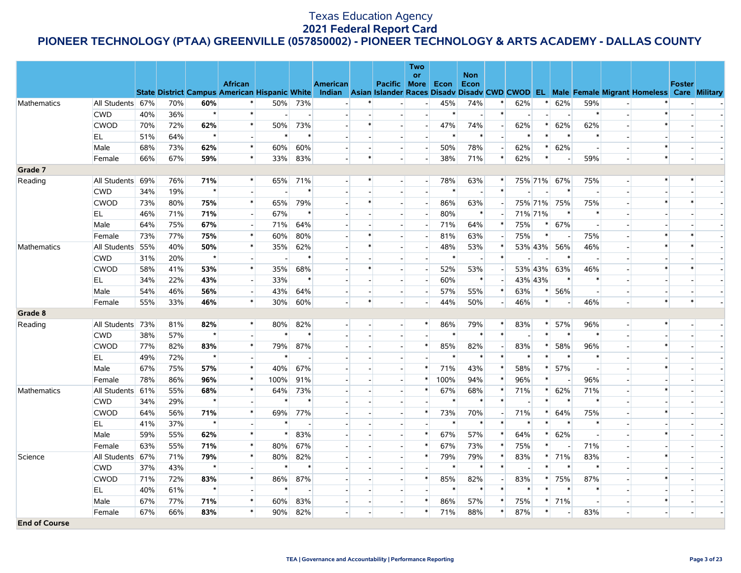|                      |                  |     |     |         |                          |        |        |                          |        |                          | Two                      |        |                          |                |        |         |                          |        |                          |                                                                                                                                                |        |  |
|----------------------|------------------|-----|-----|---------|--------------------------|--------|--------|--------------------------|--------|--------------------------|--------------------------|--------|--------------------------|----------------|--------|---------|--------------------------|--------|--------------------------|------------------------------------------------------------------------------------------------------------------------------------------------|--------|--|
|                      |                  |     |     |         | <b>African</b>           |        |        | <b>American</b>          |        | Pacific More Econ        | <b>or</b>                |        | <b>Non</b><br>Econ       |                |        |         |                          |        |                          |                                                                                                                                                | Foster |  |
|                      |                  |     |     |         |                          |        |        |                          |        |                          |                          |        |                          |                |        |         |                          |        |                          | State District Campus American Hispanic White Indian Asian Islander Races Disadv Disadv CWD CWOD EL Male Female Migrant Homeless Care Military |        |  |
| Mathematics          | All Students 67% |     | 70% | 60%     |                          | 50%    | 73%    |                          |        |                          |                          | 45%    | 74%                      | ∗              | 62%    |         | 62%                      | 59%    |                          |                                                                                                                                                |        |  |
|                      | <b>CWD</b>       | 40% | 36% | $\star$ | $\ast$                   |        | $\sim$ |                          |        |                          |                          | $\ast$ | $\overline{\phantom{a}}$ | $\ast$         |        |         |                          | $\ast$ |                          |                                                                                                                                                |        |  |
|                      | <b>CWOD</b>      | 70% | 72% | 62%     | $\ast$                   | 50%    | 73%    |                          |        |                          |                          | 47%    | 74%                      |                | 62%    | $\ast$  | 62%                      | 62%    |                          | $\ast$                                                                                                                                         |        |  |
|                      | EL               | 51% | 64% | $\star$ | $\sim$                   | $\ast$ | $\ast$ |                          |        |                          |                          | $\ast$ | $\ast$                   | $\sim$         | $\ast$ | $\ast$  |                          |        |                          |                                                                                                                                                |        |  |
|                      | Male             | 68% | 73% | 62%     | $\ast$                   | 60%    | 60%    |                          |        |                          | $\sim$                   | 50%    | 78%                      | $\overline{a}$ | 62%    | $\ast$  | 62%                      |        |                          | $\ast$                                                                                                                                         |        |  |
|                      | Female           | 66% | 67% | 59%     | $\ast$                   | 33%    | 83%    |                          | $\ast$ | $\sim$                   |                          | 38%    | 71%                      | $\ast$         | 62%    | $\ast$  | $\overline{\phantom{a}}$ | 59%    |                          | $\ast$                                                                                                                                         |        |  |
| Grade 7              |                  |     |     |         |                          |        |        |                          |        |                          |                          |        |                          |                |        |         |                          |        |                          |                                                                                                                                                |        |  |
| Reading              | All Students 69% |     | 76% | 71%     | $\ast$                   | 65%    | 71%    |                          | $\ast$ |                          | $\overline{\phantom{a}}$ | 78%    | 63%                      | $\ast$         |        |         | 75% 71% 67%              | 75%    | $\overline{a}$           | *                                                                                                                                              | $\ast$ |  |
|                      | <b>CWD</b>       | 34% | 19% | $\star$ |                          |        | $\ast$ |                          |        |                          |                          | $\ast$ | $\sim$                   | $\ast$         |        |         | $\ast$                   |        |                          |                                                                                                                                                |        |  |
|                      | <b>CWOD</b>      | 73% | 80% | 75%     | $\ast$                   | 65%    | 79%    |                          |        |                          |                          | 86%    | 63%                      |                |        | 75% 71% | 75%                      | 75%    |                          | *                                                                                                                                              |        |  |
|                      | EL               | 46% | 71% | 71%     | $\sim$                   | 67%    | $\ast$ |                          |        |                          |                          | 80%    | $\ast$                   |                |        | 71% 71% | $\ast$                   |        |                          |                                                                                                                                                |        |  |
|                      | Male             | 64% | 75% | 67%     | $\overline{\phantom{a}}$ | 71%    | 64%    |                          |        |                          |                          | 71%    | 64%                      | $\ast$         | 75%    | $\ast$  | 67%                      |        |                          |                                                                                                                                                |        |  |
|                      | Female           | 73% | 77% | 75%     | $\ast$                   | 60%    | 80%    | $\overline{\phantom{a}}$ |        |                          |                          | 81%    | 63%                      |                | 75%    | $\ast$  |                          | 75%    |                          |                                                                                                                                                |        |  |
| Mathematics          | All Students 55% |     | 40% | 50%     | $\ast$                   | 35%    | 62%    |                          |        |                          |                          | 48%    | 53%                      | $\ast$         |        | 53% 43% | 56%                      | 46%    |                          | $\ast$                                                                                                                                         |        |  |
|                      | <b>CWD</b>       | 31% | 20% | $\star$ |                          | $\sim$ | $\ast$ |                          |        |                          |                          | $\ast$ | $\overline{\phantom{a}}$ | $\ast$         |        |         |                          |        |                          |                                                                                                                                                |        |  |
|                      | <b>CWOD</b>      | 58% | 41% | 53%     | $\pmb{\ast}$             | 35%    | 68%    |                          |        |                          |                          | 52%    | 53%                      |                |        | 53% 43% | 63%                      | 46%    |                          | $\ast$                                                                                                                                         |        |  |
|                      | EL               | 34% | 22% | 43%     | $\overline{a}$           | 33%    | $\ast$ | $\overline{\phantom{a}}$ |        | $\overline{\phantom{a}}$ |                          | 60%    | $\ast$                   | $\overline{a}$ |        | 43% 43% |                          |        |                          |                                                                                                                                                |        |  |
|                      | Male             | 54% | 46% | 56%     | $\overline{\phantom{a}}$ | 43%    | 64%    |                          |        |                          |                          | 57%    | 55%                      | $\ast$         | 63%    | $\ast$  | 56%                      |        |                          |                                                                                                                                                |        |  |
|                      | Female           | 55% | 33% | 46%     | $\ast$                   | 30%    | 60%    |                          |        |                          |                          | 44%    | 50%                      | $\sim$         | 46%    | $\ast$  | $\overline{\phantom{a}}$ | 46%    |                          | $\ast$                                                                                                                                         | $\ast$ |  |
| Grade 8              |                  |     |     |         |                          |        |        |                          |        |                          |                          |        |                          |                |        |         |                          |        |                          |                                                                                                                                                |        |  |
| Reading              | All Students 73% |     | 81% | 82%     | $\ast$                   | 80%    | 82%    |                          |        | $\overline{\phantom{a}}$ | $\ast$                   | 86%    | 79%                      | $\ast$         | 83%    | $\ast$  | 57%                      | 96%    | $\overline{\phantom{a}}$ | $\ast$                                                                                                                                         |        |  |
|                      | <b>CWD</b>       | 38% | 57% | $\star$ |                          | $\ast$ | $\ast$ |                          |        |                          |                          | $\ast$ | $\ast$                   | $\ast$         |        | $\ast$  | $\ast$                   | $\ast$ |                          |                                                                                                                                                |        |  |
|                      | <b>CWOD</b>      | 77% | 82% | 83%     | $\ast$                   | 79%    | 87%    |                          |        |                          | $\ast$                   | 85%    | 82%                      | $\overline{a}$ | 83%    | $\ast$  | 58%                      | 96%    |                          | $\ast$                                                                                                                                         |        |  |
|                      | EL               | 49% | 72% | $\star$ |                          | $\ast$ |        |                          |        |                          |                          | $\ast$ | $\ast$                   | $\ast$         | $\ast$ | $\ast$  | $\ast$                   |        |                          |                                                                                                                                                |        |  |
|                      | Male             | 67% | 75% | 57%     | $\ast$                   | 40%    | 67%    |                          |        |                          | $\ast$                   | 71%    | 43%                      | $\ast$         | 58%    | $\ast$  | 57%                      |        |                          | $\ast$                                                                                                                                         |        |  |
|                      | Female           | 78% | 86% | 96%     | $\ast$                   | 100%   | 91%    |                          |        |                          | $\ast$                   | 100%   | 94%                      | $\ast$         | 96%    | $\ast$  |                          | 96%    |                          |                                                                                                                                                |        |  |
| Mathematics          | All Students 61% |     | 55% | 68%     | $\ast$                   | 64%    | 73%    |                          |        |                          | $\ast$                   | 67%    | 68%                      | $\ast$         | 71%    | $\ast$  | 62%                      | 71%    |                          | $\ast$                                                                                                                                         |        |  |
|                      | <b>CWD</b>       | 34% | 29% | $\star$ |                          | $\ast$ | $\ast$ |                          |        |                          |                          | $\ast$ | $\ast$                   | $\ast$         |        | $\ast$  |                          | $\ast$ |                          |                                                                                                                                                |        |  |
|                      | <b>CWOD</b>      | 64% | 56% | 71%     | $\pmb{\ast}$             | 69%    | 77%    |                          |        |                          | $\ast$                   | 73%    | 70%                      |                | 71%    |         | 64%                      | 75%    |                          | $\ast$                                                                                                                                         |        |  |
|                      | EL               | 41% | 37% | $\star$ | $\overline{\phantom{a}}$ | $\ast$ |        |                          |        |                          |                          |        | $\ast$                   | $\ast$         | $\ast$ |         |                          |        |                          |                                                                                                                                                |        |  |
|                      | Male             | 59% | 55% | 62%     | $\ast$                   | $\ast$ | 83%    |                          |        |                          | $\ast$                   | 67%    | 57%                      | $\ast$         | 64%    | $\ast$  | 62%                      |        |                          | $\ast$                                                                                                                                         |        |  |
|                      | Female           | 63% | 55% | 71%     | $\ast$                   | 80%    | 67%    |                          |        |                          | $\ast$                   | 67%    | 73%                      | $\ast$         | 75%    | $\ast$  | $\overline{\phantom{a}}$ | 71%    |                          |                                                                                                                                                |        |  |
| Science              | All Students 67% |     | 71% | 79%     | $\ast$                   | 80%    | 82%    |                          |        |                          | $\ast$                   | 79%    | 79%                      | $\ast$         | 83%    | *       | 71%                      | 83%    |                          | $\ast$                                                                                                                                         |        |  |
|                      | <b>CWD</b>       | 37% | 43% | $\star$ |                          | $\ast$ | $\ast$ |                          |        |                          |                          |        | $\ast$                   | $\ast$         |        | $\ast$  |                          |        |                          |                                                                                                                                                |        |  |
|                      | <b>CWOD</b>      | 71% | 72% | 83%     | $\ast$                   | 86%    | 87%    |                          |        |                          | $\ast$                   | 85%    | 82%                      | $\overline{a}$ | 83%    | $\ast$  | 75%                      | 87%    |                          | $\ast$                                                                                                                                         |        |  |
|                      | EL.              | 40% | 61% | $\star$ |                          | $\ast$ |        |                          |        |                          |                          | $\ast$ | $\ast$                   | $\ast$         | $\ast$ | $\ast$  |                          |        |                          |                                                                                                                                                |        |  |
|                      | Male             | 67% | 77% | 71%     | $\ast$                   | 60%    | 83%    |                          |        |                          | $\ast$                   | 86%    | 57%                      | *              | 75%    | $\ast$  | 71%                      |        |                          | $\ast$                                                                                                                                         |        |  |
|                      | Female           | 67% | 66% | 83%     | $\ast$                   | 90%    | 82%    | $\overline{\phantom{a}}$ |        |                          | $\ast$                   | 71%    | 88%                      | $\ast$         | 87%    | $\ast$  | $\overline{\phantom{a}}$ | 83%    |                          | $\overline{\phantom{a}}$                                                                                                                       |        |  |
| <b>End of Course</b> |                  |     |     |         |                          |        |        |                          |        |                          |                          |        |                          |                |        |         |                          |        |                          |                                                                                                                                                |        |  |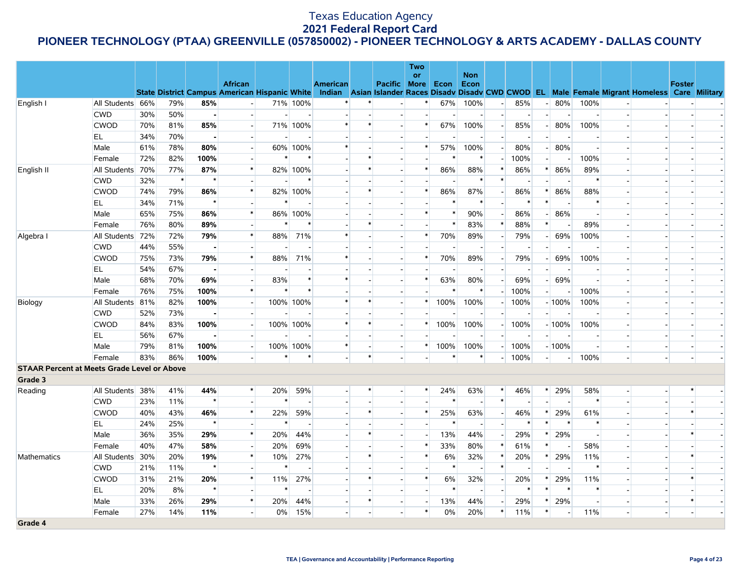|                                                    |                  |     |        |                |                          |           |                          |                 |        |                          | <b>Two</b> |                          |                          |                          |                          |        |         |        |                                                                                                                                                |               |  |
|----------------------------------------------------|------------------|-----|--------|----------------|--------------------------|-----------|--------------------------|-----------------|--------|--------------------------|------------|--------------------------|--------------------------|--------------------------|--------------------------|--------|---------|--------|------------------------------------------------------------------------------------------------------------------------------------------------|---------------|--|
|                                                    |                  |     |        |                | <b>African</b>           |           |                          | <b>American</b> |        | Pacific More             | <b>or</b>  | Econ                     | <b>Non</b><br>Econ       |                          |                          |        |         |        |                                                                                                                                                | <b>Foster</b> |  |
|                                                    |                  |     |        |                |                          |           |                          |                 |        |                          |            |                          |                          |                          |                          |        |         |        | State District Campus American Hispanic White Indian Asian Islander Races Disadv Disadv CWD CWOD EL Male Female Migrant Homeless Care Military |               |  |
| English I                                          | All Students 66% |     | 79%    | 85%            | $\overline{\phantom{a}}$ |           | 71% 100%                 |                 |        |                          |            | 67%                      | 100%                     | $\overline{a}$           | 85%                      |        | 80%     | 100%   |                                                                                                                                                |               |  |
|                                                    | <b>CWD</b>       | 30% | 50%    | $\mathbf{I}$   |                          | $\sim$    | $\overline{\phantom{a}}$ |                 |        |                          |            | $\blacksquare$           | $\sim$                   | $\overline{a}$           | $\overline{\phantom{a}}$ |        |         |        |                                                                                                                                                |               |  |
|                                                    | <b>CWOD</b>      | 70% | 81%    | 85%            |                          |           | 71% 100%                 | $\ast$          |        |                          | $\ast$     | 67%                      | 100%                     |                          | 85%                      |        | 80%     | 100%   |                                                                                                                                                |               |  |
|                                                    | EL.              | 34% | 70%    | $\bullet$      | $\blacksquare$           |           |                          |                 |        |                          |            |                          |                          | $\overline{\phantom{a}}$ | $\overline{\phantom{a}}$ |        |         |        |                                                                                                                                                |               |  |
|                                                    | Male             | 61% | 78%    | 80%            | $\overline{a}$           |           | 60% 100%                 | $\ast$          |        |                          | $\ast$     | 57%                      | 100%                     |                          | 80%                      |        | 80%     |        |                                                                                                                                                |               |  |
|                                                    | Female           | 72% | 82%    | 100%           |                          | $\ast$    | *                        |                 |        |                          |            | $\ast$                   | $\ast$                   |                          | 100%                     |        |         | 100%   |                                                                                                                                                |               |  |
| English II                                         | All Students 70% |     | 77%    | 87%            | $\ast$                   |           | 82% 100%                 |                 |        |                          | $\ast$     | 86%                      | 88%                      | $\ast$                   | 86%                      | *      | 86%     | 89%    |                                                                                                                                                |               |  |
|                                                    | <b>CWD</b>       | 32% | $\ast$ | $\star$        |                          |           | $\ast$                   |                 |        |                          |            | $\overline{\phantom{a}}$ | $\ast$                   | $\ast$                   |                          |        |         | $\ast$ |                                                                                                                                                |               |  |
|                                                    | <b>CWOD</b>      | 74% | 79%    | 86%            | $\ast$                   |           | 82% 100%                 |                 |        | $\overline{\phantom{a}}$ | $\ast$     | 86%                      | 87%                      | $\sim$                   | 86%                      |        | 86%     | 88%    |                                                                                                                                                |               |  |
|                                                    | EL.              | 34% | 71%    | $\star$        |                          | $\ast$    |                          |                 |        |                          |            | $\ast$                   | $\ast$                   |                          | $\ast$                   | $\ast$ |         |        |                                                                                                                                                |               |  |
|                                                    | Male             | 65% | 75%    | 86%            | $\ast$                   |           | 86% 100%                 |                 |        |                          | $\ast$     | $\ast$                   | 90%                      |                          | 86%                      |        | 86%     |        |                                                                                                                                                |               |  |
|                                                    | Female           | 76% | 80%    | 89%            | $\overline{\phantom{0}}$ | $\ast$    | *                        |                 |        |                          |            | $\ast$                   | 83%                      | $\ast$                   | 88%                      | $\ast$ |         | 89%    |                                                                                                                                                |               |  |
| Algebra I                                          | All Students 72% |     | 72%    | 79%            | $\ast$                   | 88%       | 71%                      |                 |        |                          | $\ast$     | 70%                      | 89%                      |                          | 79%                      |        | 69%     | 100%   |                                                                                                                                                |               |  |
|                                                    | <b>CWD</b>       | 44% | 55%    | $\blacksquare$ |                          |           |                          |                 |        |                          |            |                          |                          |                          |                          |        |         |        |                                                                                                                                                |               |  |
|                                                    | <b>CWOD</b>      | 75% | 73%    | 79%            | $\ast$                   | 88%       | 71%                      |                 |        |                          | $\ast$     | 70%                      | 89%                      | $\overline{\phantom{a}}$ | 79%                      |        | 69%     | 100%   |                                                                                                                                                |               |  |
|                                                    | EL.              | 54% | 67%    | $\bullet$      |                          |           |                          |                 |        |                          |            |                          |                          |                          |                          |        |         |        |                                                                                                                                                |               |  |
|                                                    | Male             | 68% | 70%    | 69%            | $\blacksquare$           | 83%       | $\ast$                   |                 |        | $\overline{\phantom{a}}$ | $\ast$     | 63%                      | 80%                      | $\overline{\phantom{a}}$ | 69%                      |        | 69%     |        |                                                                                                                                                |               |  |
|                                                    | Female           | 76% | 75%    | 100%           | $\ast$                   | $\ast$    | $\ast$                   |                 |        |                          |            | $\ast$                   | $\ast$                   |                          | 100%                     |        |         | 100%   |                                                                                                                                                |               |  |
| Biology                                            | All Students 81% |     | 82%    | 100%           | $\sim$                   | 100% 100% |                          |                 |        |                          | ∗          | 100%                     | 100%                     | $\overline{\phantom{a}}$ | 100%                     |        | $-100%$ | 100%   |                                                                                                                                                |               |  |
|                                                    | <b>CWD</b>       | 52% | 73%    | $\blacksquare$ |                          |           |                          |                 |        |                          |            |                          |                          |                          |                          |        |         |        |                                                                                                                                                |               |  |
|                                                    | <b>CWOD</b>      | 84% | 83%    | 100%           |                          | 100% 100% |                          | $\ast$          | $\ast$ | $\overline{\phantom{a}}$ | $\ast$     | 100%                     | 100%                     | $\overline{\phantom{a}}$ | 100%                     |        | $-100%$ | 100%   |                                                                                                                                                |               |  |
|                                                    | EL               | 56% | 67%    | $\sim$         |                          |           |                          |                 |        |                          |            |                          |                          |                          |                          |        |         |        |                                                                                                                                                |               |  |
|                                                    | Male             | 79% | 81%    | 100%           |                          | 100% 100% |                          | $\ast$          |        | $\overline{\phantom{a}}$ | $\ast$     | 100%                     | 100%                     | $\overline{\phantom{a}}$ | 100%                     |        | $-100%$ |        |                                                                                                                                                |               |  |
|                                                    | Female           | 83% | 86%    | 100%           |                          | $\ast$    | $\ast$                   |                 | $\ast$ |                          |            | $\ast$                   | $\ast$                   | $\overline{\phantom{a}}$ | 100%                     |        |         | 100%   |                                                                                                                                                |               |  |
| <b>STAAR Percent at Meets Grade Level or Above</b> |                  |     |        |                |                          |           |                          |                 |        |                          |            |                          |                          |                          |                          |        |         |        |                                                                                                                                                |               |  |
| Grade 3                                            |                  |     |        |                |                          |           |                          |                 |        |                          |            |                          |                          |                          |                          |        |         |        |                                                                                                                                                |               |  |
| Reading                                            | All Students 38% |     | 41%    | 44%            | $\ast$                   | 20%       | 59%                      |                 |        |                          | $\ast$     | 24%                      | 63%                      | $\ast$                   | 46%                      | $\ast$ | 29%     | 58%    |                                                                                                                                                |               |  |
|                                                    | <b>CWD</b>       | 23% | 11%    | $\star$        |                          | $\ast$    |                          |                 |        |                          |            | $\ast$                   |                          | $\ast$                   |                          |        |         | $\ast$ |                                                                                                                                                |               |  |
|                                                    | <b>CWOD</b>      | 40% | 43%    | 46%            | $\ast$                   | 22%       | 59%                      |                 |        | $\blacksquare$           | $\ast$     | 25%                      | 63%                      |                          | 46%                      |        | 29%     | 61%    |                                                                                                                                                |               |  |
|                                                    | EL               | 24% | 25%    | $\star$        |                          | $\ast$    |                          |                 |        |                          |            | $\ast$                   | $\overline{\phantom{a}}$ |                          | $\ast$                   |        |         |        |                                                                                                                                                |               |  |
|                                                    | Male             | 36% | 35%    | 29%            | $\ast$                   | 20%       | 44%                      |                 |        |                          |            | 13%                      | 44%                      |                          | 29%                      | $\ast$ | 29%     |        |                                                                                                                                                |               |  |
|                                                    | Female           | 40% | 47%    | 58%            |                          | 20%       | 69%                      |                 |        |                          | $\ast$     | 33%                      | 80%                      | $\ast$                   | 61%                      | $\ast$ |         | 58%    |                                                                                                                                                |               |  |
| Mathematics                                        | All Students 30% |     | 20%    | 19%            | $\ast$                   | 10%       | 27%                      |                 |        |                          | $\ast$     | 6%                       | 32%                      | *                        | 20%                      |        | 29%     | 11%    |                                                                                                                                                |               |  |
|                                                    | <b>CWD</b>       | 21% | 11%    | $\star$        |                          |           |                          |                 |        |                          |            |                          | $\sim$                   | $\ast$                   |                          |        |         |        |                                                                                                                                                |               |  |
|                                                    | <b>CWOD</b>      | 31% | 21%    | 20%            | $\ast$                   | 11%       | 27%                      |                 |        |                          | $\ast$     | 6%                       | 32%                      |                          | 20%                      |        | 29%     | 11%    |                                                                                                                                                |               |  |
|                                                    | EL               | 20% | 8%     | $\star$        |                          | $\ast$    |                          |                 |        |                          |            | $\ast$                   | $\overline{a}$           |                          | $\ast$                   | $\ast$ |         |        |                                                                                                                                                |               |  |
|                                                    | Male             | 33% | 26%    | 29%            | $\ast$                   | 20%       | 44%                      |                 |        |                          |            | 13%                      | 44%                      |                          | 29%                      | $\ast$ | 29%     |        |                                                                                                                                                |               |  |
|                                                    | Female           | 27% | 14%    | 11%            | $\overline{\phantom{a}}$ | $0\%$     | 15%                      | $\overline{a}$  |        |                          | $\ast$     | 0%                       | 20%                      | $\ast$                   | 11%                      | $\ast$ |         | 11%    | $\overline{a}$                                                                                                                                 |               |  |
| Grade 4                                            |                  |     |        |                |                          |           |                          |                 |        |                          |            |                          |                          |                          |                          |        |         |        |                                                                                                                                                |               |  |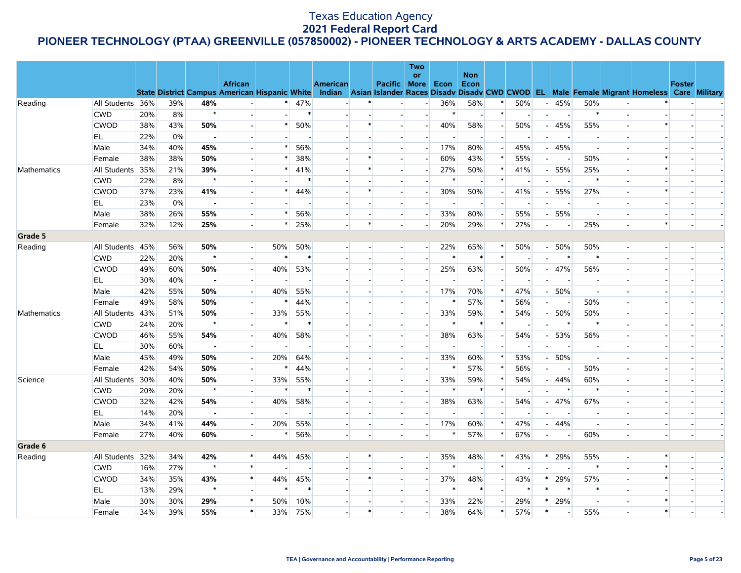|             |                  |     |     |                |                          |        |                |                 |        |                          | Two                      |                          | <b>Non</b>               |                          |                          |                          |     |        |                          |                                                                                                                                                |               |  |
|-------------|------------------|-----|-----|----------------|--------------------------|--------|----------------|-----------------|--------|--------------------------|--------------------------|--------------------------|--------------------------|--------------------------|--------------------------|--------------------------|-----|--------|--------------------------|------------------------------------------------------------------------------------------------------------------------------------------------|---------------|--|
|             |                  |     |     |                | <b>African</b>           |        |                | <b>American</b> |        | Pacific More             | <b>or</b>                | Econ                     | Econ                     |                          |                          |                          |     |        |                          |                                                                                                                                                | <b>Foster</b> |  |
|             |                  |     |     |                |                          |        |                |                 |        |                          |                          |                          |                          |                          |                          |                          |     |        |                          | State District Campus American Hispanic White Indian Asian Islander Races Disadv Disadv CWD CWOD EL Male Female Migrant Homeless Care Military |               |  |
| Reading     | All Students 36% |     | 39% | 48%            |                          | $\ast$ | 47%            |                 |        |                          |                          | 36%                      | 58%                      |                          | 50%                      | $\overline{\phantom{a}}$ | 45% | 50%    | $\overline{\phantom{a}}$ |                                                                                                                                                |               |  |
|             | <b>CWD</b>       | 20% | 8%  | $\star$        |                          |        | $\ast$         |                 |        |                          | $\sim$                   | $\ast$                   | $\overline{\phantom{a}}$ | $\ast$                   | $\overline{\phantom{a}}$ | $\overline{\phantom{a}}$ |     | $\ast$ |                          |                                                                                                                                                |               |  |
|             | <b>CWOD</b>      | 38% | 43% | 50%            |                          | $\ast$ | 50%            |                 |        |                          |                          | 40%                      | 58%                      | $\blacksquare$           | 50%                      | $\overline{\phantom{a}}$ | 45% | 55%    |                          | $\ast$                                                                                                                                         |               |  |
|             | EL               | 22% | 0%  | $\blacksquare$ |                          |        |                |                 |        | $\sim$                   |                          | $\overline{\phantom{a}}$ | $\sim$                   |                          | $\sim$                   |                          |     |        |                          |                                                                                                                                                |               |  |
|             | Male             | 34% | 40% | 45%            |                          | $\ast$ | 56%            |                 |        | $\overline{a}$           | $\overline{\phantom{a}}$ | 17%                      | 80%                      | $\overline{a}$           | 45%                      |                          | 45% |        |                          |                                                                                                                                                |               |  |
|             | Female           | 38% | 38% | 50%            |                          | $\ast$ | 38%            |                 |        |                          |                          | 60%                      | 43%                      | $\ast$                   | 55%                      |                          |     | 50%    |                          | $\ast$                                                                                                                                         |               |  |
| Mathematics | All Students 35% |     | 21% | 39%            |                          | $\ast$ | 41%            |                 |        | $\overline{\phantom{a}}$ |                          | 27%                      | 50%                      | $\ast$                   | 41%                      |                          | 55% | 25%    |                          | $\ast$                                                                                                                                         |               |  |
|             | <b>CWD</b>       | 22% | 8%  | $\star$        |                          |        | $\ast$         |                 |        |                          |                          | $\ast$                   | $\overline{\phantom{a}}$ | *                        |                          |                          |     |        |                          |                                                                                                                                                |               |  |
|             | <b>CWOD</b>      | 37% | 23% | 41%            |                          | $\ast$ | 44%            |                 |        | $\overline{\phantom{a}}$ |                          | 30%                      | 50%                      | $\overline{a}$           | 41%                      |                          | 55% | 27%    |                          | $\ast$                                                                                                                                         |               |  |
|             | EL               | 23% | 0%  | $\sim$         |                          |        |                |                 |        | $\overline{\phantom{a}}$ |                          |                          | $\overline{\phantom{a}}$ |                          | $\overline{\phantom{a}}$ |                          |     |        |                          |                                                                                                                                                |               |  |
|             | Male             | 38% | 26% | 55%            |                          | $\ast$ | 56%            |                 |        | $\overline{\phantom{a}}$ | $\overline{\phantom{a}}$ | 33%                      | 80%                      |                          | 55%                      |                          | 55% |        |                          |                                                                                                                                                |               |  |
|             | Female           | 32% | 12% | 25%            |                          | $\ast$ | 25%            |                 | $\ast$ | $\sim$                   |                          | 20%                      | 29%                      | $\ast$                   | 27%                      | $\overline{\phantom{a}}$ |     | 25%    |                          | $\ast$                                                                                                                                         |               |  |
| Grade 5     |                  |     |     |                |                          |        |                |                 |        |                          |                          |                          |                          |                          |                          |                          |     |        |                          |                                                                                                                                                |               |  |
| Reading     | All Students 45% |     | 56% | 50%            |                          | 50%    | 50%            |                 |        | $\sim$                   | $\sim$                   | 22%                      | 65%                      | $\ast$                   | 50%                      | $-1$                     | 50% | 50%    | $\overline{a}$           |                                                                                                                                                |               |  |
|             | <b>CWD</b>       | 22% | 20% | $\star$        | $\overline{a}$           | $\ast$ | $\ast$         |                 |        | $\overline{\phantom{a}}$ |                          | $\ast$                   | $\ast$                   | $\ast$                   |                          | $\overline{\phantom{a}}$ |     |        | $\overline{\phantom{a}}$ |                                                                                                                                                |               |  |
|             | <b>CWOD</b>      | 49% | 60% | 50%            |                          | 40%    | 53%            |                 |        | $\overline{\phantom{a}}$ |                          | 25%                      | 63%                      |                          | 50%                      | - 1                      | 47% | 56%    |                          |                                                                                                                                                |               |  |
|             | EL.              | 30% | 40% | $\sim$         | $\sim$                   | $\sim$ | $\overline{a}$ |                 |        | $\overline{\phantom{a}}$ |                          |                          | $\sim$                   | $\overline{a}$           | $\overline{\phantom{a}}$ |                          |     |        |                          |                                                                                                                                                |               |  |
|             | Male             | 42% | 55% | 50%            |                          | 40%    | 55%            |                 |        |                          |                          | 17%                      | 70%                      | *                        | 47%                      |                          | 50% |        |                          |                                                                                                                                                |               |  |
|             | Female           | 49% | 58% | 50%            | ы                        | $\ast$ | 44%            |                 |        | $\overline{\phantom{a}}$ |                          | $\ast$                   | 57%                      | $\ast$                   | 56%                      | $\overline{a}$           |     | 50%    |                          |                                                                                                                                                |               |  |
| Mathematics | All Students 43% |     | 51% | 50%            | $\overline{a}$           | 33%    | 55%            |                 |        | $\overline{\phantom{a}}$ |                          | 33%                      | 59%                      | $\ast$                   | 54%                      |                          | 50% | 50%    |                          |                                                                                                                                                |               |  |
|             | <b>CWD</b>       | 24% | 20% | $\star$        |                          | $\ast$ | $\ast$         |                 |        |                          |                          | $\ast$                   | $\ast$                   | $\ast$                   |                          |                          |     |        |                          |                                                                                                                                                |               |  |
|             | <b>CWOD</b>      | 46% | 55% | 54%            | $\sim$                   | 40%    | 58%            |                 |        | $\overline{\phantom{a}}$ |                          | 38%                      | 63%                      | $\sim$                   | 54%                      |                          | 53% | 56%    |                          |                                                                                                                                                |               |  |
|             | EL               | 30% | 60% | $\blacksquare$ |                          |        |                |                 |        |                          |                          |                          |                          |                          |                          |                          |     |        |                          |                                                                                                                                                |               |  |
|             | Male             | 45% | 49% | 50%            | ۰                        | 20%    | 64%            |                 |        | $\overline{a}$           |                          | 33%                      | 60%                      | $\ast$                   | 53%                      |                          | 50% |        |                          |                                                                                                                                                |               |  |
|             | Female           | 42% | 54% | 50%            | $\overline{a}$           | $\ast$ | 44%            |                 |        | $\overline{\phantom{a}}$ |                          | $\ast$                   | 57%                      | $\ast$                   | 56%                      | $\overline{\phantom{a}}$ |     | 50%    |                          |                                                                                                                                                |               |  |
| Science     | All Students 30% |     | 40% | 50%            |                          | 33%    | 55%            |                 |        |                          |                          | 33%                      | 59%                      | $\ast$                   | 54%                      |                          | 44% | 60%    |                          |                                                                                                                                                |               |  |
|             | <b>CWD</b>       | 20% | 20% | $\star$        | $\sim$                   | $\ast$ | $\ast$         |                 |        | $\overline{\phantom{a}}$ |                          | $\ast$                   | $\ast$                   | $\ast$                   | $\overline{\phantom{a}}$ |                          |     |        |                          |                                                                                                                                                |               |  |
|             | <b>CWOD</b>      | 32% | 42% | 54%            |                          | 40%    | 58%            |                 |        |                          |                          | 38%                      | 63%                      |                          | 54%                      |                          | 47% | 67%    |                          |                                                                                                                                                |               |  |
|             | EL               | 14% | 20% | $\blacksquare$ |                          |        |                |                 |        |                          |                          | $\overline{\phantom{a}}$ | $\overline{\phantom{a}}$ |                          |                          |                          |     |        |                          |                                                                                                                                                |               |  |
|             | Male             | 34% | 41% | 44%            | $\overline{\phantom{a}}$ | 20%    | 55%            |                 |        | $\overline{\phantom{a}}$ | $\overline{\phantom{a}}$ | 17%                      | 60%                      | $\ast$                   | 47%                      |                          | 44% |        |                          |                                                                                                                                                |               |  |
|             | Female           | 27% | 40% | 60%            |                          | $\ast$ | 56%            |                 |        |                          |                          | $\ast$                   | 57%                      | $\ast$                   | 67%                      | $\overline{a}$           |     | 60%    |                          |                                                                                                                                                |               |  |
| Grade 6     |                  |     |     |                |                          |        |                |                 |        |                          |                          |                          |                          |                          |                          |                          |     |        |                          |                                                                                                                                                |               |  |
| Reading     | All Students 32% |     | 34% | 42%            | $\ast$                   | 44%    | 45%            |                 |        |                          | $\overline{\phantom{a}}$ | 35%                      | 48%                      | *                        | 43%                      | $\ast$                   | 29% | 55%    | $\frac{1}{2}$            | $\ast$                                                                                                                                         |               |  |
|             | <b>CWD</b>       | 16% | 27% | $\star$        | $\ast$                   |        |                |                 |        |                          |                          | $\ast$                   | $\sim$                   | $\ast$                   |                          |                          |     | $\ast$ |                          | $\ast$                                                                                                                                         |               |  |
|             | <b>CWOD</b>      | 34% | 35% | 43%            | $\ast$                   | 44%    | 45%            |                 |        | $\overline{a}$           |                          | 37%                      | 48%                      | $\overline{\phantom{a}}$ | 43%                      | $\ast$                   | 29% | 57%    |                          | $\ast$                                                                                                                                         |               |  |
|             | EL               | 13% | 29% | $\star$        |                          | $\ast$ | $\ast$         |                 |        |                          |                          | $\ast$                   | $\ast$                   |                          | $\ast$                   | $\ast$                   |     |        |                          |                                                                                                                                                |               |  |
|             | Male             | 30% | 30% | 29%            | $\ast$                   | 50%    | 10%            |                 |        | $\overline{\phantom{a}}$ |                          | 33%                      | 22%                      | $\overline{\phantom{a}}$ | 29%                      | $\ast$                   | 29% |        |                          | $\ast$                                                                                                                                         |               |  |
|             | Female           | 34% | 39% | 55%            | $\ast$                   | 33%    | 75%            |                 |        |                          |                          | 38%                      | 64%                      | $\ast$                   | 57%                      | $\ast$                   |     | 55%    |                          | $\ast$                                                                                                                                         |               |  |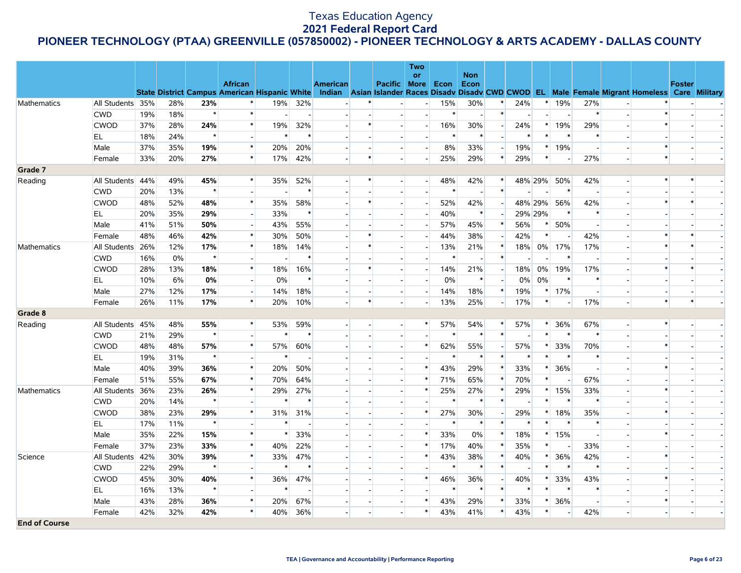|                      |                  |     |     |         |                          |                          |                |                          |        |                          | <b>Two</b>               |        |                          |                          |        |                |                          |        |                          |                                                                                                                                                |               |  |
|----------------------|------------------|-----|-----|---------|--------------------------|--------------------------|----------------|--------------------------|--------|--------------------------|--------------------------|--------|--------------------------|--------------------------|--------|----------------|--------------------------|--------|--------------------------|------------------------------------------------------------------------------------------------------------------------------------------------|---------------|--|
|                      |                  |     |     |         | <b>African</b>           |                          |                | <b>American</b>          |        | Pacific More             | <b>or</b>                | Econ   | <b>Non</b><br>Econ       |                          |        |                |                          |        |                          |                                                                                                                                                | <b>Foster</b> |  |
|                      |                  |     |     |         |                          |                          |                |                          |        |                          |                          |        |                          |                          |        |                |                          |        |                          | State District Campus American Hispanic White Indian Asian Islander Races Disadv Disadv CWD CWOD EL Male Female Migrant Homeless Care Military |               |  |
| Mathematics          | All Students 35% |     | 28% | 23%     |                          | 19%                      | 32%            |                          |        |                          |                          | 15%    | 30%                      |                          | 24%    |                | 19%                      | 27%    |                          |                                                                                                                                                |               |  |
|                      | <b>CWD</b>       | 19% | 18% | $\star$ | $\ast$                   | $\overline{\phantom{a}}$ | $\blacksquare$ |                          |        | $\overline{\phantom{a}}$ |                          | $\ast$ | $\overline{\phantom{a}}$ | $\ast$                   |        | $\blacksquare$ |                          | $\ast$ |                          | $\ast$                                                                                                                                         |               |  |
|                      | <b>CWOD</b>      | 37% | 28% | 24%     | $\ast$                   | 19%                      | 32%            |                          |        |                          |                          | 16%    | 30%                      |                          | 24%    | $\ast$         | 19%                      | 29%    |                          | $\ast$                                                                                                                                         |               |  |
|                      | EL               | 18% | 24% | $\star$ | $\sim$                   | $\ast$                   | $\ast$         |                          |        | $\overline{a}$           | $\blacksquare$           | $\ast$ | $\ast$                   | $\sim$                   | $\ast$ | $\ast$         |                          |        |                          |                                                                                                                                                |               |  |
|                      | Male             | 37% | 35% | 19%     | $\ast$                   | 20%                      | 20%            |                          |        | $\overline{a}$           | $\overline{\phantom{a}}$ | 8%     | 33%                      | $\overline{\phantom{a}}$ | 19%    | $\ast$         | 19%                      |        |                          | $\ast$                                                                                                                                         |               |  |
|                      | Female           | 33% | 20% | 27%     | $\ast$                   | 17%                      | 42%            |                          | $\ast$ | $\sim$                   | $\sim$                   | 25%    | 29%                      | $\ast$                   | 29%    | $\ast$         | $\overline{\phantom{a}}$ | 27%    |                          | $\ast$                                                                                                                                         |               |  |
| Grade 7              |                  |     |     |         |                          |                          |                |                          |        |                          |                          |        |                          |                          |        |                |                          |        |                          |                                                                                                                                                |               |  |
| Reading              | All Students 44% |     | 49% | 45%     | $\ast$                   | 35%                      | 52%            |                          | $\ast$ | $\overline{\phantom{a}}$ | $\blacksquare$           | 48%    | 42%                      | $\ast$                   |        | 48% 29%        | 50%                      | 42%    | $\sim$                   | $\ast$                                                                                                                                         | $\ast$        |  |
|                      | <b>CWD</b>       | 20% | 13% | $\star$ |                          |                          | $\ast$         |                          |        |                          |                          | $\ast$ | $\sim$                   | $\ast$                   |        |                | $\ast$                   |        |                          |                                                                                                                                                |               |  |
|                      | <b>CWOD</b>      | 48% | 52% | 48%     | $\ast$                   | 35%                      | 58%            |                          |        | $\overline{a}$           | $\overline{\phantom{a}}$ | 52%    | 42%                      |                          |        | 48% 29%        | 56%                      | 42%    |                          | $\ast$                                                                                                                                         | $\ast$        |  |
|                      | EL               | 20% | 35% | 29%     |                          | 33%                      | $\ast$         |                          |        |                          |                          | 40%    | $\ast$                   |                          |        | 29% 29%        | $\ast$                   |        |                          |                                                                                                                                                |               |  |
|                      | Male             | 41% | 51% | 50%     | $\overline{a}$           | 43%                      | 55%            |                          |        | $\mathbf{L}$             |                          | 57%    | 45%                      | $\ast$                   | 56%    | $\ast$         | 50%                      |        |                          |                                                                                                                                                |               |  |
|                      | Female           | 48% | 46% | 42%     | $\ast$                   | 30%                      | 50%            | $\overline{\phantom{a}}$ |        | $\overline{\phantom{a}}$ |                          | 44%    | 38%                      |                          | 42%    | $\ast$         |                          | 42%    |                          | $\ast$                                                                                                                                         |               |  |
| Mathematics          | All Students 26% |     | 12% | 17%     | $\ast$                   | 18%                      | 14%            |                          |        | $\sim$                   |                          | 13%    | 21%                      | $\ast$                   | 18%    | $0\%$          | 17%                      | 17%    |                          | $\ast$                                                                                                                                         | $\ast$        |  |
|                      | <b>CWD</b>       | 16% | 0%  | $\star$ |                          |                          | $\ast$         |                          |        |                          |                          | $\ast$ |                          | $\ast$                   |        |                |                          |        |                          |                                                                                                                                                |               |  |
|                      | <b>CWOD</b>      | 28% | 13% | 18%     | $\pmb{\ast}$             | 18%                      | 16%            |                          |        | $\overline{a}$           |                          | 14%    | 21%                      |                          | 18%    | 0%             | 19%                      | 17%    |                          | $\ast$                                                                                                                                         |               |  |
|                      | <b>EL</b>        | 10% | 6%  | 0%      |                          | $0\%$                    | $\ast$         |                          |        | п.                       |                          | 0%     | $\ast$                   |                          | $0\%$  | 0%             |                          |        |                          |                                                                                                                                                |               |  |
|                      | Male             | 27% | 12% | 17%     | $\overline{\phantom{a}}$ | 14%                      | 18%            |                          |        | $\overline{\phantom{a}}$ |                          | 14%    | 18%                      | $\ast$                   | 19%    | $\ast$         | 17%                      |        |                          |                                                                                                                                                |               |  |
|                      | Female           | 26% | 11% | 17%     | $\ast$                   | 20%                      | 10%            |                          | $\ast$ | $\overline{\phantom{a}}$ |                          | 13%    | 25%                      | $\overline{\phantom{a}}$ | 17%    | $\ast$         |                          | 17%    |                          | $\ast$                                                                                                                                         |               |  |
| Grade 8              |                  |     |     |         |                          |                          |                |                          |        |                          |                          |        |                          |                          |        |                |                          |        |                          |                                                                                                                                                |               |  |
| Reading              | All Students 45% |     | 48% | 55%     | $\ast$                   | 53%                      | 59%            |                          |        | $\overline{a}$           | $\ast$                   | 57%    | 54%                      | $\ast$                   | 57%    | $\ast$         | 36%                      | 67%    | $\overline{\phantom{a}}$ | $\ast$                                                                                                                                         |               |  |
|                      | <b>CWD</b>       | 21% | 29% | $\star$ | $\overline{\phantom{0}}$ | $\ast$                   | $\ast$         |                          |        |                          |                          | $\ast$ | $\ast$                   | $\ast$                   |        | $\ast$         | $\ast$                   |        |                          |                                                                                                                                                |               |  |
|                      | <b>CWOD</b>      | 48% | 48% | 57%     | $\ast$                   | 57%                      | 60%            |                          |        | $\overline{a}$           | $\ast$                   | 62%    | 55%                      | $\overline{a}$           | 57%    | $\ast$         | 33%                      | 70%    |                          | $\ast$                                                                                                                                         |               |  |
|                      | EL               | 19% | 31% | $\star$ |                          | $\ast$                   |                |                          |        |                          |                          | $\ast$ | $\ast$                   | $\ast$                   | $\ast$ | $\ast$         |                          |        |                          |                                                                                                                                                |               |  |
|                      | Male             | 40% | 39% | 36%     | $\ast$                   | 20%                      | 50%            |                          |        | $\overline{a}$           | $\ast$                   | 43%    | 29%                      | $\ast$                   | 33%    | *              | 36%                      |        |                          | $\ast$                                                                                                                                         |               |  |
|                      | Female           | 51% | 55% | 67%     | $\ast$                   | 70%                      | 64%            |                          |        | $\overline{\phantom{a}}$ | $\ast$                   | 71%    | 65%                      |                          | 70%    | $\ast$         |                          | 67%    |                          |                                                                                                                                                |               |  |
| Mathematics          | All Students 36% |     | 23% | 26%     | $\ast$                   | 29%                      | 27%            |                          |        | $\overline{\phantom{a}}$ | $\ast$                   | 25%    | 27%                      | $\ast$                   | 29%    | $\ast$         | 15%                      | 33%    |                          | $\ast$                                                                                                                                         |               |  |
|                      | <b>CWD</b>       | 20% | 14% | $\star$ |                          | $\ast$                   | $\ast$         |                          |        | $\overline{\phantom{a}}$ |                          | $\ast$ | $\ast$                   | $\ast$                   |        | $\ast$         |                          |        |                          |                                                                                                                                                |               |  |
|                      | <b>CWOD</b>      | 38% | 23% | 29%     | $\pmb{\ast}$             | 31%                      | 31%            |                          |        | $\overline{a}$           | $\ast$                   | 27%    | 30%                      |                          | 29%    | $\ast$         | 18%                      | 35%    |                          | $\ast$                                                                                                                                         |               |  |
|                      | EL               | 17% | 11% | $\star$ | $\sim$                   | $\ast$                   |                | $\overline{\phantom{a}}$ |        | $\overline{\phantom{a}}$ |                          |        | $\ast$                   | $\ast$                   |        |                |                          |        |                          |                                                                                                                                                |               |  |
|                      | Male             | 35% | 22% | 15%     | $\ast$                   | $\ast$                   | 33%            |                          |        | $\overline{\phantom{a}}$ | $\ast$                   | 33%    | $0\%$                    | $\ast$                   | 18%    | $\ast$         | 15%                      |        |                          | $\ast$                                                                                                                                         |               |  |
|                      | Female           | 37% | 23% | 33%     | $\ast$                   | 40%                      | 22%            |                          |        | $\overline{a}$           | $\ast$                   | 17%    | 40%                      | $\ast$                   | 35%    | $\ast$         |                          | 33%    |                          |                                                                                                                                                |               |  |
| Science              | All Students 42% |     | 30% | 39%     | $\ast$                   | 33%                      | 47%            |                          |        | $\overline{\phantom{a}}$ | $\ast$                   | 43%    | 38%                      | $\ast$                   | 40%    | $\ast$         | 36%                      | 42%    |                          | $\ast$                                                                                                                                         |               |  |
|                      | <b>CWD</b>       | 22% | 29% | $\star$ |                          | $\ast$                   | $\ast$         |                          |        |                          |                          |        | $\ast$                   | $\ast$                   |        | $\ast$         |                          |        |                          |                                                                                                                                                |               |  |
|                      | <b>CWOD</b>      | 45% | 30% | 40%     | $\ast$                   | 36%                      | 47%            |                          |        | $\overline{\phantom{a}}$ | $\ast$                   | 46%    | 36%                      |                          | 40%    | $\ast$         | 33%                      | 43%    |                          | $\ast$                                                                                                                                         |               |  |
|                      | EL.              | 16% | 13% | $\star$ |                          | $\ast$                   |                |                          |        | $\sim$                   |                          | $\ast$ | $\ast$                   | $\ast$                   | $\ast$ | $\ast$         |                          |        |                          |                                                                                                                                                |               |  |
|                      | Male             | 43% | 28% | 36%     | $\ast$                   | 20%                      | 67%            |                          |        |                          | $\ast$                   | 43%    | 29%                      | $\ast$                   | 33%    | $\ast$         | 36%                      |        |                          | $\ast$                                                                                                                                         |               |  |
|                      | Female           | 42% | 32% | 42%     | $\ast$                   | 40%                      | 36%            | $\overline{\phantom{a}}$ |        | $\mathbf{r}$             | $\ast$                   | 43%    | 41%                      | $\ast$                   | 43%    | $*$            |                          | 42%    | $\overline{a}$           | $\overline{a}$                                                                                                                                 |               |  |
| <b>End of Course</b> |                  |     |     |         |                          |                          |                |                          |        |                          |                          |        |                          |                          |        |                |                          |        |                          |                                                                                                                                                |               |  |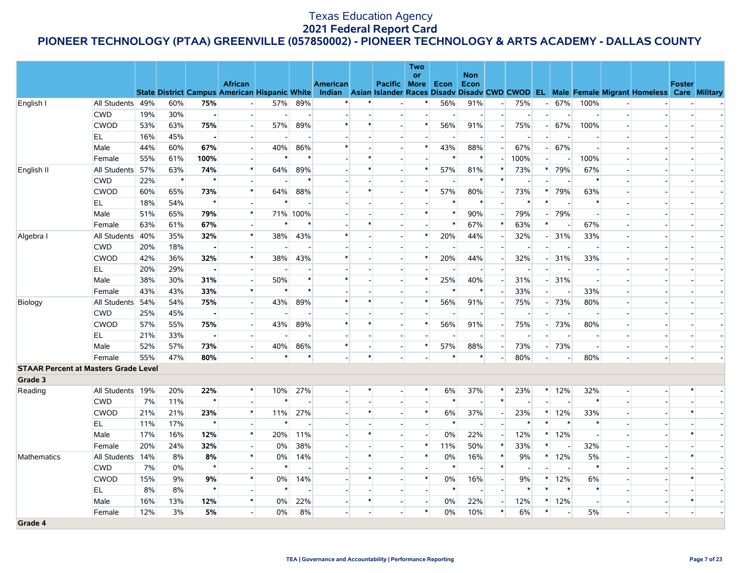|                                             |                  |     |        |                |                                                                        |        |                          |                 |                          |                          | <b>Two</b><br><b>or</b> |                | <b>Non</b>               |                          |        |        |                          |        |                          |                                                                                                  |               |  |
|---------------------------------------------|------------------|-----|--------|----------------|------------------------------------------------------------------------|--------|--------------------------|-----------------|--------------------------|--------------------------|-------------------------|----------------|--------------------------|--------------------------|--------|--------|--------------------------|--------|--------------------------|--------------------------------------------------------------------------------------------------|---------------|--|
|                                             |                  |     |        |                | <b>African</b>                                                         |        |                          | <b>American</b> |                          | Pacific More             |                         | Econ           | Econ                     |                          |        |        |                          |        |                          |                                                                                                  | <b>Foster</b> |  |
| English I                                   | All Students 49% |     | 60%    | 75%            | <b>State District Campus American Hispanic White</b><br>$\overline{a}$ | 57%    | 89%                      |                 |                          |                          |                         | 56%            | 91%                      | $\overline{\phantom{a}}$ | 75%    |        | 67%                      | 100%   |                          | Indian Asian Islander Races Disady Disady CWD CWOD EL Male Female Migrant Homeless Care Military |               |  |
|                                             | <b>CWD</b>       | 19% | 30%    | $\bullet$      |                                                                        |        | $\sim$                   |                 |                          |                          |                         | $\blacksquare$ | $\overline{\phantom{a}}$ | $\overline{\phantom{a}}$ |        |        |                          |        |                          |                                                                                                  |               |  |
|                                             | <b>CWOD</b>      | 53% | 63%    | 75%            |                                                                        | 57%    | 89%                      | $\ast$          |                          |                          | $\ast$                  | 56%            | 91%                      |                          | 75%    |        | 67%                      | 100%   |                          |                                                                                                  |               |  |
|                                             | EL               | 16% | 45%    | $\sim$         | $\overline{a}$                                                         |        | $\overline{\phantom{a}}$ |                 |                          |                          |                         |                |                          | $\sim$                   |        |        |                          |        |                          |                                                                                                  |               |  |
|                                             | Male             | 44% | 60%    | 67%            | ٠                                                                      | 40%    | 86%                      | $\ast$          |                          |                          | $\ast$                  | 43%            | 88%                      | $\overline{a}$           | 67%    |        | 67%                      |        |                          |                                                                                                  |               |  |
|                                             | Female           | 55% | 61%    | 100%           | $\blacksquare$                                                         | $\ast$ | $\ast$                   |                 |                          |                          |                         | $\ast$         | $\ast$                   | $\overline{a}$           | 100%   | ٠L     |                          | 100%   |                          | $\overline{a}$                                                                                   |               |  |
| English II                                  | All Students 57% |     | 63%    | 74%            | $\ast$                                                                 | 64%    | 89%                      |                 | $\ast$                   |                          | $\ast$                  | 57%            | 81%                      | *                        | 73%    | $\ast$ | 79%                      | 67%    |                          | $\overline{\phantom{a}}$                                                                         |               |  |
|                                             | <b>CWD</b>       | 22% | $\ast$ | $\star$        |                                                                        |        | $\ast$                   |                 |                          |                          |                         |                | $\ast$                   | $\ast$                   |        |        |                          |        |                          | $\overline{\phantom{a}}$                                                                         |               |  |
|                                             | <b>CWOD</b>      | 60% | 65%    | 73%            | $\ast$                                                                 | 64%    | 88%                      |                 |                          |                          | $\ast$                  | 57%            | 80%                      |                          | 73%    |        | 79%                      | 63%    |                          |                                                                                                  |               |  |
|                                             | EL.              | 18% | 54%    | $\star$        |                                                                        | $\ast$ |                          |                 |                          |                          |                         | $\ast$         | $\ast$                   |                          | $\ast$ | $\ast$ |                          |        |                          | $\overline{\phantom{a}}$                                                                         |               |  |
|                                             | Male             | 51% | 65%    | 79%            | $\ast$                                                                 |        | 71% 100%                 |                 |                          |                          |                         | $\ast$         | 90%                      |                          | 79%    |        | 79%                      |        |                          |                                                                                                  |               |  |
|                                             | Female           | 63% | 61%    | 67%            | ы                                                                      |        | $\ast$                   |                 | $\ast$                   |                          |                         | $\ast$         | 67%                      | $\ast$                   | 63%    | $\ast$ |                          | 67%    |                          | $\sim$                                                                                           |               |  |
| Algebra I                                   | All Students 40% |     | 35%    | 32%            | $\ast$                                                                 | 38%    | 43%                      | $\ast$          |                          |                          | $\ast$                  | 20%            | 44%                      | $\overline{\phantom{a}}$ | 32%    |        | 31%                      | 33%    |                          | $\overline{\phantom{a}}$                                                                         |               |  |
|                                             | <b>CWD</b>       | 20% | 18%    | $\blacksquare$ |                                                                        |        |                          |                 |                          |                          |                         |                | $\sim$                   |                          |        |        |                          |        |                          | $\sim$                                                                                           |               |  |
|                                             | <b>CWOD</b>      | 42% | 36%    | 32%            | *                                                                      | 38%    | 43%                      | $\ast$          |                          |                          |                         | 20%            | 44%                      | $\overline{\phantom{a}}$ | 32%    |        | 31%                      | 33%    |                          | $\overline{\phantom{a}}$                                                                         |               |  |
|                                             | EL               | 20% | 29%    |                |                                                                        |        |                          |                 |                          |                          |                         |                |                          |                          |        |        |                          |        |                          |                                                                                                  |               |  |
|                                             | Male             | 38% | 30%    | 31%            | $\overline{\phantom{a}}$                                               | 50%    | $\ast$                   |                 |                          |                          | $\ast$                  | 25%            | 40%                      | $\overline{\phantom{a}}$ | 31%    |        | 31%                      |        |                          |                                                                                                  |               |  |
|                                             | Female           | 43% | 43%    | 33%            | $\ast$                                                                 | $\ast$ | $\ast$                   |                 |                          |                          |                         | $\ast$         | $\ast$                   |                          | 33%    |        |                          | 33%    |                          |                                                                                                  |               |  |
| Biology                                     | All Students     | 54% | 54%    | 75%            | $\overline{\phantom{0}}$                                               | 43%    | 89%                      |                 |                          |                          |                         | 56%            | 91%                      | $\overline{\phantom{a}}$ | 75%    |        | 73%                      | 80%    |                          | $\blacksquare$                                                                                   |               |  |
|                                             | <b>CWD</b>       | 25% | 45%    |                |                                                                        |        |                          |                 |                          |                          |                         |                |                          |                          |        |        |                          |        |                          |                                                                                                  |               |  |
|                                             | <b>CWOD</b>      | 57% | 55%    | 75%            | $\overline{\phantom{a}}$                                               | 43%    | 89%                      | $\ast$          |                          | $\overline{\phantom{a}}$ | $\ast$                  | 56%            | 91%                      | $\overline{\phantom{a}}$ | 75%    |        | 73%                      | 80%    |                          | $\overline{\phantom{a}}$                                                                         |               |  |
|                                             | EL               | 21% | 33%    | $\blacksquare$ | ٠                                                                      |        |                          |                 |                          |                          |                         |                |                          |                          |        |        |                          |        |                          | $\overline{\phantom{a}}$                                                                         |               |  |
|                                             | Male             | 52% | 57%    | 73%            | u.                                                                     | 40%    | 86%                      | $\ast$          |                          | $\overline{\phantom{a}}$ | $\ast$                  | 57%            | 88%                      | $\overline{\phantom{a}}$ | 73%    |        | 73%                      |        |                          | $\overline{a}$                                                                                   |               |  |
|                                             | Female           | 55% | 47%    | 80%            |                                                                        | $\ast$ | $\ast$                   |                 |                          |                          |                         | *              |                          |                          | 80%    |        |                          | 80%    |                          | $\overline{a}$                                                                                   |               |  |
| <b>STAAR Percent at Masters Grade Level</b> |                  |     |        |                |                                                                        |        |                          |                 |                          |                          |                         |                |                          |                          |        |        |                          |        |                          |                                                                                                  |               |  |
| Grade 3                                     |                  |     |        |                |                                                                        |        |                          |                 |                          |                          |                         |                |                          |                          |        |        |                          |        |                          |                                                                                                  |               |  |
| Reading                                     | All Students 19% |     | 20%    | 22%            | $\ast$                                                                 | 10%    | 27%                      |                 |                          |                          | ∗                       | 6%             | 37%                      | $\ast$                   | 23%    |        | $*$ 12%                  | 32%    | $\blacksquare$           | $\overline{\phantom{a}}$                                                                         | *             |  |
|                                             | <b>CWD</b>       | 7%  | 11%    | $\star$        |                                                                        | $\ast$ |                          |                 |                          |                          |                         | $\ast$         |                          | $\ast$                   |        |        |                          | $\ast$ |                          | $\overline{\phantom{a}}$                                                                         |               |  |
|                                             | <b>CWOD</b>      | 21% | 21%    | 23%            | $\pmb{\ast}$                                                           | 11%    | 27%                      |                 | $\ast$                   |                          | $\ast$                  | 6%             | 37%                      | $\overline{\phantom{a}}$ | 23%    | $\ast$ | 12%                      | 33%    |                          | $\sim$                                                                                           | $\ast$        |  |
|                                             | <b>EL</b>        | 11% | 17%    | $\star$        |                                                                        |        |                          |                 |                          |                          |                         |                |                          |                          |        |        | $\ast$                   |        |                          |                                                                                                  |               |  |
|                                             | Male             | 17% | 16%    | 12%            | $\ast$                                                                 | 20%    | 11%                      |                 |                          |                          |                         | 0%             | 22%                      | $\overline{a}$           | 12%    | $\ast$ | 12%                      |        |                          | $\overline{a}$                                                                                   |               |  |
|                                             | Female           | 20% | 24%    | 32%            |                                                                        | 0%     | 38%                      |                 |                          |                          | $\ast$                  | 11%            | 50%                      | $\ast$                   | 33%    | $\ast$ |                          | 32%    |                          |                                                                                                  |               |  |
| Mathematics                                 | All Students 14% |     | 8%     | 8%             | $\ast$                                                                 | $0\%$  | 14%                      |                 |                          |                          | $\ast$                  | 0%             | 16%                      | $\ast$                   | 9%     | $\ast$ | 12%                      | 5%     |                          |                                                                                                  |               |  |
|                                             | <b>CWD</b>       | 7%  | $0\%$  | $\star$        |                                                                        |        | $\overline{\phantom{a}}$ |                 |                          |                          |                         |                |                          | $\ast$                   |        |        |                          |        |                          | $\overline{\phantom{a}}$                                                                         |               |  |
|                                             | <b>CWOD</b>      | 15% | 9%     | 9%             | $\ast$                                                                 | 0%     | 14%                      |                 |                          |                          | $\ast$                  | 0%             | 16%                      | $\overline{\phantom{a}}$ | $9\%$  | $\ast$ | 12%                      | 6%     |                          |                                                                                                  |               |  |
|                                             | EL.              | 8%  | 8%     | $\star$        |                                                                        | $\ast$ |                          |                 |                          |                          |                         | $\ast$         |                          | $\overline{a}$           | ∗      | $\ast$ | ∗                        |        |                          | $\overline{a}$                                                                                   |               |  |
|                                             | Male             | 16% | 13%    | 12%            | $\pmb{\ast}$                                                           | $0\%$  | 22%                      |                 |                          |                          |                         | 0%             | 22%                      | $\overline{\phantom{a}}$ | 12%    | $\ast$ | 12%                      |        |                          | $\blacksquare$                                                                                   | $\ast$        |  |
|                                             | Female           | 12% | 3%     | 5%             | $\overline{\phantom{0}}$                                               | 0%     | 8%                       |                 | $\overline{\phantom{a}}$ |                          | $\ast$                  | 0%             | 10%                      | $\ast$                   | 6%     | $\ast$ | $\overline{\phantom{a}}$ | 5%     | $\overline{\phantom{a}}$ | $\overline{\phantom{a}}$                                                                         |               |  |
| Grade 4                                     |                  |     |        |                |                                                                        |        |                          |                 |                          |                          |                         |                |                          |                          |        |        |                          |        |                          |                                                                                                  |               |  |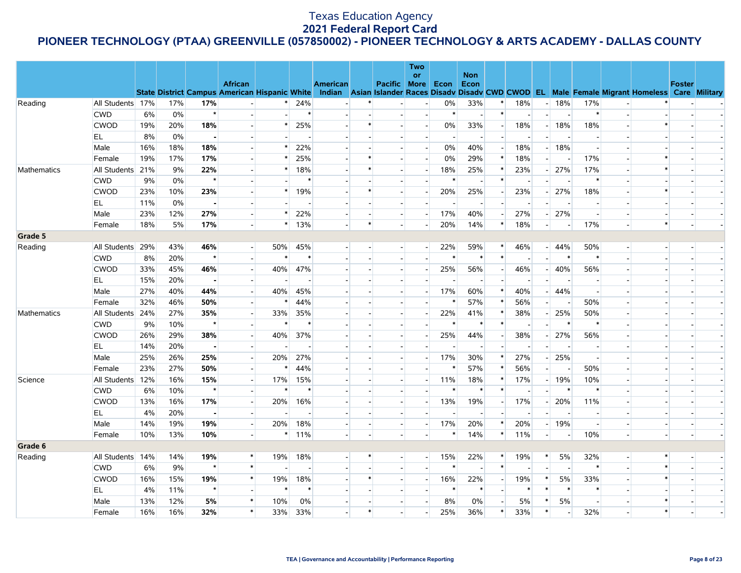|             |                  |     |     |                |                          |        |                          |                 |        |                          | Two<br><b>or</b> |        | <b>Non</b>               |                          |                          |                          |         |        |                          |                                                                                                                                                |               |  |
|-------------|------------------|-----|-----|----------------|--------------------------|--------|--------------------------|-----------------|--------|--------------------------|------------------|--------|--------------------------|--------------------------|--------------------------|--------------------------|---------|--------|--------------------------|------------------------------------------------------------------------------------------------------------------------------------------------|---------------|--|
|             |                  |     |     |                | <b>African</b>           |        |                          | <b>American</b> |        | <b>Pacific More Econ</b> |                  |        | Econ                     |                          |                          |                          |         |        |                          |                                                                                                                                                | <b>Foster</b> |  |
|             |                  |     |     |                |                          |        |                          |                 |        |                          |                  |        |                          |                          |                          |                          |         |        |                          | State District Campus American Hispanic White Indian Asian Islander Races Disadv Disadv CWD CWOD EL Male Female Migrant Homeless Care Military |               |  |
| Reading     | All Students 17% |     | 17% | 17%            | $\sim$                   | $\ast$ | 24%                      |                 |        |                          |                  | 0%     | 33%                      |                          | 18%                      | $-1$                     | 18%     | 17%    | $\overline{\phantom{a}}$ |                                                                                                                                                |               |  |
|             | <b>CWD</b>       | 6%  | 0%  | $\star$        |                          |        | $\ast$                   |                 |        |                          |                  | $\ast$ | $\sim$                   | $\ast$                   | $\overline{\phantom{a}}$ | $\overline{\phantom{a}}$ |         | $\ast$ |                          |                                                                                                                                                |               |  |
|             | <b>CWOD</b>      | 19% | 20% | 18%            |                          |        | 25%                      |                 |        |                          |                  | $0\%$  | 33%                      | $\overline{\phantom{a}}$ | 18%                      | $\overline{a}$           | 18%     | 18%    |                          |                                                                                                                                                |               |  |
|             | EL.              | 8%  | 0%  | $\blacksquare$ |                          |        |                          |                 |        |                          |                  |        | $\overline{\phantom{a}}$ |                          | $\overline{\phantom{a}}$ |                          |         |        |                          |                                                                                                                                                |               |  |
|             | Male             | 16% | 18% | 18%            | $\sim$                   |        | 22%                      |                 |        |                          |                  | 0%     | 40%                      | $\overline{\phantom{a}}$ | 18%                      |                          | 18%     |        |                          |                                                                                                                                                |               |  |
|             | Female           | 19% | 17% | 17%            |                          |        | 25%                      |                 |        |                          |                  | 0%     | 29%                      | $\ast$                   | 18%                      |                          |         | 17%    |                          |                                                                                                                                                |               |  |
| Mathematics | All Students 21% |     | 9%  | 22%            |                          | $\ast$ | 18%                      |                 |        |                          |                  | 18%    | 25%                      | $\ast$                   | 23%                      |                          | 27%     | 17%    |                          | $\ast$                                                                                                                                         |               |  |
|             | <b>CWD</b>       | 9%  | 0%  | $\star$        |                          |        | $\ast$                   |                 |        |                          |                  | $\ast$ |                          | $\ast$                   |                          |                          |         | $\ast$ |                          |                                                                                                                                                |               |  |
|             | <b>CWOD</b>      | 23% | 10% | 23%            |                          |        | 19%                      |                 |        |                          |                  | 20%    | 25%                      | $\overline{\phantom{a}}$ | 23%                      |                          | 27%     | 18%    |                          | $\ast$                                                                                                                                         |               |  |
|             | EL               | 11% | 0%  | $\blacksquare$ |                          |        |                          |                 |        |                          |                  |        |                          |                          |                          |                          |         |        |                          |                                                                                                                                                |               |  |
|             | Male             | 23% | 12% | 27%            |                          | $\ast$ | 22%                      |                 |        |                          |                  | 17%    | 40%                      |                          | 27%                      |                          | 27%     |        |                          |                                                                                                                                                |               |  |
|             | Female           | 18% | 5%  | 17%            |                          | $\ast$ | 13%                      |                 | $\ast$ |                          |                  | 20%    | 14%                      | $\ast$                   | 18%                      | $\overline{\phantom{a}}$ |         | 17%    |                          | $\ast$                                                                                                                                         |               |  |
| Grade 5     |                  |     |     |                |                          |        |                          |                 |        |                          |                  |        |                          |                          |                          |                          |         |        |                          |                                                                                                                                                |               |  |
| Reading     | All Students 29% |     | 43% | 46%            | $\overline{a}$           | 50%    | 45%                      |                 |        |                          |                  | 22%    | 59%                      | $\ast$                   | 46%                      |                          | $- 44%$ | 50%    | $\overline{a}$           |                                                                                                                                                |               |  |
|             | <b>CWD</b>       | 8%  | 20% | $\star$        | $\blacksquare$           |        | $\ast$                   |                 |        |                          |                  | $\ast$ | $\ast$                   | $\ast$                   |                          |                          |         |        |                          |                                                                                                                                                |               |  |
|             | <b>CWOD</b>      | 33% | 45% | 46%            | $\Box$                   | 40%    | 47%                      |                 |        |                          |                  | 25%    | 56%                      |                          | 46%                      |                          | 40%     | 56%    |                          |                                                                                                                                                |               |  |
|             | EL               | 15% | 20% | $\blacksquare$ | $\blacksquare$           |        | $\overline{\phantom{a}}$ |                 |        |                          |                  |        | $\sim$                   | $\overline{\phantom{a}}$ | $\overline{\phantom{a}}$ |                          |         |        |                          |                                                                                                                                                |               |  |
|             | Male             | 27% | 40% | 44%            |                          | 40%    | 45%                      |                 |        |                          |                  | 17%    | 60%                      | *                        | 40%                      |                          | 44%     |        |                          |                                                                                                                                                |               |  |
|             | Female           | 32% | 46% | 50%            | $\overline{a}$           |        | 44%                      |                 |        |                          |                  | $\ast$ | 57%                      | $\ast$                   | 56%                      | $\overline{a}$           |         | 50%    |                          |                                                                                                                                                |               |  |
| Mathematics | All Students 24% |     | 27% | 35%            | $\blacksquare$           | 33%    | 35%                      |                 |        |                          |                  | 22%    | 41%                      |                          | 38%                      |                          | 25%     | 50%    |                          |                                                                                                                                                |               |  |
|             | <b>CWD</b>       | 9%  | 10% | $\star$        |                          |        | $\ast$                   |                 |        |                          |                  | $\ast$ | $\ast$                   | $\ast$                   | $\overline{\phantom{a}}$ |                          |         |        |                          |                                                                                                                                                |               |  |
|             | <b>CWOD</b>      | 26% | 29% | 38%            | $\sim$                   | 40%    | 37%                      |                 |        |                          |                  | 25%    | 44%                      | $\overline{\phantom{a}}$ | 38%                      |                          | 27%     | 56%    |                          |                                                                                                                                                |               |  |
|             | EL               | 14% | 20% | $\blacksquare$ |                          |        |                          |                 |        |                          |                  |        |                          |                          |                          |                          |         |        |                          |                                                                                                                                                |               |  |
|             | Male             | 25% | 26% | 25%            | $\overline{a}$           | 20%    | 27%                      |                 |        |                          |                  | 17%    | 30%                      | *                        | 27%                      |                          | 25%     |        |                          |                                                                                                                                                |               |  |
|             | Female           | 23% | 27% | 50%            | $\blacksquare$           |        | 44%                      |                 |        |                          |                  | $\ast$ | 57%                      |                          | 56%                      | $\overline{\phantom{0}}$ |         | 50%    |                          |                                                                                                                                                |               |  |
| Science     | All Students 12% |     | 16% | 15%            | $\overline{a}$           | 17%    | 15%                      |                 |        |                          |                  | 11%    | 18%                      | $\ast$                   | 17%                      |                          | 19%     | 10%    |                          |                                                                                                                                                |               |  |
|             | <b>CWD</b>       | 6%  | 10% | $\star$        | $\blacksquare$           |        | $\ast$                   |                 |        |                          |                  | $\ast$ | $\ast$                   | $\ast$                   | $\overline{\phantom{a}}$ |                          |         |        |                          |                                                                                                                                                |               |  |
|             | <b>CWOD</b>      | 13% | 16% | 17%            | $\overline{\phantom{a}}$ | 20%    | 16%                      |                 |        |                          |                  | 13%    | 19%                      |                          | 17%                      |                          | 20%     | 11%    |                          |                                                                                                                                                |               |  |
|             | EL               | 4%  | 20% | $\blacksquare$ | $\overline{a}$           |        | $\sim$                   |                 |        |                          |                  |        | $\overline{\phantom{a}}$ |                          | $\overline{\phantom{a}}$ |                          |         |        |                          |                                                                                                                                                |               |  |
|             | Male             | 14% | 19% | 19%            | $\overline{\phantom{a}}$ | 20%    | 18%                      |                 |        | $\overline{a}$           |                  | 17%    | 20%                      |                          | 20%                      | $\overline{\phantom{a}}$ | 19%     |        |                          | $\blacksquare$                                                                                                                                 |               |  |
|             | Female           | 10% | 13% | 10%            | $\overline{a}$           | $\ast$ | 11%                      |                 |        |                          |                  | $\ast$ | 14%                      | $\ast$                   | 11%                      | $\overline{a}$           |         | 10%    |                          |                                                                                                                                                |               |  |
| Grade 6     |                  |     |     |                |                          |        |                          |                 |        |                          |                  |        |                          |                          |                          |                          |         |        |                          |                                                                                                                                                |               |  |
| Reading     | All Students 14% |     | 14% | 19%            | $\ast$                   | 19%    | 18%                      |                 |        |                          |                  | 15%    | 22%                      | $\ast$                   | 19%                      | $\ast$                   | 5%      | 32%    |                          | $\ast$                                                                                                                                         |               |  |
|             | <b>CWD</b>       | 6%  | 9%  | $\star$        | $\ast$                   |        | $\overline{a}$           |                 |        |                          |                  | $\ast$ | $\overline{a}$           | $\ast$                   |                          |                          |         | $\ast$ |                          | $\ast$                                                                                                                                         |               |  |
|             | <b>CWOD</b>      | 16% | 15% | 19%            | $\ast$                   | 19%    | 18%                      |                 |        |                          |                  | 16%    | 22%                      |                          | 19%                      | ∗                        | 5%      | 33%    |                          | $\ast$                                                                                                                                         |               |  |
|             | EL               | 4%  | 11% | $\star$        | $\Box$                   | $\ast$ | $\ast$                   |                 |        |                          |                  | $\ast$ | $\ast$                   |                          | $\ast$                   | $\ast$                   |         |        |                          |                                                                                                                                                |               |  |
|             | Male             | 13% | 12% | 5%             | $\ast$                   | 10%    | 0%                       |                 |        |                          |                  | 8%     | 0%                       | $\overline{\phantom{a}}$ | 5%                       | $\ast$                   | 5%      |        |                          |                                                                                                                                                |               |  |
|             | Female           | 16% | 16% | 32%            | $\ast$                   | 33%    | 33%                      |                 | $\ast$ |                          |                  | 25%    | 36%                      | *                        | 33%                      | $\ast$                   |         | 32%    |                          | $\ast$                                                                                                                                         |               |  |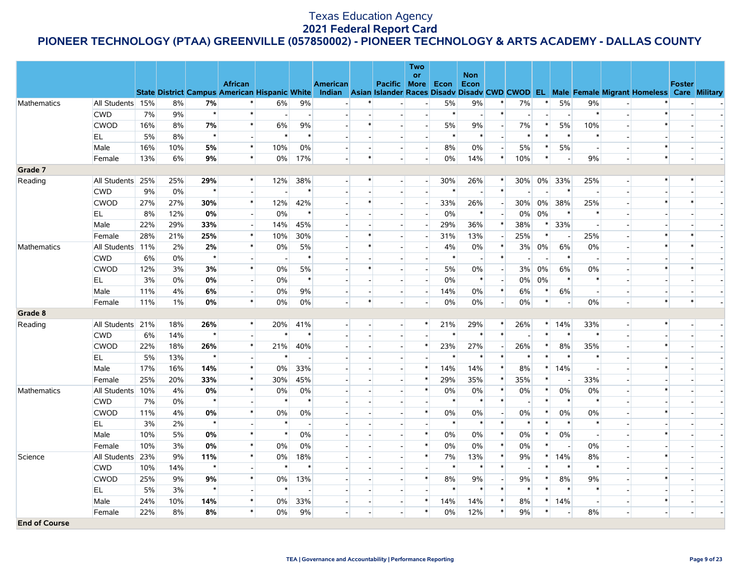|                      |                  |     |       |         |                          |                          |                          |                          |                |                          | Two                      |         |                          |                          |        |        |                          |        |                          |                                                                                                                                                |        |  |
|----------------------|------------------|-----|-------|---------|--------------------------|--------------------------|--------------------------|--------------------------|----------------|--------------------------|--------------------------|---------|--------------------------|--------------------------|--------|--------|--------------------------|--------|--------------------------|------------------------------------------------------------------------------------------------------------------------------------------------|--------|--|
|                      |                  |     |       |         | <b>African</b>           |                          |                          | <b>American</b>          |                | Pacific More Econ        | <b>or</b>                |         | <b>Non</b><br>Econ       |                          |        |        |                          |        |                          |                                                                                                                                                | Foster |  |
|                      |                  |     |       |         |                          |                          |                          |                          |                |                          |                          |         |                          |                          |        |        |                          |        |                          | State District Campus American Hispanic White Indian Asian Islander Races Disadv Disadv CWD CWOD EL Male Female Migrant Homeless Care Military |        |  |
| <b>Mathematics</b>   | All Students 15% |     | 8%    | 7%      |                          | 6%                       | 9%                       |                          |                |                          |                          | 5%      | $9\%$                    |                          | 7%     |        | 5%                       | 9%     |                          |                                                                                                                                                |        |  |
|                      | <b>CWD</b>       | 7%  | 9%    | $\star$ | $\ast$                   | $\sim$                   | $\overline{\phantom{a}}$ |                          |                |                          |                          | $\ast$  | $\sim$                   | $\ast$                   |        |        |                          | $\ast$ |                          | $\ast$                                                                                                                                         |        |  |
|                      | <b>CWOD</b>      | 16% | 8%    | 7%      | $\ast$                   | 6%                       | 9%                       |                          |                |                          |                          | 5%      | $9\%$                    |                          | 7%     | $\ast$ | 5%                       | 10%    |                          | $\ast$                                                                                                                                         |        |  |
|                      | EL               | 5%  | 8%    | $\star$ | $\sim$                   | $\ast$                   | $\ast$                   |                          |                |                          |                          | $\ast$  | $\ast$                   | $\overline{a}$           | $\ast$ | $\ast$ | ∗                        |        |                          |                                                                                                                                                |        |  |
|                      | Male             | 16% | 10%   | 5%      | $\ast$                   | 10%                      | 0%                       |                          |                |                          | $\blacksquare$           | 8%      | 0%                       | $\overline{a}$           | $5\%$  | $\ast$ | 5%                       |        |                          | $\ast$                                                                                                                                         |        |  |
|                      | Female           | 13% | 6%    | 9%      | $\ast$                   | $0\%$                    | 17%                      |                          | $\ast$         |                          |                          | 0%      | 14%                      | $*$                      | 10%    | $\ast$ | $\sim$                   | 9%     |                          | $\ast$                                                                                                                                         |        |  |
| Grade 7              |                  |     |       |         |                          |                          |                          |                          |                |                          |                          |         |                          |                          |        |        |                          |        |                          |                                                                                                                                                |        |  |
| Reading              | All Students 25% |     | 25%   | 29%     | $\ast$                   | 12%                      | 38%                      |                          | $\ast$         |                          | $\overline{\phantom{a}}$ | 30%     | 26%                      | $\ast$                   | $30\%$ |        | 0% 33%                   | 25%    | $\overline{a}$           | $\ast$                                                                                                                                         | $\ast$ |  |
|                      | <b>CWD</b>       | 9%  | 0%    | $\star$ |                          |                          | $\ast$                   |                          |                |                          |                          | $\ast$  | $\overline{\phantom{a}}$ | $\ast$                   |        |        | $\ast$                   |        |                          |                                                                                                                                                |        |  |
|                      | <b>CWOD</b>      | 27% | 27%   | 30%     | $\ast$                   | 12%                      | 42%                      |                          |                |                          |                          | 33%     | 26%                      | $\overline{a}$           | 30%    | 0%     | 38%                      | 25%    |                          | *                                                                                                                                              | $\ast$ |  |
|                      | EL               | 8%  | 12%   | 0%      |                          | 0%                       | $\ast$                   |                          |                |                          |                          | 0%      | $\ast$                   |                          | $0\%$  | 0%     | $\ast$                   |        |                          |                                                                                                                                                |        |  |
|                      | Male             | 22% | 29%   | 33%     | $\overline{\phantom{a}}$ | 14%                      | 45%                      |                          |                |                          |                          | 29%     | 36%                      | $\ast$                   | 38%    | $\ast$ | 33%                      |        |                          |                                                                                                                                                |        |  |
|                      | Female           | 28% | 21%   | 25%     | $\ast$                   | 10%                      | 30%                      | $\overline{\phantom{a}}$ |                |                          |                          | 31%     | 13%                      | $\overline{\phantom{a}}$ | 25%    | $\ast$ |                          | 25%    |                          | $\ast$                                                                                                                                         |        |  |
| Mathematics          | All Students 11% |     | 2%    | 2%      | $\ast$                   | 0%                       | 5%                       |                          |                |                          |                          | 4%      | $0\%$                    | $\ast$                   | 3%     | 0%     | 6%                       | 0%     |                          | $\ast$                                                                                                                                         |        |  |
|                      | <b>CWD</b>       | 6%  | 0%    | $\star$ |                          | $\overline{\phantom{a}}$ | $\ast$                   |                          |                |                          |                          | $\ast$  | $\overline{\phantom{a}}$ | $\ast$                   |        |        | $\ast$                   |        |                          |                                                                                                                                                |        |  |
|                      | <b>CWOD</b>      | 12% | 3%    | 3%      | $\ast$                   | 0%                       | 5%                       |                          |                |                          |                          | 5%      | 0%                       | $\overline{\phantom{a}}$ | 3%     | 0%     | 6%                       | 0%     |                          | $\ast$                                                                                                                                         |        |  |
|                      | EL               | 3%  | 0%    | 0%      | $\overline{a}$           | 0%                       | $\ast$                   | $\blacksquare$           |                |                          | $\overline{\phantom{a}}$ | $0\%$   | $\ast$                   | $\overline{a}$           | $0\%$  | 0%     | $\ast$                   |        |                          |                                                                                                                                                |        |  |
|                      | Male             | 11% | 4%    | 6%      | $\overline{\phantom{0}}$ | 0%                       | 9%                       |                          |                |                          |                          | 14%     | $0\%$                    | $\ast$                   | $6\%$  | $\ast$ | 6%                       |        |                          |                                                                                                                                                |        |  |
|                      | Female           | 11% | $1\%$ | 0%      | $\ast$                   | 0%                       | 0%                       |                          | $\ast$         |                          |                          | 0%      | 0%                       | $\sim$                   | 0%     | $\ast$ | $\overline{\phantom{a}}$ | 0%     |                          | $\ast$                                                                                                                                         | $\ast$ |  |
| Grade 8              |                  |     |       |         |                          |                          |                          |                          |                |                          |                          |         |                          |                          |        |        |                          |        |                          |                                                                                                                                                |        |  |
| Reading              | All Students 21% |     | 18%   | 26%     | $\ast$                   | 20%                      | 41%                      |                          | $\overline{a}$ | $\overline{\phantom{a}}$ | $\ast$                   | 21%     | 29%                      | $\ast$                   | 26%    |        | $*$ 14%                  | 33%    | $\overline{\phantom{a}}$ | $\ast$                                                                                                                                         |        |  |
|                      | <b>CWD</b>       | 6%  | 14%   | $\star$ |                          | $\ast$                   | $\ast$                   |                          |                |                          |                          | $\star$ | $\ast$                   | $\ast$                   |        | $\ast$ | $\ast$                   | $\ast$ |                          |                                                                                                                                                |        |  |
|                      | <b>CWOD</b>      | 22% | 18%   | 26%     | $\ast$                   | 21%                      | 40%                      |                          |                |                          | $\ast$                   | 23%     | 27%                      | $\overline{a}$           | 26%    | $\ast$ | 8%                       | 35%    |                          | $\ast$                                                                                                                                         |        |  |
|                      | EL               | 5%  | 13%   | $\star$ |                          | $\ast$                   |                          |                          |                |                          |                          | $\ast$  | $\ast$                   | $\ast$                   | $\ast$ | $\ast$ | $\ast$                   |        |                          |                                                                                                                                                |        |  |
|                      | Male             | 17% | 16%   | 14%     | $\ast$                   | $0\%$                    | 33%                      |                          |                |                          | $\ast$                   | 14%     | 14%                      | $\ast$                   | 8%     | $\ast$ | 14%                      |        |                          | $\ast$                                                                                                                                         |        |  |
|                      | Female           | 25% | 20%   | 33%     | $\ast$                   | 30%                      | 45%                      |                          |                |                          | $\ast$                   | 29%     | 35%                      | $\ast$                   | 35%    | $\ast$ |                          | 33%    |                          |                                                                                                                                                |        |  |
| Mathematics          | All Students 10% |     | 4%    | $0\%$   | $\ast$                   | $0\%$                    | $0\%$                    |                          |                |                          | $\ast$                   | 0%      | 0%                       | $\ast$                   | $0\%$  | $\ast$ | 0%                       | 0%     |                          | *                                                                                                                                              |        |  |
|                      | <b>CWD</b>       | 7%  | 0%    | $\star$ |                          | $\ast$                   | $\ast$                   |                          |                |                          |                          | $\ast$  | $\ast$                   | $\ast$                   |        | $\ast$ | $\ast$                   | $\ast$ |                          |                                                                                                                                                |        |  |
|                      | <b>CWOD</b>      | 11% | 4%    | 0%      | $\ast$                   | 0%                       | 0%                       |                          |                |                          | $\ast$                   | $0\%$   | 0%                       |                          | $0\%$  | *      | 0%                       | 0%     |                          | $\ast$                                                                                                                                         |        |  |
|                      | EL               | 3%  | 2%    | $\star$ | $\overline{\phantom{a}}$ | $\ast$                   | $\overline{\phantom{a}}$ |                          |                |                          |                          | $\ast$  | $\ast$                   | $\ast$                   | $\ast$ | $\ast$ |                          | $\ast$ |                          |                                                                                                                                                |        |  |
|                      | Male             | 10% | 5%    | 0%      | $\ast$                   | $\ast$                   | $0\%$                    | $\overline{a}$           |                |                          | $\ast$                   | $0\%$   | 0%                       | $\ast$                   | 0%     | $\ast$ | 0%                       |        |                          | $\ast$                                                                                                                                         |        |  |
|                      | Female           | 10% | 3%    | 0%      | $\ast$                   | 0%                       | 0%                       |                          |                |                          | $\ast$                   | $0\%$   | 0%                       | $\ast$                   | 0%     | $\ast$ | $\sim$                   | 0%     |                          |                                                                                                                                                |        |  |
| Science              | All Students 23% |     | 9%    | 11%     | $\pmb{\ast}$             | $0\%$                    | 18%                      |                          |                |                          | $\ast$                   | 7%      | 13%                      | $\ast$                   | 9%     | *      | 14%                      | 8%     |                          | $\ast$                                                                                                                                         |        |  |
|                      | <b>CWD</b>       | 10% | 14%   | $\star$ | $\blacksquare$           | $\ast$                   | $\ast$                   |                          |                |                          |                          |         | $\ast$                   | $\ast$                   |        | $\ast$ |                          |        |                          |                                                                                                                                                |        |  |
|                      | <b>CWOD</b>      | 25% | 9%    | 9%      | $\ast$                   | $0\%$                    | 13%                      |                          |                |                          | $\ast$                   | 8%      | $9\%$                    |                          | 9%     | $\ast$ | 8%                       | 9%     |                          | $\ast$                                                                                                                                         |        |  |
|                      | EL.              | 5%  | 3%    | $\star$ |                          | $\ast$                   |                          |                          |                |                          |                          | $\ast$  | $\ast$                   | $\ast$                   | $\ast$ | $\ast$ | $\ast$                   |        |                          |                                                                                                                                                |        |  |
|                      | Male             | 24% | 10%   | 14%     | $\ast$                   | $0\%$                    | 33%                      |                          |                |                          | $\ast$                   | 14%     | 14%                      | $\ast$                   | 8%     | $\ast$ | 14%                      |        |                          | $\ast$                                                                                                                                         |        |  |
|                      | Female           | 22% | 8%    | 8%      | $\ast$                   | 0%                       | 9%                       | $\overline{\phantom{a}}$ |                |                          | $\ast$                   | 0%      | 12%                      | $\ast$                   | 9%     | $\ast$ | $\sim$                   | 8%     |                          | $\overline{\phantom{a}}$                                                                                                                       |        |  |
| <b>End of Course</b> |                  |     |       |         |                          |                          |                          |                          |                |                          |                          |         |                          |                          |        |        |                          |        |                          |                                                                                                                                                |        |  |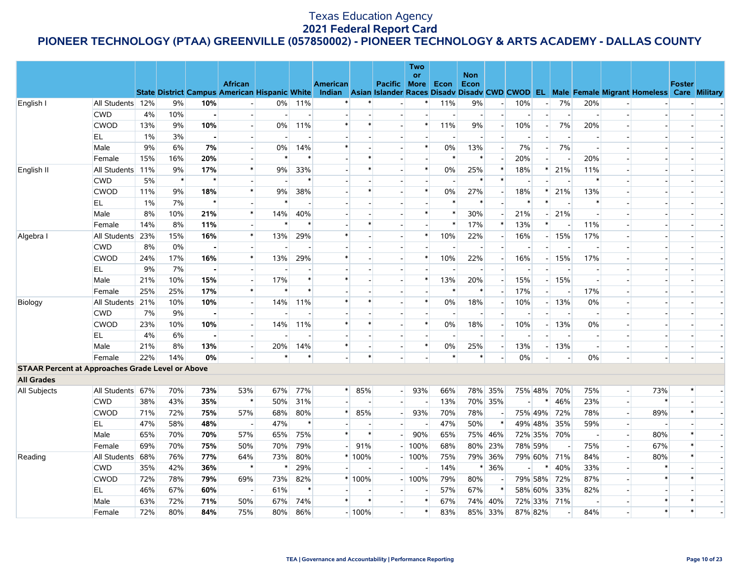|                                                         |                  |       |        |                |                          |        |                |                 |         |                          | Two<br><b>or</b> |                          | <b>Non</b>     |                          |        |         |             |     |                |                                                                                                                                                |               |  |
|---------------------------------------------------------|------------------|-------|--------|----------------|--------------------------|--------|----------------|-----------------|---------|--------------------------|------------------|--------------------------|----------------|--------------------------|--------|---------|-------------|-----|----------------|------------------------------------------------------------------------------------------------------------------------------------------------|---------------|--|
|                                                         |                  |       |        |                | <b>African</b>           |        |                | <b>American</b> |         | Pacific More Econ        |                  |                          | Econ           |                          |        |         |             |     |                |                                                                                                                                                | <b>Foster</b> |  |
|                                                         |                  |       |        |                |                          |        |                |                 |         |                          |                  |                          |                |                          |        |         |             |     |                | State District Campus American Hispanic White Indian Asian Islander Races Disadv Disadv CWD CWOD EL Male Female Migrant Homeless Care Military |               |  |
| English I                                               | All Students 12% |       | 9%     | 10%            |                          | $0\%$  | 11%            |                 |         |                          |                  | 11%                      | 9%             | $\overline{a}$           | 10%    |         | 7%          | 20% |                |                                                                                                                                                |               |  |
|                                                         | <b>CWD</b>       | 4%    | 10%    | $\blacksquare$ |                          |        | $\overline{a}$ |                 |         |                          |                  | $\overline{\phantom{a}}$ | $\overline{a}$ | $\overline{a}$           |        |         |             |     |                |                                                                                                                                                |               |  |
|                                                         | <b>CWOD</b>      | 13%   | 9%     | 10%            |                          | 0%     | 11%            | $\ast$          |         |                          |                  | 11%                      | 9%             | $\overline{\phantom{a}}$ | 10%    |         | 7%          | 20% |                |                                                                                                                                                |               |  |
|                                                         | EL.              | $1\%$ | 3%     | $\blacksquare$ |                          |        |                |                 |         |                          |                  |                          |                |                          |        |         |             |     |                |                                                                                                                                                |               |  |
|                                                         | Male             | 9%    | 6%     | 7%             | $\blacksquare$           | $0\%$  | 14%            | $\ast$          |         |                          | $\ast$           | 0%                       | 13%            | $\sim$                   | $7\%$  |         | $7\%$       |     |                | $\overline{\phantom{a}}$                                                                                                                       |               |  |
|                                                         | Female           | 15%   | 16%    | 20%            |                          | $\ast$ | $\ast$         |                 |         |                          |                  | $\ast$                   | $\ast$         |                          | 20%    |         |             | 20% |                |                                                                                                                                                |               |  |
| English II                                              | All Students 11% |       | 9%     | 17%            | $\ast$                   | 9%     | 33%            |                 |         |                          | $\ast$           | 0%                       | 25%            | $\ast$                   | 18%    | $\ast$  | 21%         | 11% |                | $\overline{\phantom{a}}$                                                                                                                       |               |  |
|                                                         | <b>CWD</b>       | 5%    | $\ast$ | $\star$        |                          |        | $\ast$         |                 |         |                          |                  |                          |                | $\ast$                   |        |         |             |     |                | $\overline{\phantom{a}}$                                                                                                                       |               |  |
|                                                         | <b>CWOD</b>      | 11%   | 9%     | 18%            | $\ast$                   | 9%     | 38%            |                 |         |                          | $\ast$           | 0%                       | 27%            | $\sim$                   | 18%    |         | 21%         | 13% |                |                                                                                                                                                |               |  |
|                                                         | EL               | $1\%$ | 7%     | $\star$        |                          |        |                |                 |         |                          |                  |                          |                |                          |        |         |             |     |                | $\overline{\phantom{a}}$                                                                                                                       |               |  |
|                                                         | Male             | 8%    | 10%    | 21%            | $\ast$                   | 14%    | 40%            |                 |         |                          | $\ast$           | $\ast$                   | 30%            |                          | 21%    |         | 21%         |     |                |                                                                                                                                                |               |  |
|                                                         | Female           | 14%   | 8%     | 11%            |                          | $\ast$ | $\ast$         |                 |         |                          |                  | $\ast$                   | 17%            | $\ast$                   | 13%    | $\ast$  |             | 11% |                |                                                                                                                                                |               |  |
| Algebra I                                               | All Students 23% |       | 15%    | 16%            | $\ast$                   | 13%    | 29%            | $\ast$          |         |                          | $\ast$           | 10%                      | 22%            | $\overline{\phantom{0}}$ | 16%    |         | $-15%$      | 17% |                | $\overline{\phantom{a}}$                                                                                                                       |               |  |
|                                                         | <b>CWD</b>       | 8%    | 0%     |                |                          |        |                |                 |         |                          |                  |                          |                |                          |        |         |             |     |                |                                                                                                                                                |               |  |
|                                                         | <b>CWOD</b>      | 24%   | 17%    | 16%            | $\ast$                   | 13%    | 29%            | *               |         |                          | $\ast$           | 10%                      | 22%            | $\overline{\phantom{a}}$ | 16%    |         | 15%         | 17% |                | $\overline{\phantom{a}}$                                                                                                                       |               |  |
|                                                         | EL               | 9%    | 7%     | $\blacksquare$ |                          |        |                |                 |         |                          |                  |                          |                |                          |        |         |             |     |                | $\overline{\phantom{a}}$                                                                                                                       |               |  |
|                                                         | Male             | 21%   | 10%    | 15%            | $\overline{a}$           | 17%    | $\ast$         | $\ast$          |         |                          | $\ast$           | 13%                      | 20%            | $\overline{a}$           | 15%    |         | $-15%$      |     |                | $\overline{a}$                                                                                                                                 |               |  |
|                                                         | Female           | 25%   | 25%    | 17%            | $\ast$                   | $\ast$ | $\ast$         |                 |         |                          |                  | $\ast$                   |                | $\sim$                   | 17%    |         |             | 17% |                | $\overline{\phantom{a}}$                                                                                                                       |               |  |
| Biology                                                 | All Students 21% |       | 10%    | 10%            | $\blacksquare$           | 14%    | 11%            | $\ast$          | $\ast$  |                          | $\ast$           | 0%                       | 18%            | $\mathbf{r}$             | 10%    |         | 13%         | 0%  |                |                                                                                                                                                |               |  |
|                                                         | <b>CWD</b>       | 7%    | 9%     | $\blacksquare$ |                          |        |                |                 |         |                          |                  |                          |                |                          |        |         |             |     |                |                                                                                                                                                |               |  |
|                                                         | <b>CWOD</b>      | 23%   | 10%    | 10%            | $\overline{\phantom{0}}$ | 14%    | 11%            | $\ast$          |         |                          | $\ast$           | 0%                       | 18%            | $\overline{\phantom{a}}$ | 10%    |         | $-13%$      | 0%  |                |                                                                                                                                                |               |  |
|                                                         | EL               | 4%    | 6%     | $\blacksquare$ |                          |        |                |                 |         |                          |                  |                          |                |                          |        |         |             |     |                | $\overline{\phantom{a}}$                                                                                                                       |               |  |
|                                                         | Male             | 21%   | 8%     | 13%            | $\overline{\phantom{a}}$ | 20%    | 14%            | $\ast$          |         |                          | $\ast$           | 0%                       | 25%            | $\overline{\phantom{a}}$ | 13%    |         | 13%         |     |                | $\overline{\phantom{a}}$                                                                                                                       |               |  |
|                                                         | Female           | 22%   | 14%    | 0%             |                          | $\ast$ | $\ast$         |                 | $\star$ |                          |                  | $\ast$                   |                |                          | 0%     |         |             | 0%  |                |                                                                                                                                                |               |  |
| <b>STAAR Percent at Approaches Grade Level or Above</b> |                  |       |        |                |                          |        |                |                 |         |                          |                  |                          |                |                          |        |         |             |     |                |                                                                                                                                                |               |  |
| <b>All Grades</b>                                       |                  |       |        |                |                          |        |                |                 |         |                          |                  |                          |                |                          |        |         |             |     |                |                                                                                                                                                |               |  |
| All Subjects                                            | All Students 67% |       | 70%    | 73%            | 53%                      | 67%    | 77%            |                 | $*$ 85% | $\overline{a}$           | 93%              | 66%                      |                | 78% 35%                  |        |         | 75% 48% 70% | 75% | $\overline{a}$ | 73%                                                                                                                                            | *             |  |
|                                                         | <b>CWD</b>       | 38%   | 43%    | 35%            | $\ast$                   | 50%    | 31%            |                 |         | $\overline{\phantom{a}}$ |                  | 13%                      |                | 70% 35%                  |        | ∗       | 46%         | 23% | $\overline{a}$ | $\ast$                                                                                                                                         |               |  |
|                                                         | <b>CWOD</b>      | 71%   | 72%    | 75%            | 57%                      | 68%    | 80%            | *               | 85%     |                          | 93%              | 70%                      | 78%            |                          |        | 75% 49% | 72%         | 78% |                | 89%                                                                                                                                            |               |  |
|                                                         | EL.              | 47%   | 58%    | 48%            | $\sim$                   | 47%    | $\ast$         |                 |         |                          |                  | 47%                      | 50%            | *                        |        | 49% 48% | 35%         | 59% |                |                                                                                                                                                |               |  |
|                                                         | Male             | 65%   | 70%    | 70%            | 57%                      | 65%    | 75%            | $\ast$          | $\ast$  |                          | 90%              | 65%                      |                | 75% 46%                  |        |         | 72% 35% 70% |     |                | 80%                                                                                                                                            |               |  |
|                                                         | Female           | 69%   | 70%    | 75%            | 50%                      | 70%    | 79%            |                 | 91%     |                          | 100%             | 68%                      |                | 80% 23%                  |        | 78% 59% |             | 75% |                | 67%                                                                                                                                            |               |  |
| Reading                                                 | All Students     | 68%   | 76%    | 77%            | 64%                      | 73%    | 80%            |                 | * 100%  |                          | 100%             | 75%                      |                | 79% 36%                  |        | 79% 60% | 71%         | 84% |                | 80%                                                                                                                                            |               |  |
|                                                         | <b>CWD</b>       | 35%   | 42%    | 36%            | $\ast$                   | ∗      | 29%            |                 |         |                          |                  | 14%                      |                | * 36%                    | $\sim$ |         | 40%         | 33% |                | $\ast$                                                                                                                                         |               |  |
|                                                         | <b>CWOD</b>      | 72%   | 78%    | 79%            | 69%                      | 73%    | 82%            |                 | * 100%  |                          | 100%             | 79%                      | 80%            |                          |        | 79% 58% | 72%         | 87% |                | $\ast$                                                                                                                                         |               |  |
|                                                         | EL               | 46%   | 67%    | 60%            | $\overline{\phantom{a}}$ | 61%    | $\ast$         |                 |         |                          |                  | 57%                      | 67%            | $\ast$                   |        | 58% 60% | 33%         | 82% |                |                                                                                                                                                |               |  |
|                                                         | Male             | 63%   | 72%    | 71%            | 50%                      | 67%    | 74%            | $\ast$          | $\ast$  |                          | $\ast$           | 67%                      |                | 74% 40%                  |        | 72% 33% | 71%         |     |                | $\ast$                                                                                                                                         |               |  |
|                                                         | Female           | 72%   | 80%    | 84%            | 75%                      | 80%    | 86%            |                 | $-100%$ |                          | $\ast$           | 83%                      |                | 85% 33%                  |        | 87% 82% |             | 84% |                | $\ast$                                                                                                                                         |               |  |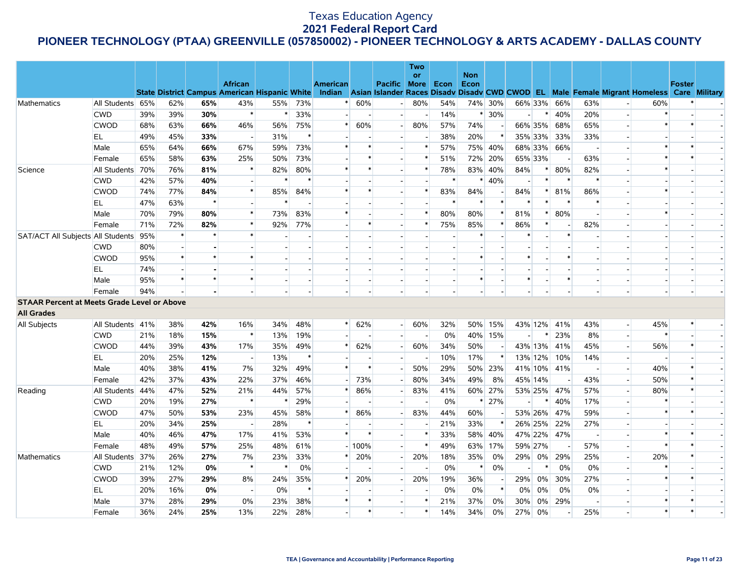|                                                    |                  |     |        |         |                                                                        |         |        |                 |                          |                | Two<br><b>or</b> |        | <b>Non</b> |          |                |         |             |        |                |                                                                                                  |               |  |
|----------------------------------------------------|------------------|-----|--------|---------|------------------------------------------------------------------------|---------|--------|-----------------|--------------------------|----------------|------------------|--------|------------|----------|----------------|---------|-------------|--------|----------------|--------------------------------------------------------------------------------------------------|---------------|--|
|                                                    |                  |     |        |         | <b>African</b><br><b>State District Campus American Hispanic White</b> |         |        | <b>American</b> |                          | Pacific More   |                  | Econ   | Econ       |          |                |         |             |        |                | Indian Asian Islander Races Disady Disady CWD CWOD EL Male Female Migrant Homeless Care Military | <b>Foster</b> |  |
| Mathematics                                        | All Students 65% |     | 62%    | 65%     | 43%                                                                    | 55%     | 73%    |                 | 60%                      |                | 80%              | 54%    |            | 74% 30%  |                | 66% 33% | 66%         | 63%    |                | 60%                                                                                              |               |  |
|                                                    | <b>CWD</b>       | 39% | 39%    | 30%     | $\ast$                                                                 | ∗       | 33%    |                 | $\overline{\phantom{a}}$ |                |                  | 14%    |            | $* 30\%$ | $\overline{a}$ | $\ast$  | 40%         | 20%    |                | $\ast$                                                                                           |               |  |
|                                                    | <b>CWOD</b>      | 68% | 63%    | 66%     | 46%                                                                    | 56%     | 75%    | *               | 60%                      |                | 80%              | 57%    | 74%        |          |                | 66% 35% | 68%         | 65%    |                | $\ast$                                                                                           |               |  |
|                                                    | EL               | 49% | 45%    | 33%     | $\overline{a}$                                                         | 31%     | $\ast$ |                 | $\overline{a}$           |                |                  | 38%    | 20%        | $\ast$   | 35% 33%        |         | 33%         | 33%    |                |                                                                                                  |               |  |
|                                                    | Male             | 65% | 64%    | 66%     | 67%                                                                    | 59%     | 73%    |                 | $\ast$                   |                |                  | 57%    |            | 75% 40%  |                | 68% 33% | 66%         |        |                |                                                                                                  |               |  |
|                                                    | Female           | 65% | 58%    | 63%     | 25%                                                                    | 50%     | 73%    |                 | $\ast$                   |                |                  | 51%    |            | 72% 20%  | 65% 33%        |         |             | 63%    |                | $\ast$                                                                                           |               |  |
| Science                                            | All Students 70% |     | 76%    | 81%     | $\ast$                                                                 | 82%     | 80%    | $\ast$          | $\ast$                   |                | $\ast$           | 78%    |            | 83% 40%  | 84%            | $\ast$  | 80%         | 82%    |                | $\ast$                                                                                           |               |  |
|                                                    | <b>CWD</b>       | 42% | 57%    | 40%     |                                                                        |         |        |                 |                          |                |                  | $\ast$ | $\ast$     | 40%      |                | $\ast$  |             | $\ast$ |                |                                                                                                  |               |  |
|                                                    | <b>CWOD</b>      | 74% | 77%    | 84%     | $\ast$                                                                 | 85%     | 84%    | *               | $\ast$                   |                | $\ast$           | 83%    | 84%        |          | 84%            |         | 81%         | 86%    |                | $\ast$                                                                                           |               |  |
|                                                    | EL               | 47% | 63%    | $\star$ | $\sim$                                                                 | $\star$ |        |                 |                          |                |                  |        |            | $\ast$   |                |         |             |        |                |                                                                                                  |               |  |
|                                                    | Male             | 70% | 79%    | 80%     | $\ast$                                                                 | 73%     | 83%    | $\ast$          |                          |                |                  | 80%    | 80%        | $\ast$   | 81%            | $\ast$  | 80%         |        |                | $\ast$                                                                                           |               |  |
|                                                    | Female           | 71% | 72%    | 82%     | $\ast$                                                                 | 92%     | 77%    |                 |                          |                |                  | 75%    | 85%        | $\ast$   | 86%            | $\ast$  |             | 82%    |                |                                                                                                  |               |  |
| SAT/ACT All Subjects All Students 95%              |                  |     | $\ast$ | $\star$ | $\ast$                                                                 |         |        |                 |                          |                |                  |        |            |          |                |         | $\ast$      |        |                |                                                                                                  |               |  |
|                                                    | <b>CWD</b>       | 80% |        |         |                                                                        |         |        |                 |                          |                |                  |        |            |          |                |         |             |        |                |                                                                                                  |               |  |
|                                                    | <b>CWOD</b>      | 95% | $\ast$ | $\star$ | $\ast$                                                                 |         |        |                 |                          |                |                  |        | $\ast$     |          | $\ast$         |         | $\ast$      |        |                |                                                                                                  |               |  |
|                                                    | EL.              | 74% |        |         |                                                                        |         |        |                 |                          |                |                  |        |            |          |                |         |             |        |                |                                                                                                  |               |  |
|                                                    | Male             | 95% | $\ast$ | $\star$ | $\ast$                                                                 |         |        |                 |                          |                |                  |        |            |          | $\ast$         |         |             |        |                |                                                                                                  |               |  |
|                                                    | Female           | 94% |        |         |                                                                        |         |        |                 |                          |                |                  |        |            |          |                |         |             |        |                |                                                                                                  |               |  |
| <b>STAAR Percent at Meets Grade Level or Above</b> |                  |     |        |         |                                                                        |         |        |                 |                          |                |                  |        |            |          |                |         |             |        |                |                                                                                                  |               |  |
| <b>All Grades</b>                                  |                  |     |        |         |                                                                        |         |        |                 |                          |                |                  |        |            |          |                |         |             |        |                |                                                                                                  |               |  |
| <b>All Subjects</b>                                | All Students 41% |     | 38%    | 42%     | 16%                                                                    | 34%     | 48%    | $^{\ast}$       | 62%                      | $\overline{a}$ | 60%              | 32%    |            | 50% 15%  |                |         | 43% 12% 41% | 43%    | $\blacksquare$ | 45%                                                                                              |               |  |
|                                                    | <b>CWD</b>       | 21% | 18%    | 15%     | $\ast$                                                                 | 13%     | 19%    |                 |                          |                |                  | 0%     |            | 40% 15%  |                |         | 23%         | 8%     |                | $\ast$                                                                                           |               |  |
|                                                    | <b>CWOD</b>      | 44% | 39%    | 43%     | 17%                                                                    | 35%     | 49%    |                 | 62%                      |                | 60%              | 34%    | 50%        |          |                | 43% 13% | 41%         | 45%    |                | 56%                                                                                              |               |  |
|                                                    | EL               | 20% | 25%    | 12%     | $\overline{\phantom{a}}$                                               | 13%     | $\ast$ |                 | $\blacksquare$           |                |                  | 10%    | 17%        | $\ast$   |                | 13% 12% | 10%         | 14%    | $\blacksquare$ | $\overline{a}$                                                                                   |               |  |
|                                                    | Male             | 40% | 38%    | 41%     | 7%                                                                     | 32%     | 49%    | $\ast$          | $\ast$                   |                | 50%              | 29%    |            | 50% 23%  |                |         | 41% 10% 41% |        |                | 40%                                                                                              |               |  |
|                                                    | Female           | 42% | 37%    | 43%     | 22%                                                                    | 37%     | 46%    |                 | 73%                      |                | 80%              | 34%    | 49%        | 8%       | 45% 14%        |         |             | 43%    |                | 50%                                                                                              |               |  |
| Reading                                            | All Students 44% |     | 47%    | 52%     | 21%                                                                    | 44%     | 57%    | *               | 86%                      |                | 83%              | 41%    |            | 60% 27%  |                | 53% 25% | 47%         | 57%    |                | 80%                                                                                              |               |  |
|                                                    | <b>CWD</b>       | 20% | 19%    | 27%     | $\ast$                                                                 |         | 29%    |                 |                          |                |                  | 0%     |            | $* 27%$  | $\overline{a}$ |         | 40%         | 17%    |                | $\ast$                                                                                           |               |  |
|                                                    | <b>CWOD</b>      | 47% | 50%    | 53%     | 23%                                                                    | 45%     | 58%    | *               | 86%                      |                | 83%              | 44%    | 60%        |          |                | 53% 26% | 47%         | 59%    |                | *                                                                                                |               |  |
|                                                    | EL               | 20% | 34%    | 25%     | $\overline{a}$                                                         | 28%     | $\ast$ |                 |                          |                |                  | 21%    | 33%        | $\ast$   |                | 26% 25% | 22%         | 27%    |                |                                                                                                  |               |  |
|                                                    | Male             | 40% | 46%    | 47%     | 17%                                                                    | 41%     | 53%    | $\pmb{\ast}$    | $\ast$                   |                | $\ast$           | 33%    |            | 58% 40%  |                | 47% 22% | 47%         |        |                | $\ast$                                                                                           |               |  |
|                                                    | Female           | 48% | 49%    | 57%     | 25%                                                                    | 48%     | 61%    |                 | $-100%$                  |                |                  | 49%    |            | 63% 17%  | 59% 27%        |         |             | 57%    |                | $\ast$                                                                                           |               |  |
| Mathematics                                        | All Students 37% |     | 26%    | 27%     | 7%                                                                     | 23%     | 33%    | $\ast$          | 20%                      |                | 20%              | 18%    | 35%        | 0%       | 29%            | $0\%$   | 29%         | 25%    |                | 20%                                                                                              |               |  |
|                                                    | <b>CWD</b>       | 21% | 12%    | 0%      | $\ast$                                                                 |         | 0%     |                 | $\overline{\phantom{a}}$ |                |                  | 0%     | $\ast$     | 0%       |                |         | 0%          | 0%     | $\blacksquare$ | $\ast$                                                                                           |               |  |
|                                                    | <b>CWOD</b>      | 39% | 27%    | 29%     | 8%                                                                     | 24%     | 35%    |                 | 20%                      |                | 20%              | 19%    | 36%        |          | 29%            | $0\%$   | 30%         | 27%    |                |                                                                                                  |               |  |
|                                                    | EL.              | 20% | 16%    | 0%      | $\overline{a}$                                                         | 0%      | $\ast$ | $\ast$          | $\ast$                   |                |                  | 0%     | 0%         | $\ast$   | $0\%$          | 0%      | 0%          | 0%     |                | *                                                                                                |               |  |
|                                                    | Male             | 37% | 28%    | 29%     | 0%                                                                     | 23%     | 38%    |                 | $\ast$                   |                |                  | 21%    | 37%        | 0%       | 30%            | 0%      | 29%         |        |                | $\ast$                                                                                           |               |  |
|                                                    | Female           | 36% | 24%    | 25%     | 13%                                                                    | 22%     | 28%    |                 |                          |                |                  | 14%    | 34%        | 0%       | 27%            | 0%      |             | 25%    |                |                                                                                                  |               |  |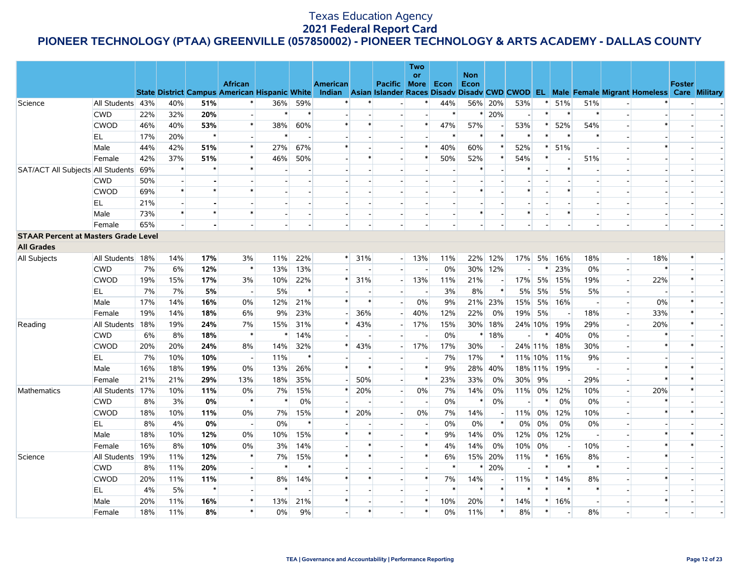# **PIONEER TECHNOLOGY (PTAA) GREENVILLE (057850002) - PIONEER TECHNOLOGY & ARTS ACADEMY - DALLAS COUNTY**

|                                             |                  |     |        |         |                          |        |        |                 |               |                     | Two       |         |                    |                          |                |         |             |        |                          |                                                                                                                                                |               |  |
|---------------------------------------------|------------------|-----|--------|---------|--------------------------|--------|--------|-----------------|---------------|---------------------|-----------|---------|--------------------|--------------------------|----------------|---------|-------------|--------|--------------------------|------------------------------------------------------------------------------------------------------------------------------------------------|---------------|--|
|                                             |                  |     |        |         | <b>African</b>           |        |        | <b>American</b> |               | <b>Pacific More</b> | <b>or</b> | Econ    | <b>Non</b><br>Econ |                          |                |         |             |        |                          |                                                                                                                                                | <b>Foster</b> |  |
|                                             |                  |     |        |         |                          |        |        |                 |               |                     |           |         |                    |                          |                |         |             |        |                          | State District Campus American Hispanic White Indian Asian Islander Races Disadv Disadv CWD CWOD EL Male Female Migrant Homeless Care Military |               |  |
| Science                                     | All Students 43% |     | 40%    | 51%     |                          | 36%    | 59%    |                 |               |                     |           | 44%     |                    | 56% 20%                  | 53%            |         | 51%         | 51%    |                          |                                                                                                                                                |               |  |
|                                             | <b>CWD</b>       | 22% | 32%    | 20%     |                          | $\ast$ | $\ast$ |                 |               |                     |           | $\ast$  |                    | $* 20%$                  | $\overline{a}$ | $\ast$  | $\ast$      | $\ast$ |                          |                                                                                                                                                |               |  |
|                                             | <b>CWOD</b>      | 46% | 40%    | 53%     | $\ast$                   | 38%    | 60%    | $\ast$          |               |                     | $\ast$    | 47%     | 57%                | $\overline{\phantom{a}}$ | 53%            | $\ast$  | 52%         | 54%    |                          | $\ast$                                                                                                                                         |               |  |
|                                             | EL               | 17% | 20%    | $\star$ |                          | $\ast$ | $\sim$ |                 |               |                     |           | $\ast$  | $\ast$             | $\ast$                   | $\ast$         | $\ast$  | $\ast$      | $\ast$ |                          |                                                                                                                                                |               |  |
|                                             | Male             | 44% | 42%    | 51%     | $\ast$                   | 27%    | 67%    | $\ast$          |               |                     | $\ast$    | 40%     | 60%                | $\ast$                   | 52%            |         | 51%         |        |                          | $\ast$                                                                                                                                         |               |  |
|                                             | Female           | 42% | 37%    | 51%     | $\ast$                   | 46%    | 50%    |                 |               |                     | $\ast$    | 50%     | 52%                | $\ast$                   | 54%            | $\ast$  |             | 51%    |                          |                                                                                                                                                |               |  |
| SAT/ACT All Subjects All Students           |                  | 69% | $\ast$ |         | $\ast$                   |        |        |                 |               |                     |           |         | $\ast$             |                          | $\ast$         |         | $\ast$      |        |                          |                                                                                                                                                |               |  |
|                                             | <b>CWD</b>       | 50% |        |         |                          |        |        |                 |               |                     |           |         |                    |                          |                |         |             |        |                          |                                                                                                                                                |               |  |
|                                             | <b>CWOD</b>      | 69% | $\ast$ | $\star$ | $\ast$                   |        |        |                 |               |                     |           |         | $\ast$             |                          | $\ast$         |         | $\ast$      |        |                          |                                                                                                                                                |               |  |
|                                             | EL               | 21% |        |         |                          |        |        |                 |               |                     |           |         |                    |                          |                |         |             |        |                          |                                                                                                                                                |               |  |
|                                             | Male             | 73% | $\ast$ |         | $\ast$                   | $\sim$ |        |                 |               |                     |           |         | $\ast$             |                          | $\ast$         |         | $\ast$      |        |                          |                                                                                                                                                |               |  |
|                                             | Female           | 65% |        |         |                          |        |        |                 |               |                     |           |         |                    |                          |                |         |             |        |                          |                                                                                                                                                |               |  |
| <b>STAAR Percent at Masters Grade Level</b> |                  |     |        |         |                          |        |        |                 |               |                     |           |         |                    |                          |                |         |             |        |                          |                                                                                                                                                |               |  |
| <b>All Grades</b>                           |                  |     |        |         |                          |        |        |                 |               |                     |           |         |                    |                          |                |         |             |        |                          |                                                                                                                                                |               |  |
| <b>All Subjects</b>                         | All Students 18% |     | 14%    | 17%     | 3%                       | 11%    | 22%    |                 | $\ast$<br>31% |                     | $-13%$    | 11%     |                    | 22% 12%                  | 17%            |         | 5% 16%      | 18%    | $\overline{\phantom{a}}$ | 18%                                                                                                                                            |               |  |
|                                             | <b>CWD</b>       | 7%  | 6%     | 12%     | $\ast$                   | 13%    | 13%    |                 |               |                     |           | 0%      |                    | 30% 12%                  | $\sim$         |         | 23%         | 0%     |                          | $\ast$                                                                                                                                         |               |  |
|                                             | <b>CWOD</b>      | 19% | 15%    | 17%     | 3%                       | 10%    | 22%    | $\ast$          | 31%           | $\sim$              | 13%       | 11%     | 21%                | $\overline{a}$           | 17%            | 5%      | 15%         | 19%    |                          | 22%                                                                                                                                            |               |  |
|                                             | EL               | 7%  | 7%     | 5%      | $\blacksquare$           | 5%     | $\ast$ |                 |               |                     |           | 3%      | 8%                 | $\ast$                   | 5%             | 5%      | 5%          | 5%     |                          |                                                                                                                                                |               |  |
|                                             | Male             | 17% | 14%    | 16%     | 0%                       | 12%    | 21%    | $\ast$          | $\ast$        |                     | 0%        | 9%      |                    | 21% 23%                  | 15%            | 5%      | 16%         |        |                          | 0%                                                                                                                                             |               |  |
|                                             | Female           | 19% | 14%    | 18%     | 6%                       | 9%     | 23%    |                 | 36%           |                     | 40%       | 12%     | 22%                | 0%                       | 19%            | 5%      |             | 18%    |                          | 33%                                                                                                                                            |               |  |
| Reading                                     | All Students 18% |     | 19%    | 24%     | 7%                       | 15%    | 31%    | $\ast$          | 43%           |                     | 17%       | 15%     |                    | 30% 18%                  |                | 24% 10% | 19%         | 29%    |                          | 20%                                                                                                                                            |               |  |
|                                             | <b>CWD</b>       | 6%  | 8%     | 18%     | $\ast$                   | $\ast$ | 14%    |                 |               |                     |           | 0%      |                    | $*18%$                   | $\overline{a}$ | ∗       | 40%         | 0%     |                          |                                                                                                                                                |               |  |
|                                             | <b>CWOD</b>      | 20% | 20%    | 24%     | 8%                       | 14%    | 32%    | *               | 43%           |                     | 17%       | 17%     | 30%                |                          |                | 24% 11% | 18%         | 30%    |                          | $\ast$                                                                                                                                         |               |  |
|                                             | EL.              | 7%  | 10%    | 10%     | $\sim$                   | 11%    | $\ast$ |                 |               |                     |           | 7%      | 17%                | *                        |                | 11% 10% | 11%         | 9%     |                          |                                                                                                                                                |               |  |
|                                             | Male             | 16% | 18%    | 19%     | 0%                       | 13%    | 26%    | $\ast$          |               |                     | $\ast$    | 9%      |                    | 28% 40%                  |                |         | 18% 11% 19% |        |                          | $\ast$                                                                                                                                         |               |  |
|                                             | Female           | 21% | 21%    | 29%     | 13%                      | 18%    | 35%    |                 | 50%           | $\sim$              | $\ast$    | 23%     | 33%                | $0\%$                    | 30%            | 9%      | $\sim$      | 29%    |                          | $\ast$                                                                                                                                         |               |  |
| Mathematics                                 | All Students 17% |     | 10%    | 11%     | 0%                       | 7%     | 15%    | $\ast$          | 20%           | $\sim$              | 0%        | 7%      | 14%                | 0%                       | 11%            | 0%      | 12%         | 10%    |                          | 20%                                                                                                                                            | *             |  |
|                                             | <b>CWD</b>       | 8%  | 3%     | 0%      | $\ast$                   | $\ast$ | 0%     |                 |               |                     |           | 0%      | $\ast$             | 0%                       | $\overline{a}$ |         | 0%          | 0%     |                          | $\ast$                                                                                                                                         |               |  |
|                                             | <b>CWOD</b>      | 18% | 10%    | 11%     | 0%                       | 7%     | 15%    | $\ast$          | 20%           |                     | 0%        | 7%      | 14%                | $\overline{a}$           | 11%            | 0%      | 12%         | 10%    |                          | $\ast$                                                                                                                                         | $\ast$        |  |
|                                             | EL               | 8%  | 4%     | 0%      | $\overline{\phantom{a}}$ | 0%     | $\ast$ |                 |               |                     |           | 0%      | 0%                 | $\ast$                   | $0\%$          | 0%      | 0%          | 0%     |                          |                                                                                                                                                |               |  |
|                                             | Male             | 18% | 10%    | 12%     | 0%                       | 10%    | 15%    | $\ast$          |               |                     | $\ast$    | 9%      | 14%                | 0%                       | 12%            | $0\%$   | 12%         |        |                          | $\ast$                                                                                                                                         |               |  |
|                                             | Female           | 16% | 8%     | 10%     | 0%                       | 3%     | 14%    |                 |               |                     | $\ast$    | 4%      | 14%                | 0%                       | 10%            | 0%      | $\sim$      | 10%    |                          | $\ast$                                                                                                                                         |               |  |
| Science                                     | All Students 19% |     | 11%    | 12%     | ∗                        | 7%     | 15%    | $\ast$          |               |                     | $\ast$    | 6%      |                    | 15% 20%                  | 11%            | ∗       | 16%         | 8%     |                          | $\ast$                                                                                                                                         |               |  |
|                                             | <b>CWD</b>       | 8%  | 11%    | 20%     |                          | $\ast$ | $\ast$ |                 |               |                     |           | $\ast$  | $\ast$             | 20%                      |                | $\ast$  | $\ast$      | $\ast$ |                          |                                                                                                                                                |               |  |
|                                             | <b>CWOD</b>      | 20% | 11%    | 11%     | $\ast$                   | 8%     | 14%    |                 |               |                     | $\ast$    | 7%      | 14%                | $\overline{\phantom{a}}$ | 11%            | $\ast$  | 14%         | 8%     |                          |                                                                                                                                                |               |  |
|                                             | <b>EL</b>        | 4%  | 5%     | $\star$ |                          | $\ast$ |        |                 |               |                     |           | $\star$ | $\ast$             | $\ast$                   | $\ast$         |         | $\ast$      | $\ast$ |                          |                                                                                                                                                |               |  |
|                                             | Male             | 20% | 11%    | 16%     | $\ast$                   | 13%    | 21%    | $\ast$          |               |                     |           | 10%     | 20%                | $\ast$                   | 14%            | $\ast$  | 16%         |        |                          | $\ast$                                                                                                                                         |               |  |
|                                             | Female           | 18% | 11%    | 8%      | $\ast$                   | 0%     | 9%     |                 |               |                     | $\ast$    | 0%      | 11%                | $\ast$                   | 8%             | $\ast$  |             | 8%     |                          |                                                                                                                                                |               |  |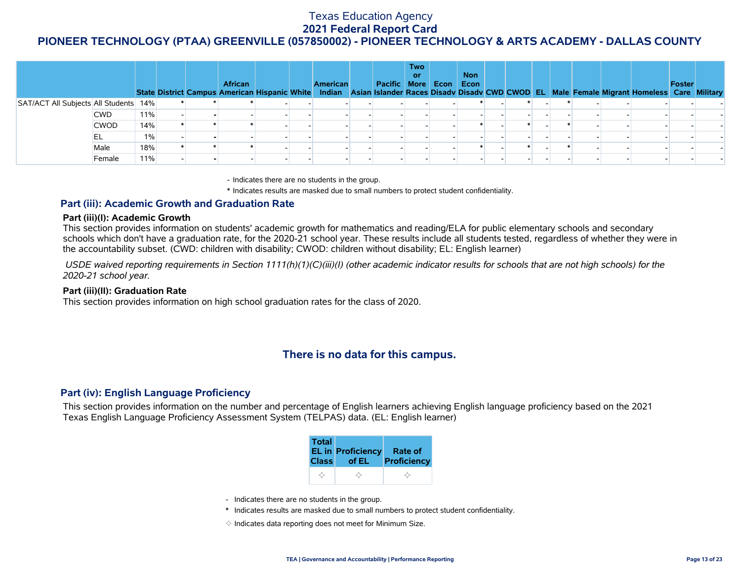|                                       |             |       |  | <b>African</b> |  | American | Pacific More Econ Econ | <b>Two</b><br><b>or</b> | <b>Non</b> |  |  |  | State District Campus American Hispanic White Indian Asian Islander Races Disadv Disadv CWD CWOD EL Male Female Migrant Homeless Care Military | Foster |  |
|---------------------------------------|-------------|-------|--|----------------|--|----------|------------------------|-------------------------|------------|--|--|--|------------------------------------------------------------------------------------------------------------------------------------------------|--------|--|
| SAT/ACT All Subjects All Students 14% |             |       |  |                |  |          |                        |                         |            |  |  |  |                                                                                                                                                |        |  |
|                                       | <b>CWD</b>  | 11%   |  |                |  |          |                        |                         |            |  |  |  |                                                                                                                                                |        |  |
|                                       | <b>CWOD</b> | 14%   |  |                |  |          |                        |                         |            |  |  |  |                                                                                                                                                |        |  |
|                                       | EL          | $1\%$ |  |                |  |          |                        |                         |            |  |  |  |                                                                                                                                                |        |  |
|                                       | Male        | 18%   |  |                |  |          |                        |                         |            |  |  |  |                                                                                                                                                |        |  |
|                                       | Female      | 11%   |  |                |  |          |                        |                         |            |  |  |  |                                                                                                                                                |        |  |

- Indicates there are no students in the group.

\* Indicates results are masked due to small numbers to protect student confidentiality.

#### **Part (iii): Academic Growth and Graduation Rate**

#### **Part (iii)(I): Academic Growth**

This section provides information on students' academic growth for mathematics and reading/ELA for public elementary schools and secondary schools which don't have a graduation rate, for the 2020-21 school year. These results include all students tested, regardless of whether they were in the accountability subset. (CWD: children with disability; CWOD: children without disability; EL: English learner)

 *USDE waived reporting requirements in Section 1111(h)(1)(C)(iii)(I) (other academic indicator results for schools that are not high schools) for the 2020-21 school year.*

#### **Part (iii)(II): Graduation Rate**

This section provides information on high school graduation rates for the class of 2020.

# **There is no data for this campus.**

### **Part (iv): English Language Proficiency**

This section provides information on the number and percentage of English learners achieving English language proficiency based on the 2021 Texas English Language Proficiency Assessment System (TELPAS) data. (EL: English learner)

| <b>Total</b> | <b>EL in Proficiency</b> | Rate of     |
|--------------|--------------------------|-------------|
| <b>Class</b> | of EL                    | Proficiency |
|              |                          |             |

- Indicates there are no students in the group.
- \* Indicates results are masked due to small numbers to protect student confidentiality.
- $\diamond$  Indicates data reporting does not meet for Minimum Size.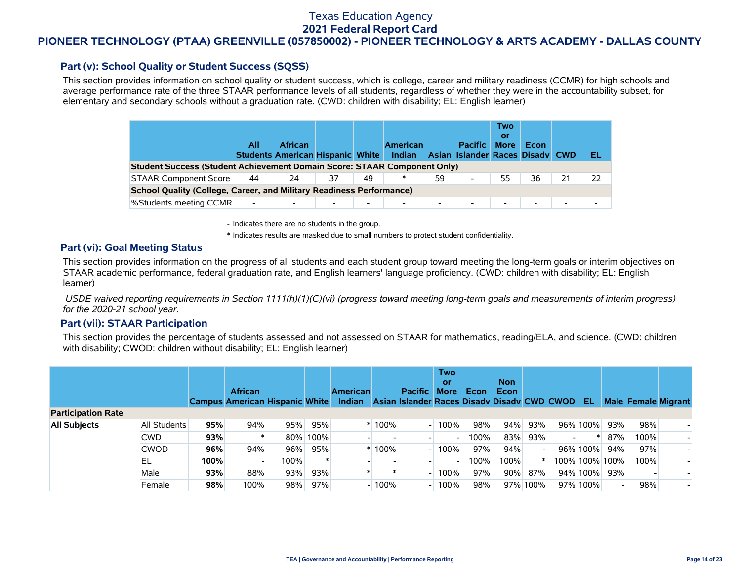## **PIONEER TECHNOLOGY (PTAA) GREENVILLE (057850002) - PIONEER TECHNOLOGY & ARTS ACADEMY - DALLAS COUNTY**

### **Part (v): School Quality or Student Success (SQSS)**

This section provides information on school quality or student success, which is college, career and military readiness (CCMR) for high schools and average performance rate of the three STAAR performance levels of all students, regardless of whether they were in the accountability subset, for elementary and secondary schools without a graduation rate. (CWD: children with disability; EL: English learner)

|                                                                                 | All                      | <b>African</b><br><b>Students American Hispanic White</b> |    |                          | <b>American</b><br>Indian |                          | <b>Pacific</b><br>Asian Islander Races Disady CWD | Two<br>or<br><b>More</b> | Econ   |    | EL |  |  |  |
|---------------------------------------------------------------------------------|--------------------------|-----------------------------------------------------------|----|--------------------------|---------------------------|--------------------------|---------------------------------------------------|--------------------------|--------|----|----|--|--|--|
| <b>Student Success (Student Achievement Domain Score: STAAR Component Only)</b> |                          |                                                           |    |                          |                           |                          |                                                   |                          |        |    |    |  |  |  |
| <b>STAAR Component Score</b>                                                    | 44                       | 24                                                        | 37 | 49                       | ∗                         | 59                       | $\blacksquare$                                    | 55                       | 36     | 21 | 22 |  |  |  |
| <b>School Quality (College, Career, and Military Readiness Performance)</b>     |                          |                                                           |    |                          |                           |                          |                                                   |                          |        |    |    |  |  |  |
| <b>%Students meeting CCMR</b>                                                   | $\overline{\phantom{a}}$ |                                                           |    | $\overline{\phantom{0}}$ | $\overline{\phantom{a}}$  | $\overline{\phantom{0}}$ | $\blacksquare$                                    | $\overline{\phantom{0}}$ | $\sim$ | -  |    |  |  |  |

- Indicates there are no students in the group.

\* Indicates results are masked due to small numbers to protect student confidentiality.

#### **Part (vi): Goal Meeting Status**

This section provides information on the progress of all students and each student group toward meeting the long-term goals or interim objectives on STAAR academic performance, federal graduation rate, and English learners' language proficiency. (CWD: children with disability; EL: English learner)

 *USDE waived reporting requirements in Section 1111(h)(1)(C)(vi) (progress toward meeting long-term goals and measurements of interim progress) for the 2020-21 school year.*

#### **Part (vii): STAAR Participation**

This section provides the percentage of students assessed and not assessed on STAAR for mathematics, reading/ELA, and science. (CWD: children with disability; CWOD: children without disability; EL: English learner)

|                           |              |      | <b>African</b><br><b>Campus American Hispanic White</b> |      |          | <b>American</b><br><b>Indian</b> |           | <b>Pacific</b><br>Asian Islander Races Disady Disady CWD CWOD | <b>Two</b><br>or<br><b>More</b> | Econ | <b>Non</b><br><b>Econ</b> |          | -EL            |     | <b>Male Female Migrant</b> |  |
|---------------------------|--------------|------|---------------------------------------------------------|------|----------|----------------------------------|-----------|---------------------------------------------------------------|---------------------------------|------|---------------------------|----------|----------------|-----|----------------------------|--|
| <b>Participation Rate</b> |              |      |                                                         |      |          |                                  |           |                                                               |                                 |      |                           |          |                |     |                            |  |
| <b>All Subjects</b>       | All Students | 95%  | 94%                                                     | 95%  | 95%      |                                  | $* 100\%$ |                                                               | 100%                            | 98%  | 94%                       | 93%      | 96% 100%       | 93% | 98%                        |  |
|                           | <b>CWD</b>   | 93%  |                                                         |      | 80% 100% |                                  |           |                                                               |                                 | 100% | 83%                       | 93%      |                | 87% | 100%                       |  |
|                           | <b>CWOD</b>  | 96%  | 94%                                                     | 96%  | 95%      |                                  | $* 100%$  |                                                               | 100%                            | 97%  | 94%                       |          | 96% 100%       | 94% | 97%                        |  |
|                           | EL           | 100% |                                                         | 100% |          |                                  |           |                                                               |                                 | 100% | 100%                      |          | 100% 100% 100% |     | 100%                       |  |
|                           | Male         | 93%  | 88%                                                     | 93%  | 93%      |                                  |           |                                                               | 100%                            | 97%  | 90%                       | 87%      | 94% 100%       | 93% |                            |  |
|                           | Female       | 98%  | 100%                                                    | 98%  | 97%      |                                  | $-100%$   |                                                               | 100%                            | 98%  |                           | 97% 100% | 97% 100%       |     | 98%                        |  |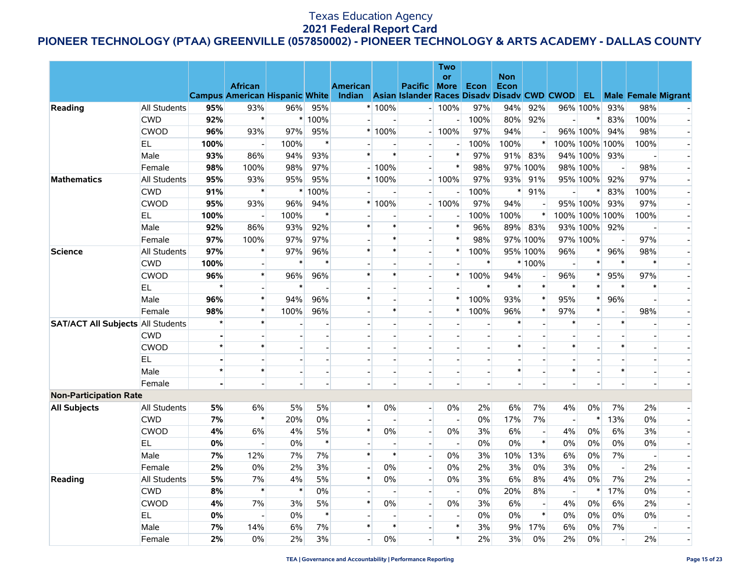# **PIONEER TECHNOLOGY (PTAA) GREENVILLE (057850002) - PIONEER TECHNOLOGY & ARTS ACADEMY - DALLAS COUNTY**

|                                          |                            |                |                   |              |                          |                                                                                                         |                                    |                          | <b>Two</b>                         |             |            |                          |                      |                          |                                |                            |                          |
|------------------------------------------|----------------------------|----------------|-------------------|--------------|--------------------------|---------------------------------------------------------------------------------------------------------|------------------------------------|--------------------------|------------------------------------|-------------|------------|--------------------------|----------------------|--------------------------|--------------------------------|----------------------------|--------------------------|
|                                          |                            |                |                   |              |                          |                                                                                                         |                                    |                          | <b>or</b>                          |             | <b>Non</b> |                          |                      |                          |                                |                            |                          |
|                                          |                            |                | <b>African</b>    |              |                          | <b>American</b><br>Campus American Hispanic White Indian Asian Islander Races Disadv Disadv CWD CWOD EL |                                    | <b>Pacific More</b>      |                                    | Econ        | Econ       |                          |                      |                          |                                | <b>Male Female Migrant</b> |                          |
| Reading                                  | <b>All Students</b>        | 95%            | 93%               | 96%          | 95%                      |                                                                                                         | * 100%                             |                          | $-100%$                            | 97%         | 94%        | 92%                      |                      | 96% 100%                 | 93%                            | 98%                        |                          |
|                                          | <b>CWD</b>                 | 92%            | $\ast$            | $\ast$       | 100%                     |                                                                                                         |                                    |                          |                                    | 100%        | 80%        | 92%                      |                      | $\ast$                   | 83%                            | 100%                       |                          |
|                                          | <b>CWOD</b>                | 96%            | 93%               | 97%          | 95%                      |                                                                                                         | $*100%$                            |                          | 100%                               | 97%         | 94%        |                          |                      | 96% 100%                 | 94%                            | 98%                        |                          |
|                                          | EL.                        | 100%           | $\sim$            | 100%         | $\ast$                   |                                                                                                         | $\blacksquare$                     | $\overline{a}$           | $\blacksquare$                     | 100%        | 100%       | $\ast$                   |                      | 100% 100% 100%           |                                | 100%                       |                          |
|                                          | Male                       | 93%            | 86%               | 94%          | 93%                      | $\ast$                                                                                                  | $\ast$                             |                          | $\ast$                             | 97%         | 91%        | 83%                      |                      | 94% 100%                 | 93%                            |                            |                          |
|                                          | Female                     | 98%            | 100%              | 98%          | 97%                      |                                                                                                         | $-100%$                            |                          | $\ast$                             | 98%         |            | 97% 100%                 |                      | 98% 100%                 | $\overline{a}$                 | 98%                        |                          |
| <b>Mathematics</b>                       | All Students               | 95%            | 93%               | 95%          | 95%                      |                                                                                                         | $*100%$                            | $\overline{\phantom{0}}$ | 100%                               | 97%         | 93%        | 91%                      |                      | 95% 100%                 | 92%                            | 97%                        | $\overline{\phantom{a}}$ |
|                                          | <b>CWD</b>                 | 91%            | $\ast$            | $\ast$       | 100%                     |                                                                                                         | $\overline{\phantom{a}}$           |                          | $\overline{\phantom{a}}$           | 100%        | $\ast$     | 91%                      |                      | $\ast$                   | 83%                            | 100%                       |                          |
|                                          | <b>CWOD</b>                | 95%            | 93%               | 96%          | 94%                      |                                                                                                         | $*100%$                            |                          | 100%                               | 97%         | 94%        |                          |                      | 95% 100%                 | 93%                            | 97%                        |                          |
|                                          | EL.                        | 100%           | $\blacksquare$    | 100%         | $\ast$                   |                                                                                                         |                                    |                          | $\overline{\phantom{a}}$           | 100%        | 100%       | $\ast$                   |                      | 100% 100% 100%           |                                | 100%                       | $\overline{\phantom{a}}$ |
|                                          | Male                       | 92%            | 86%               | 93%          | 92%                      | $\ast$                                                                                                  | $\ast$                             | $\blacksquare$           | $\ast$                             | 96%         |            | 89% 83%                  |                      | 93% 100%                 | 92%                            | $\overline{\phantom{a}}$   |                          |
|                                          | Female                     | 97%            | 100%              | 97%          | 97%                      |                                                                                                         | $\ast$                             |                          | $\ast$                             | 98%         |            | 97% 100%                 |                      | 97% 100%                 | $\overline{\phantom{a}}$       | 97%                        |                          |
| <b>Science</b>                           | All Students               | 97%            | $\ast$            | 97%          | 96%                      | $\ast$                                                                                                  | $\ast$                             |                          | $\ast$                             | 100%        |            | 95% 100%                 | 96%                  | $\ast$                   | 96%                            | 98%                        |                          |
|                                          | <b>CWD</b>                 | 100%           | $\sim$            | $\ast$       | $\ast$                   |                                                                                                         | $\overline{a}$                     | $\overline{a}$           | $\blacksquare$                     | $\ast$      |            | * 100%                   |                      | $\ast$                   | $\ast$                         | $\ast$                     |                          |
|                                          | <b>CWOD</b>                | 96%            | $\ast$            | 96%          | 96%                      | $\ast$                                                                                                  | $\ast$                             | $\blacksquare$           | $\ast$                             | 100%        | 94%        |                          | 96%                  | $\ast$                   | 95%                            | 97%                        |                          |
|                                          | EL.                        | $\star$        |                   | $\ast$       |                          |                                                                                                         |                                    |                          |                                    | $\ast$      |            | $\ast$                   |                      | $\ast$                   | $\ast$                         | $\ast$                     |                          |
|                                          | Male                       | 96%            | $\ast$            | 94%          | 96%                      | $\ast$                                                                                                  | $\overline{a}$                     | $\overline{a}$           | $\ast$                             | 100%        | 93%        | $\ast$                   | 95%                  | $\ast$                   | 96%                            | $\overline{a}$             | $\overline{\phantom{a}}$ |
|                                          | Female                     | 98%            | $\ast$            | 100%         | 96%                      |                                                                                                         | $\ast$                             | $\overline{\phantom{a}}$ | $\ast$                             | 100%        | 96%        | $\ast$                   | 97%                  | $\ast$                   | $\overline{\phantom{a}}$       | 98%                        |                          |
| <b>SAT/ACT All Subjects All Students</b> |                            | $\star$        | $\ast$            |              |                          |                                                                                                         |                                    |                          |                                    |             | $\ast$     |                          | $\ast$               |                          | $\ast$                         |                            |                          |
|                                          | <b>CWD</b>                 |                |                   |              |                          |                                                                                                         | $\overline{a}$                     |                          |                                    |             |            |                          |                      |                          |                                |                            |                          |
|                                          | <b>CWOD</b>                | $\star$        | $\ast$            |              | $\overline{\phantom{a}}$ | $\blacksquare$                                                                                          | $\overline{a}$                     | $\overline{\phantom{a}}$ | $\blacksquare$                     |             | $\ast$     |                          | $\ast$               | $\overline{\phantom{a}}$ | $\ast$                         | $\blacksquare$             |                          |
|                                          | EL.                        |                |                   |              |                          |                                                                                                         |                                    |                          |                                    |             |            |                          |                      |                          |                                | $\overline{a}$             |                          |
|                                          | Male                       | $\star$        | $\ast$            |              |                          |                                                                                                         |                                    |                          |                                    |             | $\ast$     |                          | $\ast$               |                          | $\ast$                         |                            |                          |
|                                          |                            | $\blacksquare$ | $\sim$            |              | $\overline{a}$           | $\overline{a}$                                                                                          | $\overline{\phantom{0}}$           | $\overline{a}$           | $\overline{a}$                     |             |            |                          |                      |                          | $\overline{a}$                 | $\sim$                     |                          |
| <b>Non-Participation Rate</b>            | Female                     |                |                   |              |                          |                                                                                                         |                                    |                          |                                    |             |            |                          |                      |                          |                                |                            |                          |
|                                          | <b>All Students</b>        | 5%             | 6%                | 5%           | 5%                       | $\ast$                                                                                                  | $0\%$                              |                          | $0\%$                              | 2%          | 6%         | 7%                       | 4%                   | 0%                       | 7%                             | 2%                         |                          |
| <b>All Subjects</b>                      | <b>CWD</b>                 | 7%             | $\pmb{\ast}$      | 20%          | 0%                       | $\overline{\phantom{a}}$                                                                                | $\overline{a}$                     | $\overline{a}$           | $\overline{\phantom{a}}$           | 0%          | 17%        | 7%                       | $\sim$               | $\ast$                   | 13%                            | 0%                         |                          |
|                                          | <b>CWOD</b>                | 4%             | 6%                | 4%           | 5%                       | $\ast$                                                                                                  | $0\%$                              | $\overline{\phantom{a}}$ | $0\%$                              | 3%          | $6\%$      |                          | 4%                   | 0%                       | 6%                             | 3%                         |                          |
|                                          | EL.                        | 0%             | $\overline{a}$    | 0%           | $\ast$                   |                                                                                                         |                                    | $\blacksquare$           | $\blacksquare$                     | 0%          | $0\%$      | $\ast$                   | 0%                   | 0%                       | $0\%$                          | 0%                         |                          |
|                                          | Male                       | 7%             | 12%               | 7%           | 7%                       | $\ast$                                                                                                  | $\ast$                             | $\overline{\phantom{a}}$ | 0%                                 | 3%          | 10%        | 13%                      | 6%                   | 0%                       | 7%                             | $\blacksquare$             | $\overline{a}$           |
|                                          |                            | 2%             | $0\%$             | 2%           | 3%                       | $\overline{\phantom{a}}$                                                                                | $0\%$                              | $\overline{\phantom{a}}$ | 0%                                 | 2%          | 3%         | 0%                       | 3%                   | $0\%$                    |                                | 2%                         |                          |
|                                          | Female                     | 5%             |                   |              | 5%                       | $\ast$                                                                                                  |                                    |                          |                                    |             |            |                          |                      |                          | $\overline{\phantom{a}}$<br>7% |                            |                          |
| Reading                                  | All Students<br><b>CWD</b> | 8%             | 7%<br>$\ast$      | 4%<br>$\ast$ | 0%                       |                                                                                                         | 0%                                 |                          | 0%                                 | 3%<br>$0\%$ | 6%<br>20%  | 8%<br>8%                 | 4%<br>$\overline{a}$ | 0%<br>$\ast$             | 17%                            | 2%<br>0%                   |                          |
|                                          | <b>CWOD</b>                |                |                   |              |                          | $\ast$                                                                                                  | $\blacksquare$                     | $\overline{a}$           | $\blacksquare$                     | 3%          | 6%         |                          |                      |                          |                                |                            |                          |
|                                          |                            | 4%             | 7%                | 3%           | 5%<br>$\ast$             |                                                                                                         | 0%                                 |                          | 0%                                 |             |            | $\blacksquare$<br>$\ast$ | 4%                   | 0%                       | 6%                             | 2%                         |                          |
|                                          | EL.                        | 0%             | $\qquad \qquad -$ | 0%           |                          | $\ast$                                                                                                  | $\overline{\phantom{a}}$<br>$\ast$ | $\overline{\phantom{a}}$ | $\overline{\phantom{a}}$<br>$\ast$ | $0\%$       | $0\%$      |                          | 0%                   | 0%                       | $0\%$                          | 0%                         |                          |
|                                          | Male                       | 7%             | 14%               | 6%           | 7%                       |                                                                                                         |                                    |                          | $\ast$                             | 3%          | 9%         | 17%                      | 6%                   | 0%                       | 7%                             |                            |                          |
|                                          | Female                     | 2%             | 0%                | 2%           | 3%                       | $\overline{a}$                                                                                          | 0%                                 |                          |                                    | 2%          | 3%         | 0%                       | 2%                   | 0%                       | $\overline{a}$                 | 2%                         | $\blacksquare$           |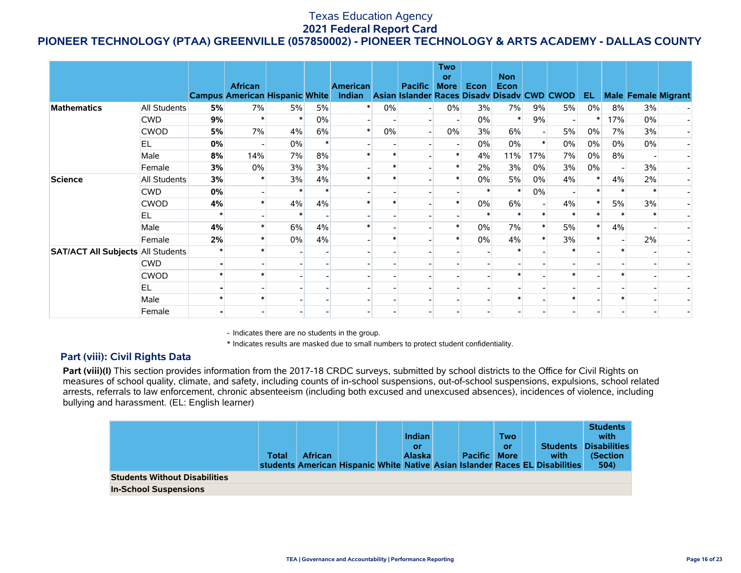# **PIONEER TECHNOLOGY (PTAA) GREENVILLE (057850002) - PIONEER TECHNOLOGY & ARTS ACADEMY - DALLAS COUNTY**

|                                          |              |    | <b>African</b><br><b>Campus American Hispanic White</b> |    |    | <b>American</b><br>Indian Asian Islander Races Disady Disady CWD CWOD |       | <b>Pacific</b> | <b>Two</b><br>or<br><b>More</b> | Econ  | <b>Non</b><br><b>Econ</b> |       |    | EL.   |         |        | <b>Male Female Migrant</b> |
|------------------------------------------|--------------|----|---------------------------------------------------------|----|----|-----------------------------------------------------------------------|-------|----------------|---------------------------------|-------|---------------------------|-------|----|-------|---------|--------|----------------------------|
| <b>Mathematics</b>                       | All Students | 5% | 7%                                                      | 5% | 5% | $\ast$                                                                | 0%    |                | $0\%$                           | 3%    | 7%                        | 9%    | 5% | $0\%$ | 8%      | 3%     |                            |
|                                          | <b>CWD</b>   | 9% |                                                         |    | 0% |                                                                       |       |                |                                 | $0\%$ | $\ast$                    | 9%    |    |       | 17%     | 0%     |                            |
|                                          | <b>CWOD</b>  | 5% | 7%                                                      | 4% | 6% | $\ast$                                                                | $0\%$ |                | $0\%$                           | 3%    | 6%                        |       | 5% | $0\%$ | 7%      | 3%     |                            |
|                                          | <b>EL</b>    | 0% |                                                         | 0% |    |                                                                       |       |                |                                 | $0\%$ | 0%                        |       | 0% | $0\%$ | 0%      | 0%     |                            |
|                                          | Male         | 8% | 14%                                                     | 7% | 8% |                                                                       |       |                |                                 | 4%    | 11%                       | 17%   | 7% | $0\%$ | 8%      |        |                            |
|                                          | Female       | 3% | 0%                                                      | 3% | 3% |                                                                       |       |                |                                 | 2%    | 3%                        | $0\%$ | 3% | $0\%$ |         | 3%     |                            |
| <b>Science</b>                           | All Students | 3% |                                                         | 3% | 4% |                                                                       |       |                |                                 | 0%    | 5%                        | $0\%$ | 4% |       | 4%      | 2%     |                            |
|                                          | <b>CWD</b>   | 0% |                                                         |    |    |                                                                       |       |                |                                 |       | $\ast$                    | 0%    |    |       |         | $\ast$ |                            |
|                                          | <b>CWOD</b>  | 4% |                                                         | 4% | 4% |                                                                       |       |                |                                 | $0\%$ | 6%                        |       | 4% |       | 5%      | 3%     |                            |
|                                          | EL.          |    |                                                         |    |    |                                                                       |       |                |                                 |       |                           |       |    |       |         |        |                            |
|                                          | Male         | 4% |                                                         | 6% | 4% |                                                                       |       |                |                                 | $0\%$ | 7%                        |       | 5% |       | 4%      |        |                            |
|                                          | Female       | 2% |                                                         | 0% | 4% |                                                                       |       |                |                                 | 0%    | 4%                        |       | 3% |       |         | 2%     |                            |
| <b>SAT/ACT All Subjects All Students</b> |              |    |                                                         |    |    |                                                                       |       |                |                                 |       |                           |       |    |       | $\star$ |        |                            |
|                                          | <b>CWD</b>   |    |                                                         |    |    |                                                                       |       |                |                                 |       |                           |       |    |       |         |        |                            |
|                                          | <b>CWOD</b>  |    |                                                         |    |    |                                                                       |       |                |                                 |       |                           |       |    |       |         |        |                            |
|                                          | <b>EL</b>    |    |                                                         |    |    |                                                                       |       |                |                                 |       |                           |       |    |       |         |        |                            |
|                                          | Male         |    |                                                         |    |    |                                                                       |       |                |                                 |       |                           |       |    |       |         |        |                            |
|                                          | Female       |    |                                                         |    |    |                                                                       |       |                |                                 |       |                           |       |    |       |         |        |                            |

- Indicates there are no students in the group.

\* Indicates results are masked due to small numbers to protect student confidentiality.

### **Part (viii): Civil Rights Data**

Part (viii)(I) This section provides information from the 2017-18 CRDC surveys, submitted by school districts to the Office for Civil Rights on measures of school quality, climate, and safety, including counts of in-school suspensions, out-of-school suspensions, expulsions, school related arrests, referrals to law enforcement, chronic absenteeism (including both excused and unexcused absences), incidences of violence, including bullying and harassment. (EL: English learner)

|                                      | Total | <b>African</b> |  | <b>Indian</b><br>or<br><b>Alaska</b> | <b>Pacific More</b> | <b>Two</b><br><b>Or</b> | <b>Students</b><br>with<br>students American Hispanic White Native Asian Islander Races EL Disabilities | <b>Students</b><br>with<br><b>Disabilities</b><br>(Section<br>504) |
|--------------------------------------|-------|----------------|--|--------------------------------------|---------------------|-------------------------|---------------------------------------------------------------------------------------------------------|--------------------------------------------------------------------|
| <b>Students Without Disabilities</b> |       |                |  |                                      |                     |                         |                                                                                                         |                                                                    |
| <b>In-School Suspensions</b>         |       |                |  |                                      |                     |                         |                                                                                                         |                                                                    |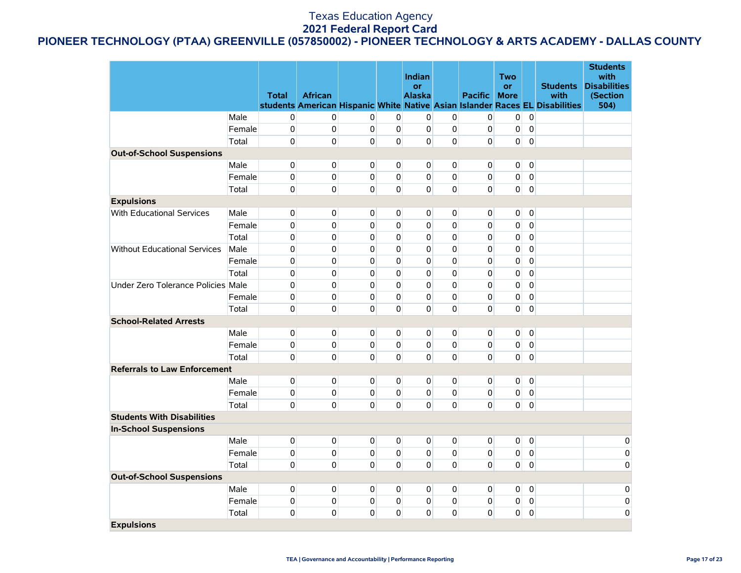# **PIONEER TECHNOLOGY (PTAA) GREENVILLE (057850002) - PIONEER TECHNOLOGY & ARTS ACADEMY - DALLAS COUNTY**

|                                     |        | <b>Total</b> | <b>African</b> |                |                | <b>Indian</b><br>or<br><b>Alaska</b> |              | <b>Pacific</b> | Two<br><b>or</b><br><b>More</b> |                | <b>Students</b><br>with                                                      | <b>Students</b><br>with<br><b>Disabilities</b><br>(Section |
|-------------------------------------|--------|--------------|----------------|----------------|----------------|--------------------------------------|--------------|----------------|---------------------------------|----------------|------------------------------------------------------------------------------|------------------------------------------------------------|
|                                     |        |              |                |                |                |                                      |              |                |                                 |                | students American Hispanic White Native Asian Islander Races EL Disabilities | 504)                                                       |
|                                     | Male   | 0            | 0              | 0              | $\overline{0}$ | 0                                    | 0            | 0              | 0                               | $\overline{0}$ |                                                                              |                                                            |
|                                     | Female | 0            | $\mathbf 0$    | $\mathbf 0$    | $\mathbf 0$    | $\mathbf 0$                          | 0            | 0              | $\mathbf 0$                     | $\overline{0}$ |                                                                              |                                                            |
|                                     | Total  | 0            | $\mathbf{0}$   | $\Omega$       | $\overline{0}$ | $\Omega$                             | $\mathbf 0$  | 0              | 0                               | $\mathbf 0$    |                                                                              |                                                            |
| <b>Out-of-School Suspensions</b>    |        |              |                |                |                |                                      |              |                |                                 |                |                                                                              |                                                            |
|                                     | Male   | 0            | $\pmb{0}$      | $\Omega$       | $\Omega$       | $\mathbf{0}$                         | $\Omega$     | $\Omega$       | 0                               | $\overline{0}$ |                                                                              |                                                            |
|                                     | Female | 0            | 0              | $\Omega$       | $\mathbf{0}$   | $\Omega$                             | $\mathbf 0$  | 0              | 0                               | $\overline{0}$ |                                                                              |                                                            |
|                                     | Total  | 0            | $\mathbf{0}$   | $\Omega$       | $\Omega$       | $\Omega$                             | 0            | 0              | $\overline{0}$                  | $\pmb{0}$      |                                                                              |                                                            |
| <b>Expulsions</b>                   |        |              |                |                |                |                                      |              |                |                                 |                |                                                                              |                                                            |
| With Educational Services           | Male   | 0            | $\mathbf{0}$   | $\overline{0}$ | $\overline{0}$ | $\overline{0}$                       | 0            | 0              | 0                               | $\overline{0}$ |                                                                              |                                                            |
|                                     | Female | 0            | $\mathbf 0$    | $\Omega$       | $\Omega$       | $\Omega$                             | 0            | 0              | 0                               | $\mathbf{0}$   |                                                                              |                                                            |
|                                     | Total  | 0            | $\mathbf{0}$   | $\Omega$       | 0              | $\Omega$                             | 0            | 0              | 0                               | $\mathbf 0$    |                                                                              |                                                            |
| <b>Without Educational Services</b> | Male   | 0            | $\mathbf{0}$   | $\Omega$       | $\mathbf{0}$   | $\Omega$                             | 0            | 0              | 0                               | $\overline{0}$ |                                                                              |                                                            |
|                                     | Female | 0            | $\Omega$       | $\Omega$       | $\mathbf{0}$   | $\Omega$                             | $\mathbf{0}$ | $\Omega$       | 0                               | $\overline{0}$ |                                                                              |                                                            |
|                                     | Total  | 0            | 0              | 0              | $\mathbf 0$    | 0                                    | 0            | 0              | 0                               | $\pmb{0}$      |                                                                              |                                                            |
| Under Zero Tolerance Policies Male  |        | 0            | $\Omega$       | $\Omega$       | $\Omega$       | $\Omega$                             | $\Omega$     | $\mathbf{0}$   | 0                               | $\Omega$       |                                                                              |                                                            |
|                                     | Female | 0            | $\Omega$       | $\Omega$       | 0              | $\Omega$                             | $\mathbf 0$  | $\Omega$       | 0                               | $\pmb{0}$      |                                                                              |                                                            |
|                                     | Total  | 0            | 0              | $\Omega$       | 0              | $\Omega$                             | $\mathbf 0$  | 0              | 0                               | $\mathbf 0$    |                                                                              |                                                            |
| <b>School-Related Arrests</b>       |        |              |                |                |                |                                      |              |                |                                 |                |                                                                              |                                                            |
|                                     | Male   | 0            | $\mathbf{0}$   | $\overline{0}$ | $\overline{0}$ | $\overline{0}$                       | 0            | 0              | 0                               | $\overline{0}$ |                                                                              |                                                            |
|                                     | Female | 0            | $\mathbf{0}$   | $\Omega$       | $\mathbf 0$    | $\overline{0}$                       | 0            | 0              | 0                               | $\mathbf 0$    |                                                                              |                                                            |
|                                     | Total  | 0            | $\mathbf 0$    | $\Omega$       | $\mathbf{0}$   | $\Omega$                             | 0            | $\Omega$       | $\mathbf{0}$                    | $\pmb{0}$      |                                                                              |                                                            |
| <b>Referrals to Law Enforcement</b> |        |              |                |                |                |                                      |              |                |                                 |                |                                                                              |                                                            |
|                                     | Male   | 0            | $\pmb{0}$      | $\Omega$       | $\overline{0}$ | $\Omega$                             | 0            | 0              | $\overline{0}$                  | $\mathbf 0$    |                                                                              |                                                            |
|                                     | Female | 0            | $\mathbf{0}$   | 0              | $\mathbf{0}$   | $\mathbf{0}$                         | 0            | 0              | $\overline{0}$                  | $\overline{0}$ |                                                                              |                                                            |
|                                     | Total  | 0            | $\mathbf{0}$   | $\Omega$       | $\overline{0}$ | $\Omega$                             | 0            | 0              | 0                               | $\mathbf 0$    |                                                                              |                                                            |
| <b>Students With Disabilities</b>   |        |              |                |                |                |                                      |              |                |                                 |                |                                                                              |                                                            |
| <b>In-School Suspensions</b>        |        |              |                |                |                |                                      |              |                |                                 |                |                                                                              |                                                            |
|                                     | Male   | 0            | $\pmb{0}$      | $\overline{0}$ | $\mathbf 0$    | 0                                    | 0            | 0              | 0                               | $\overline{0}$ |                                                                              | 0                                                          |
|                                     | Female | 0            | $\mathbf{0}$   | $\overline{0}$ | $\mathbf{0}$   | $\mathbf{0}$                         | 0            | 0              | 0                               | $\overline{0}$ |                                                                              | 0                                                          |
|                                     | Total  | 0            | $\mathbf{0}$   | $\Omega$       | 0              | $\Omega$                             | 0            | 0              | $\overline{0}$                  | $\overline{0}$ |                                                                              | $\mathbf{0}$                                               |
| <b>Out-of-School Suspensions</b>    |        |              |                |                |                |                                      |              |                |                                 |                |                                                                              |                                                            |
|                                     | Male   | 0            | $\mathbf{0}$   | $\overline{0}$ | $\overline{0}$ | $\Omega$                             | 0            | 0              | 0                               | $\overline{0}$ |                                                                              | 0                                                          |
|                                     | Female | 0            | 0              | $\overline{0}$ | 0              | $\overline{0}$                       | 0            | 0              | 0                               | $\overline{0}$ |                                                                              | 0                                                          |
|                                     | Total  | 0            | 0              | $\Omega$       | 0              | $\mathbf 0$                          | 0            | $\mathbf 0$    | 0                               | $\pmb{0}$      |                                                                              | 0                                                          |
| <b>Expulsions</b>                   |        |              |                |                |                |                                      |              |                |                                 |                |                                                                              |                                                            |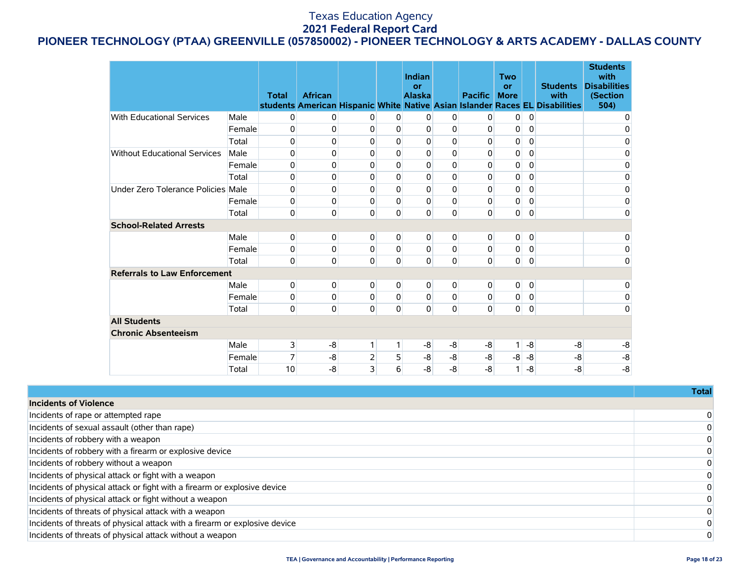# **PIONEER TECHNOLOGY (PTAA) GREENVILLE (057850002) - PIONEER TECHNOLOGY & ARTS ACADEMY - DALLAS COUNTY**

|                                     |        | <b>Total</b> | <b>African</b> |             |              | Indian<br>or<br><b>Alaska</b> |             | <b>Pacific</b> | <b>Two</b><br>or<br><b>More</b> |                | <b>Students</b><br>with<br>students American Hispanic White Native Asian Islander Races EL Disabilities | <b>Students</b><br>with<br><b>Disabilities</b><br>(Section<br>504) |
|-------------------------------------|--------|--------------|----------------|-------------|--------------|-------------------------------|-------------|----------------|---------------------------------|----------------|---------------------------------------------------------------------------------------------------------|--------------------------------------------------------------------|
| <b>With Educational Services</b>    | Male   | 0            | 0              | 0           | 0            | 0                             | 0           | 0              | 0                               | 0              |                                                                                                         | 0                                                                  |
|                                     | Female | 0            | 0              | 0           | $\Omega$     | 0                             | $\Omega$    | $\mathbf 0$    | 0                               | 0              |                                                                                                         | 0                                                                  |
|                                     | Total  | 0            | 0              | 0           | 0            | 0                             | 0           | 0              | 0                               | 0              |                                                                                                         | 0                                                                  |
| <b>Without Educational Services</b> | Male   | 0            | 0              | 0           | $\Omega$     | 0                             | $\Omega$    | $\mathbf 0$    | 0                               | 0              |                                                                                                         | 0                                                                  |
|                                     | Female | 0            | 0              | 0           | 0            | 0                             | 0           | 0              | 0                               | 0              |                                                                                                         | 0                                                                  |
|                                     | Total  | 0            | 0              | 0           | 0            | $\mathbf 0$                   | $\mathbf 0$ | 0              | 0                               | 0              |                                                                                                         | 0                                                                  |
| Under Zero Tolerance Policies Male  |        | 0            | 0              | 0           | 0            | 0                             | $\Omega$    | 0              | 0                               | 0              |                                                                                                         | 0                                                                  |
|                                     | Female | 0            | 0              | 0           | $\Omega$     | 0                             | $\mathbf 0$ | 0              | $\pmb{0}$                       | $\mathbf 0$    |                                                                                                         | $\mathbf 0$                                                        |
|                                     | Total  | 0            | 0              | $\mathbf 0$ | 0            | 0                             | $\mathbf 0$ | 0              | 0                               | 0              |                                                                                                         | $\mathbf 0$                                                        |
| <b>School-Related Arrests</b>       |        |              |                |             |              |                               |             |                |                                 |                |                                                                                                         |                                                                    |
|                                     | Male   | 0            | 0              | 0           | 0            | 0                             | 0           | 0              | 0                               | $\overline{0}$ |                                                                                                         | 0                                                                  |
|                                     | Female | 0            | 0              | 0           | $\Omega$     | 0                             | $\mathbf 0$ | 0              | 0                               | $\mathbf 0$    |                                                                                                         | 0                                                                  |
|                                     | Total  | 0            | 0              | 0           | $\mathbf 0$  | 0                             | $\mathbf 0$ | $\overline{0}$ | $\mathbf 0$                     | 0              |                                                                                                         | $\mathbf 0$                                                        |
| <b>Referrals to Law Enforcement</b> |        |              |                |             |              |                               |             |                |                                 |                |                                                                                                         |                                                                    |
|                                     | Male   | 0            | 0              | 0           | 0            | 0                             | 0           | 0              | 0                               | 0              |                                                                                                         | 0                                                                  |
|                                     | Female | 0            | 0              | 0           | $\Omega$     | 0                             | 0           | $\mathbf 0$    | 0                               | 0              |                                                                                                         | 0                                                                  |
|                                     | Total  | 0            | 0              | $\mathbf 0$ | $\mathbf{0}$ | 0                             | $\mathbf 0$ | $\mathbf 0$    | $\mathbf 0$                     | $\overline{0}$ |                                                                                                         | $\mathbf 0$                                                        |
| <b>All Students</b>                 |        |              |                |             |              |                               |             |                |                                 |                |                                                                                                         |                                                                    |
| <b>Chronic Absenteeism</b>          |        |              |                |             |              |                               |             |                |                                 |                |                                                                                                         |                                                                    |
|                                     | Male   | 3            | -8             | 1           | $\mathbf{1}$ | -8                            | -8          | -8             |                                 | -8             | -8                                                                                                      | $-8$                                                               |
|                                     | Female | 7            | $-8$           | 2           | 5            | -8                            | $-8$        | -8             | -8                              | $-8$           | $-8$                                                                                                    | -8                                                                 |
|                                     | Total  | 10           | $-8$           | 3           | 6            | $-8$                          | $-8$        | $-8$           | 1                               | -8             | $-8$                                                                                                    | $-8$                                                               |

|                                                                            | Total |
|----------------------------------------------------------------------------|-------|
| <b>Incidents of Violence</b>                                               |       |
| Incidents of rape or attempted rape                                        |       |
| Incidents of sexual assault (other than rape)                              |       |
| Incidents of robbery with a weapon                                         |       |
| Incidents of robbery with a firearm or explosive device                    |       |
| Incidents of robbery without a weapon                                      |       |
| Incidents of physical attack or fight with a weapon                        |       |
| Incidents of physical attack or fight with a firearm or explosive device   |       |
| Incidents of physical attack or fight without a weapon                     |       |
| Incidents of threats of physical attack with a weapon                      |       |
| Incidents of threats of physical attack with a firearm or explosive device |       |
| Incidents of threats of physical attack without a weapon                   |       |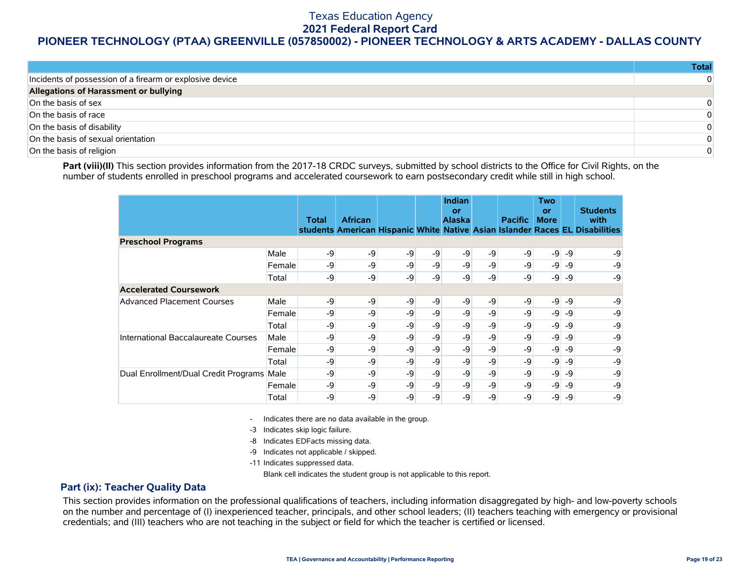### **PIONEER TECHNOLOGY (PTAA) GREENVILLE (057850002) - PIONEER TECHNOLOGY & ARTS ACADEMY - DALLAS COUNTY**

|                                                          | <b>Total</b> |
|----------------------------------------------------------|--------------|
| Incidents of possession of a firearm or explosive device | 0            |
| Allegations of Harassment or bullying                    |              |
| On the basis of sex                                      | 0            |
| On the basis of race                                     | 0            |
| On the basis of disability                               | 0            |
| On the basis of sexual orientation                       | 0            |
| On the basis of religion                                 | 0            |

Part (viii)(II) This section provides information from the 2017-18 CRDC surveys, submitted by school districts to the Office for Civil Rights, on the number of students enrolled in preschool programs and accelerated coursework to earn postsecondary credit while still in high school.

|                                      |        | Total | <b>African</b> |      |      | Indian<br>or<br><b>Alaska</b> |    | <b>Pacific</b> | <b>Two</b><br>or<br><b>More</b> |      | <b>Students</b><br>with<br>students American Hispanic White Native Asian Islander Races EL Disabilities |
|--------------------------------------|--------|-------|----------------|------|------|-------------------------------|----|----------------|---------------------------------|------|---------------------------------------------------------------------------------------------------------|
| <b>Preschool Programs</b>            |        |       |                |      |      |                               |    |                |                                 |      |                                                                                                         |
|                                      | Male   | -9    | $-9$           | -9   | $-9$ | -9                            | -9 | $-9$           | -9                              | -9   | -9                                                                                                      |
|                                      | Female | -9    | -9             | $-9$ | $-9$ | -9                            | -9 | $-9$           | $-9$                            | -9   | -9                                                                                                      |
|                                      | Total  | -9    | $-9$           | -9   | -9   | -9                            | -9 | -9             | -9                              | -9   | -9                                                                                                      |
| <b>Accelerated Coursework</b>        |        |       |                |      |      |                               |    |                |                                 |      |                                                                                                         |
| <b>Advanced Placement Courses</b>    | Male   | -9    | -9             | -9   | -9   | -9                            | -9 | $-9$           | $-9$                            | -9   | -9                                                                                                      |
|                                      | Female | -9    | -9             | -9   | $-9$ | -9                            | -9 | $-9$           | -9                              | -9   | -9                                                                                                      |
|                                      | Total  | -9    | $-9$           | $-9$ | $-9$ | -9                            | -9 | $-9$           | -9                              | $-9$ | -9                                                                                                      |
| International Baccalaureate Courses  | Male   | -9    | -9             | -9   | -9   | -9                            | -9 | $-9$           | -9                              | -9   | -9                                                                                                      |
|                                      | Female | -9    | -9             | -9   | $-9$ | -9                            | -9 | $-9$           | -9                              | -9   | -9                                                                                                      |
|                                      | Total  | -9    | -9             | -9   | -9   | -9                            | -9 | $-9$           | $-9$                            | -9   | -9                                                                                                      |
| Dual Enrollment/Dual Credit Programs | Male   | -9    | -9             | -9   | $-9$ | -9                            | -9 | $-9$           | -9                              | -9   | -9                                                                                                      |
|                                      | Female | -9    | -9             | $-9$ | $-9$ | -9                            | -9 | $-9$           | $-9$                            | -9   | -9                                                                                                      |
|                                      | Total  | -9    | -9             | -9   | -9   | -9                            | -9 | -9             | -9                              | -9   | -9                                                                                                      |

- Indicates there are no data available in the group.

-3 Indicates skip logic failure.

- -8 Indicates EDFacts missing data.
- -9 Indicates not applicable / skipped.

-11 Indicates suppressed data.

Blank cell indicates the student group is not applicable to this report.

#### **Part (ix): Teacher Quality Data**

This section provides information on the professional qualifications of teachers, including information disaggregated by high- and low-poverty schools on the number and percentage of (I) inexperienced teacher, principals, and other school leaders; (II) teachers teaching with emergency or provisional credentials; and (III) teachers who are not teaching in the subject or field for which the teacher is certified or licensed.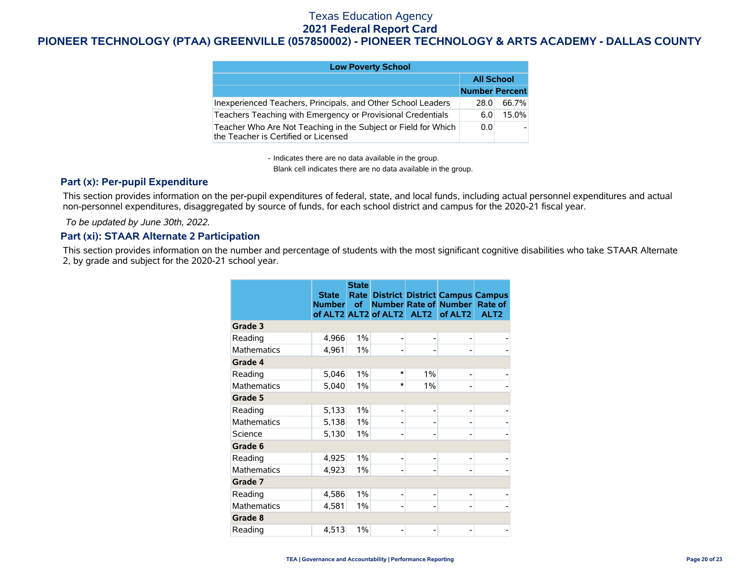# **PIONEER TECHNOLOGY (PTAA) GREENVILLE (057850002) - PIONEER TECHNOLOGY & ARTS ACADEMY - DALLAS COUNTY**

| <b>Low Poverty School</b>                                                                              |                       |       |  |  |  |  |  |  |  |
|--------------------------------------------------------------------------------------------------------|-----------------------|-------|--|--|--|--|--|--|--|
|                                                                                                        | <b>All School</b>     |       |  |  |  |  |  |  |  |
|                                                                                                        | <b>Number Percent</b> |       |  |  |  |  |  |  |  |
| Inexperienced Teachers, Principals, and Other School Leaders                                           | 28.0                  | 66.7% |  |  |  |  |  |  |  |
| Teachers Teaching with Emergency or Provisional Credentials                                            | 6.0                   | 15.0% |  |  |  |  |  |  |  |
| Teacher Who Are Not Teaching in the Subject or Field for Which<br>the Teacher is Certified or Licensed | 0.0                   |       |  |  |  |  |  |  |  |

- Indicates there are no data available in the group.

Blank cell indicates there are no data available in the group.

### **Part (x): Per-pupil Expenditure**

This section provides information on the per-pupil expenditures of federal, state, and local funds, including actual personnel expenditures and actual non-personnel expenditures, disaggregated by source of funds, for each school district and campus for the 2020-21 fiscal year.

 *To be updated by June 30th, 2022.*

### **Part (xi): STAAR Alternate 2 Participation**

This section provides information on the number and percentage of students with the most significant cognitive disabilities who take STAAR Alternate 2, by grade and subject for the 2020-21 school year.

|                    | <b>State</b><br><b>Number</b> | <b>State</b><br><b>of</b> | of ALT2 ALT2 of ALT2 | ALT <sub>2</sub> | <b>Rate District District Campus Campus</b><br>Number Rate of Number<br>of ALT2 | <b>Rate of</b><br>ALT <sub>2</sub> |
|--------------------|-------------------------------|---------------------------|----------------------|------------------|---------------------------------------------------------------------------------|------------------------------------|
| Grade 3            |                               |                           |                      |                  |                                                                                 |                                    |
| Reading            | 4,966                         | 1%                        | ۰                    |                  |                                                                                 |                                    |
| <b>Mathematics</b> | 4,961                         | 1%                        | ۰                    |                  |                                                                                 |                                    |
| Grade 4            |                               |                           |                      |                  |                                                                                 |                                    |
| Reading            | 5,046                         | 1%                        | $\ast$               | 1%               |                                                                                 |                                    |
| <b>Mathematics</b> | 5,040                         | 1%                        | $\ast$               | 1%               |                                                                                 |                                    |
| Grade 5            |                               |                           |                      |                  |                                                                                 |                                    |
| Reading            | 5,133                         | 1%                        | $\overline{a}$       |                  |                                                                                 |                                    |
| <b>Mathematics</b> | 5,138                         | $1\%$                     |                      |                  |                                                                                 |                                    |
| Science            | 5,130                         | $1\%$                     |                      |                  |                                                                                 |                                    |
| Grade 6            |                               |                           |                      |                  |                                                                                 |                                    |
| Reading            | 4,925                         | 1%                        | ۰                    |                  |                                                                                 |                                    |
| <b>Mathematics</b> | 4,923                         | 1%                        |                      |                  |                                                                                 |                                    |
| Grade 7            |                               |                           |                      |                  |                                                                                 |                                    |
| Reading            | 4,586                         | 1%                        | ۰                    |                  |                                                                                 |                                    |
| <b>Mathematics</b> | 4,581                         | $1\%$                     |                      |                  |                                                                                 |                                    |
| Grade 8            |                               |                           |                      |                  |                                                                                 |                                    |
| Reading            | 4,513                         | 1%                        |                      |                  |                                                                                 |                                    |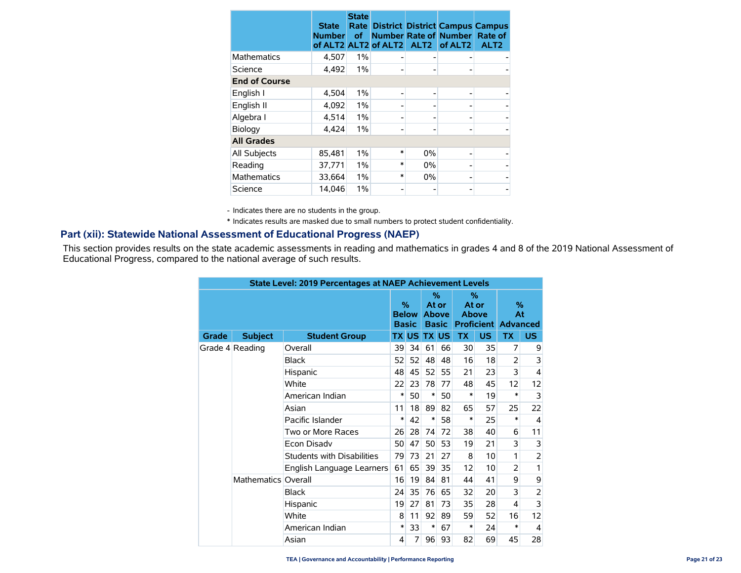|                      | <b>State</b><br><b>Number</b> | <b>State</b><br>Rate<br>of | of ALT2 ALT2 of ALT2 ALT2 |       | <b>District District Campus Campus</b><br><b>Number Rate of Number</b><br>of ALT <sub>2</sub> | Rate of<br>ALT <sub>2</sub> |
|----------------------|-------------------------------|----------------------------|---------------------------|-------|-----------------------------------------------------------------------------------------------|-----------------------------|
| Mathematics          | 4,507                         | 1%                         |                           |       |                                                                                               |                             |
| Science              | 4,492                         | 1%                         |                           |       |                                                                                               |                             |
| <b>End of Course</b> |                               |                            |                           |       |                                                                                               |                             |
| English I            | 4,504                         | 1%                         |                           |       |                                                                                               |                             |
| English II           | 4,092                         | 1%                         |                           |       |                                                                                               |                             |
| Algebra I            | 4.514                         | 1%                         |                           |       |                                                                                               |                             |
| Biology              | 4,424                         | 1%                         |                           |       |                                                                                               |                             |
| <b>All Grades</b>    |                               |                            |                           |       |                                                                                               |                             |
| All Subjects         | 85,481                        | 1%                         | *                         | $0\%$ |                                                                                               |                             |
| Reading              | 37,771                        | 1%                         | *                         | $0\%$ |                                                                                               |                             |
| <b>Mathematics</b>   | 33,664                        | 1%                         | $\ast$                    | $0\%$ |                                                                                               |                             |
| Science              | 14.046                        | 1%                         |                           |       |                                                                                               |                             |

- Indicates there are no students in the group.

\* Indicates results are masked due to small numbers to protect student confidentiality.

### **Part (xii): Statewide National Assessment of Educational Progress (NAEP)**

This section provides results on the state academic assessments in reading and mathematics in grades 4 and 8 of the 2019 National Assessment of Educational Progress, compared to the national average of such results.

| <b>State Level: 2019 Percentages at NAEP Achievement Levels</b> |                     |                                   |    |                                               |              |                                            |           |                                                 |                |                            |
|-----------------------------------------------------------------|---------------------|-----------------------------------|----|-----------------------------------------------|--------------|--------------------------------------------|-----------|-------------------------------------------------|----------------|----------------------------|
|                                                                 |                     |                                   |    | $\frac{0}{2}$<br><b>Below</b><br><b>Basic</b> |              | %<br>At or<br><b>Above</b><br><b>Basic</b> |           | %<br>At or<br><b>Above</b><br><b>Proficient</b> |                | %<br>At<br><b>Advanced</b> |
| Grade                                                           | <b>Subject</b>      | <b>Student Group</b>              |    | TX US I                                       | <b>TX US</b> |                                            | <b>TX</b> | <b>US</b>                                       | <b>TX</b>      | <b>US</b>                  |
|                                                                 | Grade 4 Reading     | Overall                           | 39 | 34                                            | 61           | 66                                         | 30        | 35                                              | 7              | 9                          |
|                                                                 |                     | <b>Black</b>                      | 52 | 52                                            | 48           | 48                                         | 16        | 18                                              | $\overline{2}$ | 3                          |
|                                                                 |                     | Hispanic                          | 48 | 45                                            | 52           | 55                                         | 21        | 23                                              | 3              | $\overline{4}$             |
|                                                                 |                     | White                             | 22 | 23                                            | 78           | 77                                         | 48        | 45                                              | 12             | 12                         |
|                                                                 |                     | American Indian                   | ∗  | 50                                            | $\ast$       | 50                                         | $\ast$    | 19                                              | *              | 3                          |
|                                                                 |                     | Asian                             | 11 | 18                                            | 89           | 82                                         | 65        | 57                                              | 25             | 22                         |
|                                                                 |                     | Pacific Islander                  | ∗  | 42                                            | $\ast$       | 58                                         | $\ast$    | 25                                              | $\ast$         | 4                          |
|                                                                 |                     | Two or More Races                 | 26 | 28                                            | 74           | 72                                         | 38        | 40                                              | 6              | 11                         |
|                                                                 |                     | Econ Disadv                       | 50 | 47                                            | 50           | 53                                         | 19        | 21                                              | 3              | 3                          |
|                                                                 |                     | <b>Students with Disabilities</b> | 79 | 73                                            | 21           | 27                                         | 8         | 10                                              | 1              | $\overline{2}$             |
|                                                                 |                     | English Language Learners         | 61 | 65                                            | 39           | 35                                         | 12        | 10                                              | $\overline{2}$ | 1                          |
|                                                                 | Mathematics Overall |                                   | 16 | 19                                            | 84           | 81                                         | 44        | 41                                              | 9              | 9                          |
|                                                                 |                     | <b>Black</b>                      | 24 | 35                                            | 76           | 65                                         | 32        | 20                                              | 3              | $\overline{\mathbf{c}}$    |
|                                                                 | Hispanic            | 19                                | 27 | 81                                            | 73           | 35                                         | 28        | 4                                               | 3              |                            |
|                                                                 |                     | White                             | 8  | 11                                            | 92           | 89                                         | 59        | 52                                              | 16             | 12                         |
|                                                                 |                     | American Indian                   | ∗  | 33                                            | ∗            | 67                                         | $\ast$    | 24                                              | $\ast$         | $\overline{\mathbf{4}}$    |
|                                                                 |                     | Asian                             | 4  | 7                                             | 96           | 93                                         | 82        | 69                                              | 45             | 28                         |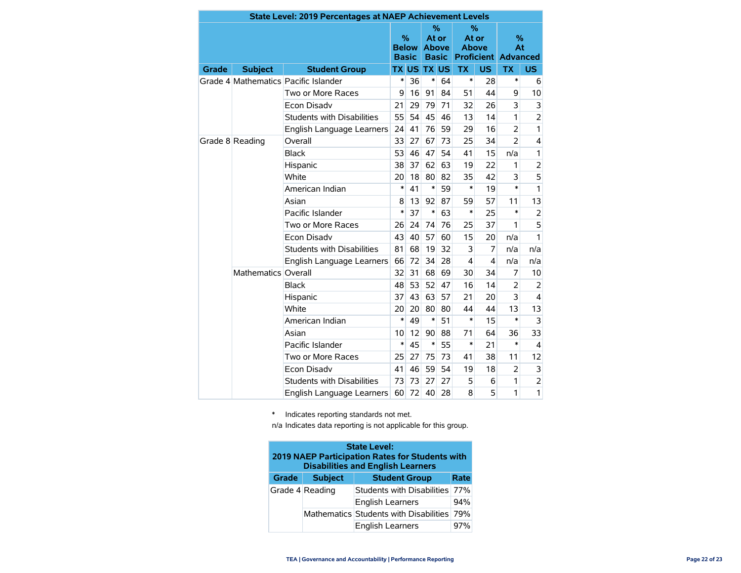| State Level: 2019 Percentages at NAEP Achievement Levels |                     |                                      |                                      |              |                                               |           |                                                             |                |                |                         |
|----------------------------------------------------------|---------------------|--------------------------------------|--------------------------------------|--------------|-----------------------------------------------|-----------|-------------------------------------------------------------|----------------|----------------|-------------------------|
|                                                          |                     |                                      | $\%$<br><b>Below</b><br><b>Basic</b> |              | $\%$<br>At or<br><b>Above</b><br><b>Basic</b> |           | $\%$<br>At or<br><b>Above</b><br><b>Proficient Advanced</b> |                | %<br>At        |                         |
| Grade                                                    | <b>Subject</b>      | <b>Student Group</b>                 |                                      | <b>TX US</b> | <b>TX</b>                                     | <b>US</b> | <b>TX</b>                                                   | <b>US</b>      | <b>TX</b>      | <b>US</b>               |
|                                                          |                     | Grade 4 Mathematics Pacific Islander | $\ast$                               | 36           | $\ast$                                        | 64        | $\ast$                                                      | 28             | $\ast$         | 6                       |
|                                                          |                     | Two or More Races                    | 9                                    | 16           | 91                                            | 84        | 51                                                          | 44             | 9              | 10                      |
|                                                          |                     | <b>Econ Disadv</b>                   | 21                                   | 29           | 79                                            | 71        | 32                                                          | 26             | 3              | 3                       |
|                                                          |                     | <b>Students with Disabilities</b>    | 55                                   | 54           | 45                                            | 46        | 13                                                          | 14             | 1              | $\overline{c}$          |
|                                                          |                     | English Language Learners            | 24                                   | 41           | 76                                            | 59        | 29                                                          | 16             | $\overline{2}$ | 1                       |
|                                                          | Grade 8 Reading     | Overall                              | 33                                   | 27           | 67                                            | 73        | 25                                                          | 34             | $\overline{2}$ | 4                       |
|                                                          | <b>Black</b>        | 53                                   | 46                                   | 47           | 54                                            | 41        | 15                                                          | n/a            | $\mathbf{1}$   |                         |
|                                                          | Hispanic            | 38                                   | 37                                   | 62           | 63                                            | 19        | 22                                                          | 1              | $\overline{2}$ |                         |
|                                                          | White               |                                      | 18                                   | 80           | 82                                            | 35        | 42                                                          | 3              | 5              |                         |
|                                                          | American Indian     | $\ast$                               | 41                                   | $\ast$       | 59                                            | *         | 19                                                          | $\ast$         | 1              |                         |
|                                                          | Asian               | 8                                    | 13                                   | 92           | 87                                            | 59        | 57                                                          | 11             | 13             |                         |
|                                                          | Pacific Islander    |                                      | 37                                   | $\ast$       | 63                                            | $\ast$    | 25                                                          | $\ast$         | $\overline{2}$ |                         |
|                                                          |                     | Two or More Races                    |                                      | 24           | 74                                            | 76        | 25                                                          | 37             | 1              | 5                       |
|                                                          |                     | <b>Econ Disadv</b>                   |                                      | 40           | 57                                            | 60        | 15                                                          | 20             | n/a            | 1                       |
|                                                          |                     | <b>Students with Disabilities</b>    | 81                                   | 68           | 19                                            | 32        | 3                                                           | 7              | n/a            | n/a                     |
|                                                          |                     | English Language Learners            | 66                                   | 72           | 34                                            | 28        | $\overline{4}$                                              | $\overline{4}$ | n/a            | n/a                     |
|                                                          | Mathematics Overall |                                      | 32                                   | 31           | 68                                            | 69        | 30                                                          | 34             | 7              | 10                      |
|                                                          |                     | <b>Black</b>                         | 48                                   | 53           | 52                                            | 47        | 16                                                          | 14             | $\overline{2}$ | $\overline{2}$          |
|                                                          |                     | Hispanic                             | 37                                   | 43           | 63                                            | 57        | 21                                                          | 20             | 3              | $\overline{\mathbf{4}}$ |
|                                                          |                     | White                                | 20                                   | 20           | 80                                            | 80        | 44                                                          | 44             | 13             | 13                      |
|                                                          |                     | American Indian                      | $\ast$                               | 49           | $\ast$                                        | 51        | $\ast$                                                      | 15             | $\ast$         | 3                       |
|                                                          |                     | Asian                                | 10                                   | 12           | 90                                            | 88        | 71                                                          | 64             | 36             | 33                      |
|                                                          |                     | Pacific Islander                     | $\ast$                               | 45           | $\ast$                                        | 55        | $\ast$                                                      | 21             | $\ast$         | $\overline{4}$          |
|                                                          |                     | Two or More Races                    | 25                                   | 27           | 75                                            | 73        | 41                                                          | 38             | 11             | 12                      |
|                                                          |                     | <b>Econ Disadv</b>                   | 41                                   | 46           | 59                                            | 54        | 19                                                          | 18             | $\overline{2}$ | 3                       |
|                                                          |                     | <b>Students with Disabilities</b>    | 73                                   | 73           | 27                                            | 27        | 5                                                           | 6              | 1              | $\overline{\mathbf{c}}$ |
|                                                          |                     | English Language Learners            | 60                                   | 72           | 40                                            | 28        | 8                                                           | 5              | 1              | 1                       |

\* Indicates reporting standards not met.

n/a Indicates data reporting is not applicable for this group.

| <b>State Level:</b><br>2019 NAEP Participation Rates for Students with<br><b>Disabilities and English Learners</b> |                 |                                            |      |  |  |  |  |  |  |  |
|--------------------------------------------------------------------------------------------------------------------|-----------------|--------------------------------------------|------|--|--|--|--|--|--|--|
| Grade                                                                                                              | <b>Subject</b>  | <b>Student Group</b>                       | Rate |  |  |  |  |  |  |  |
|                                                                                                                    | Grade 4 Reading | Students with Disabilities 77%             |      |  |  |  |  |  |  |  |
|                                                                                                                    |                 | <b>English Learners</b>                    | 94%  |  |  |  |  |  |  |  |
|                                                                                                                    |                 | Mathematics Students with Disabilities 79% |      |  |  |  |  |  |  |  |
|                                                                                                                    |                 | <b>English Learners</b>                    | 97%  |  |  |  |  |  |  |  |